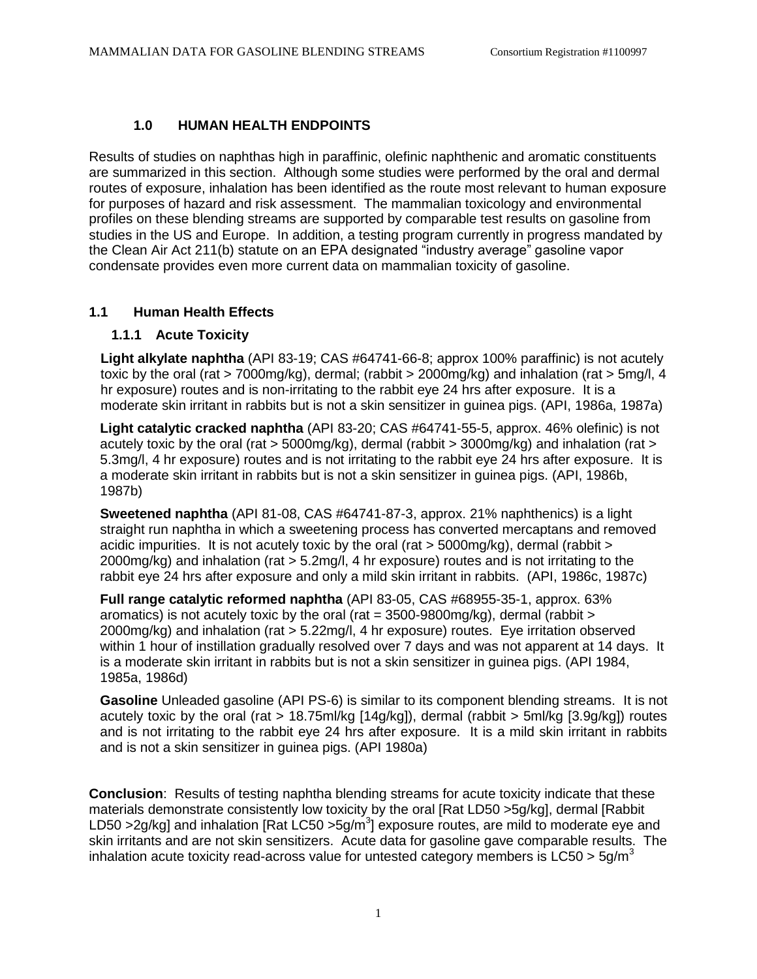### **1.0 HUMAN HEALTH ENDPOINTS**

Results of studies on naphthas high in paraffinic, olefinic naphthenic and aromatic constituents are summarized in this section. Although some studies were performed by the oral and dermal routes of exposure, inhalation has been identified as the route most relevant to human exposure for purposes of hazard and risk assessment. The mammalian toxicology and environmental profiles on these blending streams are supported by comparable test results on gasoline from studies in the US and Europe. In addition, a testing program currently in progress mandated by the Clean Air Act 211(b) statute on an EPA designated "industry average" gasoline vapor condensate provides even more current data on mammalian toxicity of gasoline.

#### **1.1 Human Health Effects**

#### **1.1.1 Acute Toxicity**

**Light alkylate naphtha** (API 83-19; CAS #64741-66-8; approx 100% paraffinic) is not acutely toxic by the oral (rat > 7000mg/kg), dermal; (rabbit > 2000mg/kg) and inhalation (rat > 5mg/l, 4 hr exposure) routes and is non-irritating to the rabbit eye 24 hrs after exposure. It is a moderate skin irritant in rabbits but is not a skin sensitizer in guinea pigs. (API, 1986a, 1987a)

**Light catalytic cracked naphtha** (API 83-20; CAS #64741-55-5, approx. 46% olefinic) is not acutely toxic by the oral (rat > 5000mg/kg), dermal (rabbit > 3000mg/kg) and inhalation (rat > 5.3mg/l, 4 hr exposure) routes and is not irritating to the rabbit eye 24 hrs after exposure. It is a moderate skin irritant in rabbits but is not a skin sensitizer in guinea pigs. (API, 1986b, 1987b)

**Sweetened naphtha** (API 81-08, CAS #64741-87-3, approx. 21% naphthenics) is a light straight run naphtha in which a sweetening process has converted mercaptans and removed acidic impurities. It is not acutely toxic by the oral (rat > 5000mg/kg), dermal (rabbit > 2000mg/kg) and inhalation (rat > 5.2mg/l, 4 hr exposure) routes and is not irritating to the rabbit eye 24 hrs after exposure and only a mild skin irritant in rabbits. (API, 1986c, 1987c)

**Full range catalytic reformed naphtha** (API 83-05, CAS #68955-35-1, approx. 63% aromatics) is not acutely toxic by the oral (rat  $=$  3500-9800mg/kg), dermal (rabbit  $>$ 2000mg/kg) and inhalation (rat > 5.22mg/l, 4 hr exposure) routes. Eye irritation observed within 1 hour of instillation gradually resolved over 7 days and was not apparent at 14 days. It is a moderate skin irritant in rabbits but is not a skin sensitizer in guinea pigs. (API 1984, 1985a, 1986d)

**Gasoline** Unleaded gasoline (API PS-6) is similar to its component blending streams. It is not acutely toxic by the oral (rat > 18.75ml/kg [14g/kg]), dermal (rabbit > 5ml/kg [3.9g/kg]) routes and is not irritating to the rabbit eye 24 hrs after exposure. It is a mild skin irritant in rabbits and is not a skin sensitizer in guinea pigs. (API 1980a)

**Conclusion**: Results of testing naphtha blending streams for acute toxicity indicate that these materials demonstrate consistently low toxicity by the oral [Rat LD50 >5g/kg], dermal [Rabbit LD50 >2g/kg] and inhalation [Rat LC50 >5g/m<sup>3</sup>] exposure routes, are mild to moderate eye and skin irritants and are not skin sensitizers. Acute data for gasoline gave comparable results. The inhalation acute toxicity read-across value for untested category members is  $LC50 > 5$ q/m<sup>3</sup>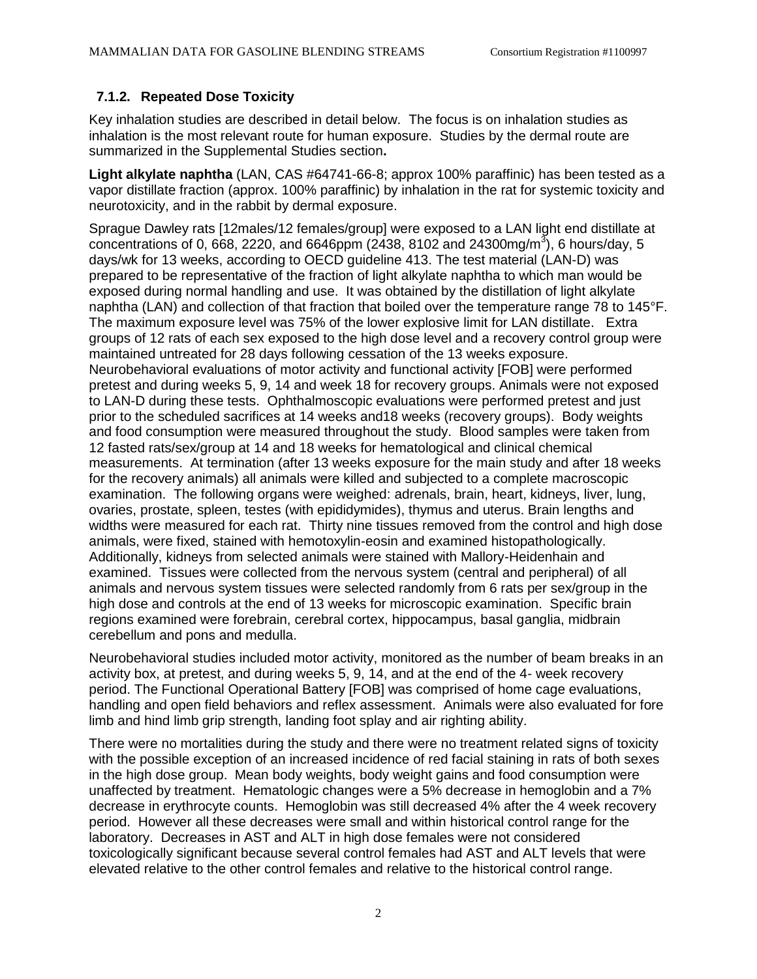## **7.1.2. Repeated Dose Toxicity**

Key inhalation studies are described in detail below. The focus is on inhalation studies as inhalation is the most relevant route for human exposure. Studies by the dermal route are summarized in the Supplemental Studies section**.**

**Light alkylate naphtha** (LAN, CAS #64741-66-8; approx 100% paraffinic) has been tested as a vapor distillate fraction (approx. 100% paraffinic) by inhalation in the rat for systemic toxicity and neurotoxicity, and in the rabbit by dermal exposure.

Sprague Dawley rats [12males/12 females/group] were exposed to a LAN light end distillate at concentrations of 0, 668, 2220, and 6646ppm (2438, 8102 and 24300mg/m<sup>3</sup>), 6 hours/day, 5 days/wk for 13 weeks, according to OECD guideline 413. The test material (LAN-D) was prepared to be representative of the fraction of light alkylate naphtha to which man would be exposed during normal handling and use. It was obtained by the distillation of light alkylate naphtha (LAN) and collection of that fraction that boiled over the temperature range 78 to 145°F. The maximum exposure level was 75% of the lower explosive limit for LAN distillate. Extra groups of 12 rats of each sex exposed to the high dose level and a recovery control group were maintained untreated for 28 days following cessation of the 13 weeks exposure. Neurobehavioral evaluations of motor activity and functional activity [FOB] were performed pretest and during weeks 5, 9, 14 and week 18 for recovery groups. Animals were not exposed to LAN-D during these tests. Ophthalmoscopic evaluations were performed pretest and just prior to the scheduled sacrifices at 14 weeks and18 weeks (recovery groups). Body weights and food consumption were measured throughout the study. Blood samples were taken from 12 fasted rats/sex/group at 14 and 18 weeks for hematological and clinical chemical measurements. At termination (after 13 weeks exposure for the main study and after 18 weeks for the recovery animals) all animals were killed and subjected to a complete macroscopic examination. The following organs were weighed: adrenals, brain, heart, kidneys, liver, lung, ovaries, prostate, spleen, testes (with epididymides), thymus and uterus. Brain lengths and widths were measured for each rat. Thirty nine tissues removed from the control and high dose animals, were fixed, stained with hemotoxylin-eosin and examined histopathologically. Additionally, kidneys from selected animals were stained with Mallory-Heidenhain and examined. Tissues were collected from the nervous system (central and peripheral) of all animals and nervous system tissues were selected randomly from 6 rats per sex/group in the high dose and controls at the end of 13 weeks for microscopic examination. Specific brain regions examined were forebrain, cerebral cortex, hippocampus, basal ganglia, midbrain cerebellum and pons and medulla.

Neurobehavioral studies included motor activity, monitored as the number of beam breaks in an activity box, at pretest, and during weeks 5, 9, 14, and at the end of the 4- week recovery period. The Functional Operational Battery [FOB] was comprised of home cage evaluations, handling and open field behaviors and reflex assessment. Animals were also evaluated for fore limb and hind limb grip strength, landing foot splay and air righting ability.

There were no mortalities during the study and there were no treatment related signs of toxicity with the possible exception of an increased incidence of red facial staining in rats of both sexes in the high dose group. Mean body weights, body weight gains and food consumption were unaffected by treatment. Hematologic changes were a 5% decrease in hemoglobin and a 7% decrease in erythrocyte counts. Hemoglobin was still decreased 4% after the 4 week recovery period. However all these decreases were small and within historical control range for the laboratory. Decreases in AST and ALT in high dose females were not considered toxicologically significant because several control females had AST and ALT levels that were elevated relative to the other control females and relative to the historical control range.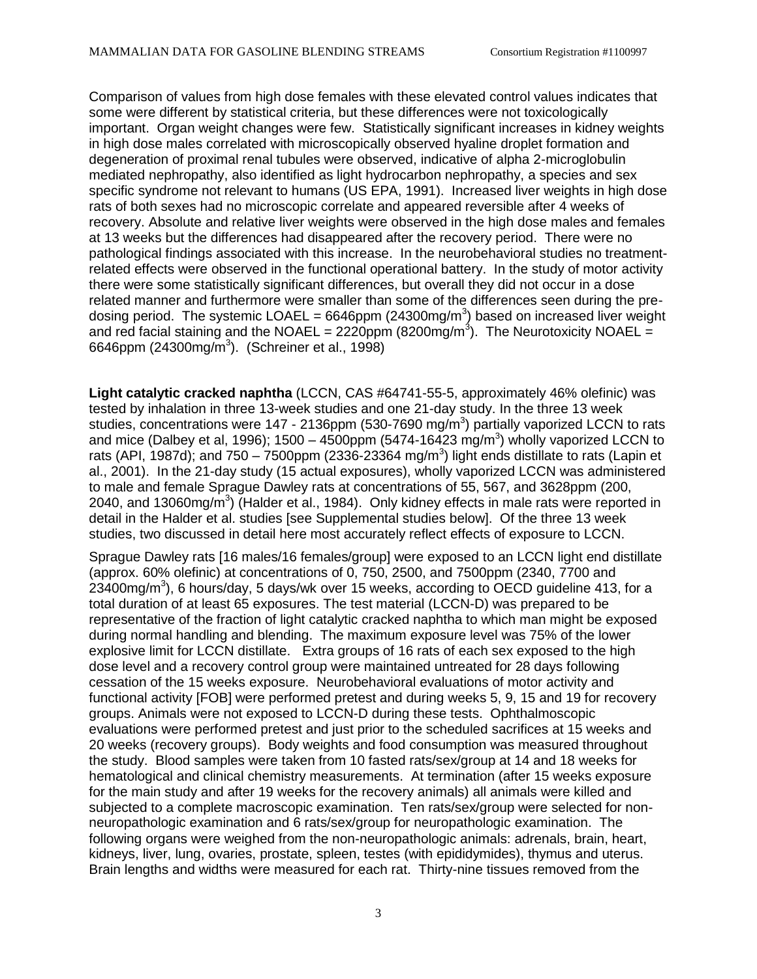Comparison of values from high dose females with these elevated control values indicates that some were different by statistical criteria, but these differences were not toxicologically important. Organ weight changes were few. Statistically significant increases in kidney weights in high dose males correlated with microscopically observed hyaline droplet formation and degeneration of proximal renal tubules were observed, indicative of alpha 2-microglobulin mediated nephropathy, also identified as light hydrocarbon nephropathy, a species and sex specific syndrome not relevant to humans (US EPA, 1991). Increased liver weights in high dose rats of both sexes had no microscopic correlate and appeared reversible after 4 weeks of recovery. Absolute and relative liver weights were observed in the high dose males and females at 13 weeks but the differences had disappeared after the recovery period. There were no pathological findings associated with this increase. In the neurobehavioral studies no treatmentrelated effects were observed in the functional operational battery. In the study of motor activity there were some statistically significant differences, but overall they did not occur in a dose related manner and furthermore were smaller than some of the differences seen during the predosing period. The systemic LOAEL = 6646ppm (24300mg/m<sup>3</sup>) based on increased liver weight and red facial staining and the NOAEL = 2220ppm (8200mg/m<sup>3</sup>). The Neurotoxicity NOAEL = 6646ppm (24300mg/m<sup>3</sup>). (Schreiner et al., 1998)

**Light catalytic cracked naphtha** (LCCN, CAS #64741-55-5, approximately 46% olefinic) was tested by inhalation in three 13-week studies and one 21-day study. In the three 13 week studies, concentrations were 147 - 2136ppm (530-7690 mg/m<sup>3</sup>) partially vaporized LCCN to rats and mice (Dalbey et al, 1996); 1500 – 4500ppm (5474-16423 mg/m<sup>3</sup>) wholly vaporized LCCN to rats (API, 1987d); and 750 – 7500ppm (2336-23364 mg/m<sup>3</sup>) light ends distillate to rats (Lapin et al., 2001). In the 21-day study (15 actual exposures), wholly vaporized LCCN was administered to male and female Sprague Dawley rats at concentrations of 55, 567, and 3628ppm (200, 2040, and 13060mg/m<sup>3</sup>) (Halder et al., 1984). Only kidney effects in male rats were reported in detail in the Halder et al. studies [see Supplemental studies below]. Of the three 13 week studies, two discussed in detail here most accurately reflect effects of exposure to LCCN.

Sprague Dawley rats [16 males/16 females/group] were exposed to an LCCN light end distillate (approx. 60% olefinic) at concentrations of 0, 750, 2500, and 7500ppm (2340, 7700 and  $23400$ mg/m<sup>3</sup>), 6 hours/day, 5 days/wk over 15 weeks, according to OECD guideline 413, for a total duration of at least 65 exposures. The test material (LCCN-D) was prepared to be representative of the fraction of light catalytic cracked naphtha to which man might be exposed during normal handling and blending. The maximum exposure level was 75% of the lower explosive limit for LCCN distillate. Extra groups of 16 rats of each sex exposed to the high dose level and a recovery control group were maintained untreated for 28 days following cessation of the 15 weeks exposure. Neurobehavioral evaluations of motor activity and functional activity [FOB] were performed pretest and during weeks 5, 9, 15 and 19 for recovery groups. Animals were not exposed to LCCN-D during these tests. Ophthalmoscopic evaluations were performed pretest and just prior to the scheduled sacrifices at 15 weeks and 20 weeks (recovery groups). Body weights and food consumption was measured throughout the study. Blood samples were taken from 10 fasted rats/sex/group at 14 and 18 weeks for hematological and clinical chemistry measurements. At termination (after 15 weeks exposure for the main study and after 19 weeks for the recovery animals) all animals were killed and subjected to a complete macroscopic examination. Ten rats/sex/group were selected for nonneuropathologic examination and 6 rats/sex/group for neuropathologic examination. The following organs were weighed from the non-neuropathologic animals: adrenals, brain, heart, kidneys, liver, lung, ovaries, prostate, spleen, testes (with epididymides), thymus and uterus. Brain lengths and widths were measured for each rat. Thirty-nine tissues removed from the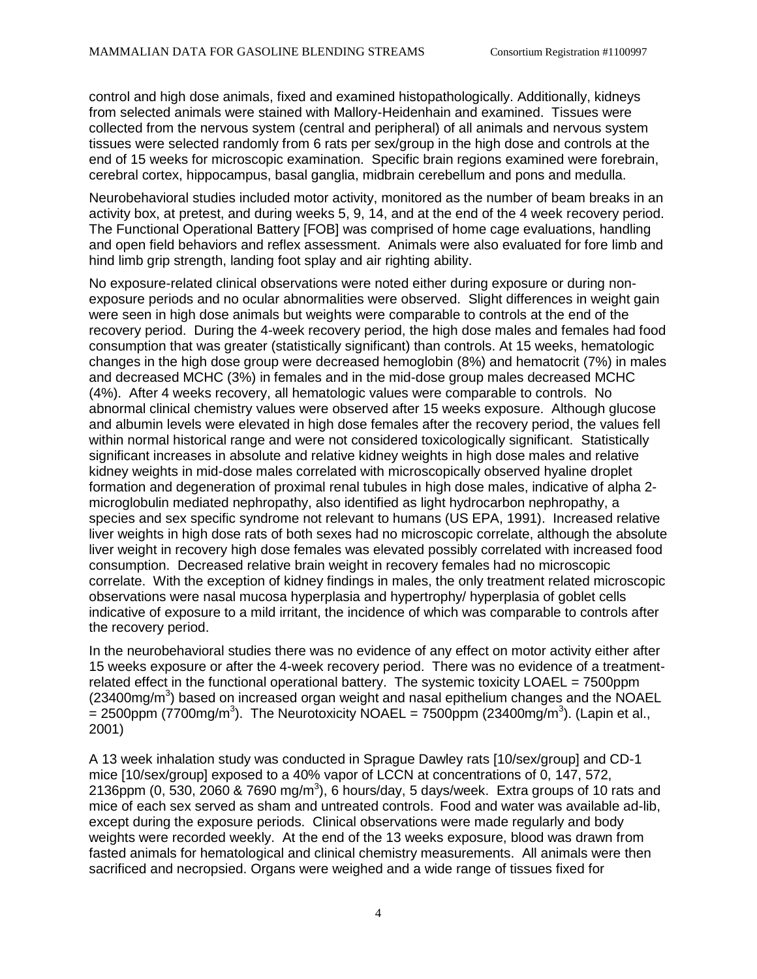control and high dose animals, fixed and examined histopathologically. Additionally, kidneys from selected animals were stained with Mallory-Heidenhain and examined. Tissues were collected from the nervous system (central and peripheral) of all animals and nervous system tissues were selected randomly from 6 rats per sex/group in the high dose and controls at the end of 15 weeks for microscopic examination. Specific brain regions examined were forebrain, cerebral cortex, hippocampus, basal ganglia, midbrain cerebellum and pons and medulla.

Neurobehavioral studies included motor activity, monitored as the number of beam breaks in an activity box, at pretest, and during weeks 5, 9, 14, and at the end of the 4 week recovery period. The Functional Operational Battery [FOB] was comprised of home cage evaluations, handling and open field behaviors and reflex assessment. Animals were also evaluated for fore limb and hind limb grip strength, landing foot splay and air righting ability.

No exposure-related clinical observations were noted either during exposure or during nonexposure periods and no ocular abnormalities were observed. Slight differences in weight gain were seen in high dose animals but weights were comparable to controls at the end of the recovery period. During the 4-week recovery period, the high dose males and females had food consumption that was greater (statistically significant) than controls. At 15 weeks, hematologic changes in the high dose group were decreased hemoglobin (8%) and hematocrit (7%) in males and decreased MCHC (3%) in females and in the mid-dose group males decreased MCHC (4%). After 4 weeks recovery, all hematologic values were comparable to controls. No abnormal clinical chemistry values were observed after 15 weeks exposure. Although glucose and albumin levels were elevated in high dose females after the recovery period, the values fell within normal historical range and were not considered toxicologically significant. Statistically significant increases in absolute and relative kidney weights in high dose males and relative kidney weights in mid-dose males correlated with microscopically observed hyaline droplet formation and degeneration of proximal renal tubules in high dose males, indicative of alpha 2 microglobulin mediated nephropathy, also identified as light hydrocarbon nephropathy, a species and sex specific syndrome not relevant to humans (US EPA, 1991). Increased relative liver weights in high dose rats of both sexes had no microscopic correlate, although the absolute liver weight in recovery high dose females was elevated possibly correlated with increased food consumption. Decreased relative brain weight in recovery females had no microscopic correlate. With the exception of kidney findings in males, the only treatment related microscopic observations were nasal mucosa hyperplasia and hypertrophy/ hyperplasia of goblet cells indicative of exposure to a mild irritant, the incidence of which was comparable to controls after the recovery period.

In the neurobehavioral studies there was no evidence of any effect on motor activity either after 15 weeks exposure or after the 4-week recovery period. There was no evidence of a treatmentrelated effect in the functional operational battery. The systemic toxicity LOAEL = 7500ppm  $(23400mg/m<sup>3</sup>)$  based on increased organ weight and nasal epithelium changes and the NOAEL  $=$  2500ppm (7700mg/m<sup>3</sup>). The Neurotoxicity NOAEL = 7500ppm (23400mg/m<sup>3</sup>). (Lapin et al., 2001)

A 13 week inhalation study was conducted in Sprague Dawley rats [10/sex/group] and CD-1 mice [10/sex/group] exposed to a 40% vapor of LCCN at concentrations of 0, 147, 572, 2136ppm (0, 530, 2060 & 7690 mg/m<sup>3</sup>), 6 hours/day, 5 days/week. Extra groups of 10 rats and mice of each sex served as sham and untreated controls. Food and water was available ad-lib, except during the exposure periods. Clinical observations were made regularly and body weights were recorded weekly. At the end of the 13 weeks exposure, blood was drawn from fasted animals for hematological and clinical chemistry measurements. All animals were then sacrificed and necropsied. Organs were weighed and a wide range of tissues fixed for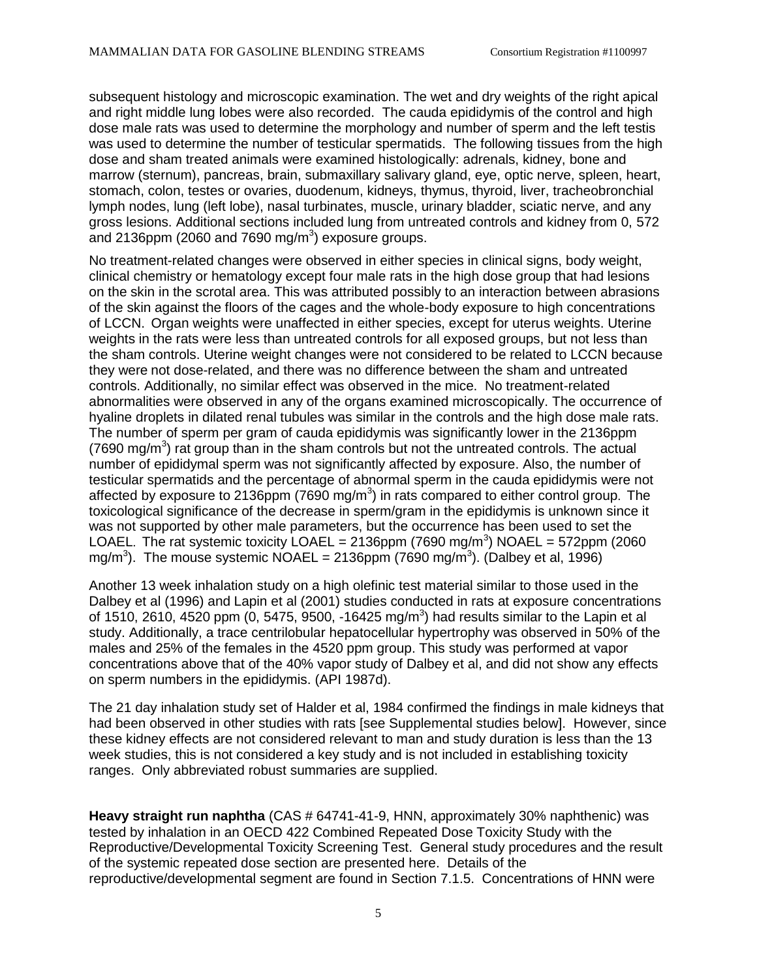subsequent histology and microscopic examination. The wet and dry weights of the right apical and right middle lung lobes were also recorded. The cauda epididymis of the control and high dose male rats was used to determine the morphology and number of sperm and the left testis was used to determine the number of testicular spermatids. The following tissues from the high dose and sham treated animals were examined histologically: adrenals, kidney, bone and marrow (sternum), pancreas, brain, submaxillary salivary gland, eye, optic nerve, spleen, heart, stomach, colon, testes or ovaries, duodenum, kidneys, thymus, thyroid, liver, tracheobronchial lymph nodes, lung (left lobe), nasal turbinates, muscle, urinary bladder, sciatic nerve, and any gross lesions. Additional sections included lung from untreated controls and kidney from 0, 572 and 2136ppm (2060 and 7690 mg/m<sup>3</sup>) exposure groups.

No treatment-related changes were observed in either species in clinical signs, body weight, clinical chemistry or hematology except four male rats in the high dose group that had lesions on the skin in the scrotal area. This was attributed possibly to an interaction between abrasions of the skin against the floors of the cages and the whole-body exposure to high concentrations of LCCN. Organ weights were unaffected in either species, except for uterus weights. Uterine weights in the rats were less than untreated controls for all exposed groups, but not less than the sham controls. Uterine weight changes were not considered to be related to LCCN because they were not dose-related, and there was no difference between the sham and untreated controls. Additionally, no similar effect was observed in the mice. No treatment-related abnormalities were observed in any of the organs examined microscopically. The occurrence of hyaline droplets in dilated renal tubules was similar in the controls and the high dose male rats. The number of sperm per gram of cauda epididymis was significantly lower in the 2136ppm  $(7690 \text{ mg/m}^3)$  rat group than in the sham controls but not the untreated controls. The actual number of epididymal sperm was not significantly affected by exposure. Also, the number of testicular spermatids and the percentage of abnormal sperm in the cauda epididymis were not affected by exposure to 2136ppm (7690 mg/m<sup>3</sup>) in rats compared to either control group. The toxicological significance of the decrease in sperm/gram in the epididymis is unknown since it was not supported by other male parameters, but the occurrence has been used to set the LOAEL. The rat systemic toxicity LOAEL = 2136ppm (7690 mg/m<sup>3</sup>) NOAEL = 572ppm (2060 mg/m<sup>3</sup>). The mouse systemic NOAEL = 2136ppm (7690 mg/m<sup>3</sup>). (Dalbey et al, 1996)

Another 13 week inhalation study on a high olefinic test material similar to those used in the Dalbey et al (1996) and Lapin et al (2001) studies conducted in rats at exposure concentrations of 1510, 2610, 4520 ppm (0, 5475, 9500, -16425 mg/m<sup>3</sup>) had results similar to the Lapin et al study. Additionally, a trace centrilobular hepatocellular hypertrophy was observed in 50% of the males and 25% of the females in the 4520 ppm group. This study was performed at vapor concentrations above that of the 40% vapor study of Dalbey et al, and did not show any effects on sperm numbers in the epididymis. (API 1987d).

The 21 day inhalation study set of Halder et al, 1984 confirmed the findings in male kidneys that had been observed in other studies with rats [see Supplemental studies below]. However, since these kidney effects are not considered relevant to man and study duration is less than the 13 week studies, this is not considered a key study and is not included in establishing toxicity ranges. Only abbreviated robust summaries are supplied.

**Heavy straight run naphtha** (CAS # 64741-41-9, HNN, approximately 30% naphthenic) was tested by inhalation in an OECD 422 Combined Repeated Dose Toxicity Study with the Reproductive/Developmental Toxicity Screening Test. General study procedures and the result of the systemic repeated dose section are presented here. Details of the reproductive/developmental segment are found in Section 7.1.5. Concentrations of HNN were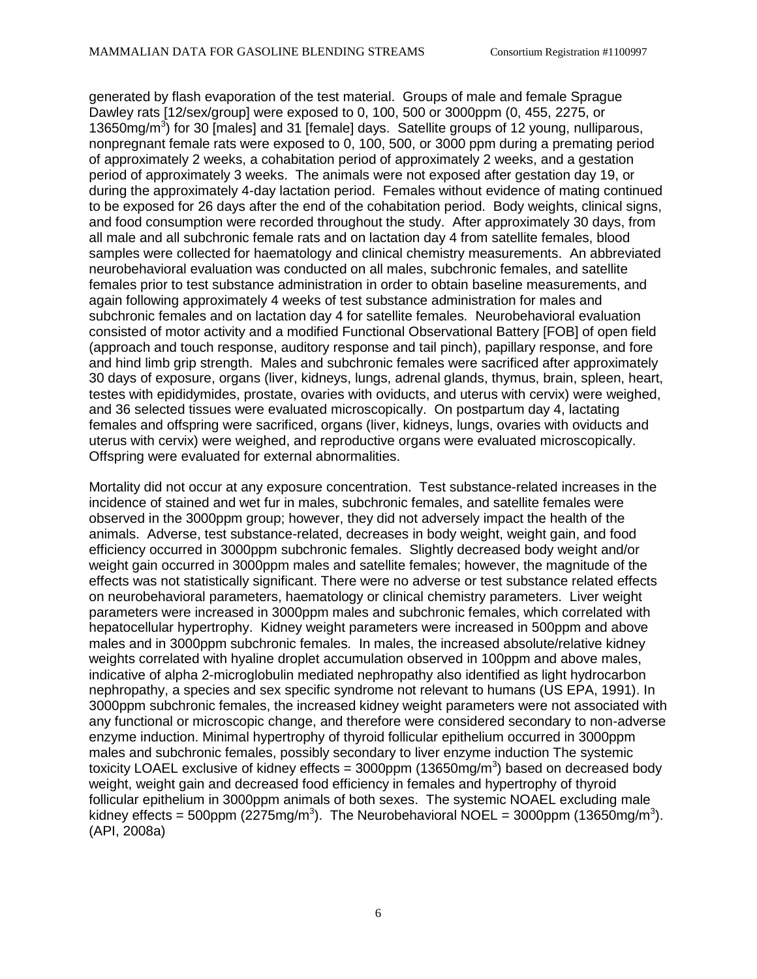generated by flash evaporation of the test material. Groups of male and female Sprague Dawley rats [12/sex/group] were exposed to 0, 100, 500 or 3000ppm (0, 455, 2275, or 13650mg/m<sup>3</sup>) for 30 [males] and 31 [female] days. Satellite groups of 12 young, nulliparous, nonpregnant female rats were exposed to 0, 100, 500, or 3000 ppm during a premating period of approximately 2 weeks, a cohabitation period of approximately 2 weeks, and a gestation period of approximately 3 weeks. The animals were not exposed after gestation day 19, or during the approximately 4-day lactation period. Females without evidence of mating continued to be exposed for 26 days after the end of the cohabitation period. Body weights, clinical signs, and food consumption were recorded throughout the study. After approximately 30 days, from all male and all subchronic female rats and on lactation day 4 from satellite females, blood samples were collected for haematology and clinical chemistry measurements. An abbreviated neurobehavioral evaluation was conducted on all males, subchronic females, and satellite females prior to test substance administration in order to obtain baseline measurements, and again following approximately 4 weeks of test substance administration for males and subchronic females and on lactation day 4 for satellite females. Neurobehavioral evaluation consisted of motor activity and a modified Functional Observational Battery [FOB] of open field (approach and touch response, auditory response and tail pinch), papillary response, and fore and hind limb grip strength. Males and subchronic females were sacrificed after approximately 30 days of exposure, organs (liver, kidneys, lungs, adrenal glands, thymus, brain, spleen, heart, testes with epididymides, prostate, ovaries with oviducts, and uterus with cervix) were weighed, and 36 selected tissues were evaluated microscopically. On postpartum day 4, lactating females and offspring were sacrificed, organs (liver, kidneys, lungs, ovaries with oviducts and uterus with cervix) were weighed, and reproductive organs were evaluated microscopically. Offspring were evaluated for external abnormalities.

Mortality did not occur at any exposure concentration. Test substance-related increases in the incidence of stained and wet fur in males, subchronic females, and satellite females were observed in the 3000ppm group; however, they did not adversely impact the health of the animals. Adverse, test substance-related, decreases in body weight, weight gain, and food efficiency occurred in 3000ppm subchronic females. Slightly decreased body weight and/or weight gain occurred in 3000ppm males and satellite females; however, the magnitude of the effects was not statistically significant. There were no adverse or test substance related effects on neurobehavioral parameters, haematology or clinical chemistry parameters. Liver weight parameters were increased in 3000ppm males and subchronic females, which correlated with hepatocellular hypertrophy. Kidney weight parameters were increased in 500ppm and above males and in 3000ppm subchronic females. In males, the increased absolute/relative kidney weights correlated with hyaline droplet accumulation observed in 100ppm and above males, indicative of alpha 2-microglobulin mediated nephropathy also identified as light hydrocarbon nephropathy, a species and sex specific syndrome not relevant to humans (US EPA, 1991). In 3000ppm subchronic females, the increased kidney weight parameters were not associated with any functional or microscopic change, and therefore were considered secondary to non-adverse enzyme induction. Minimal hypertrophy of thyroid follicular epithelium occurred in 3000ppm males and subchronic females, possibly secondary to liver enzyme induction The systemic toxicity LOAEL exclusive of kidney effects =  $3000$ ppm (13650mg/m<sup>3</sup>) based on decreased body weight, weight gain and decreased food efficiency in females and hypertrophy of thyroid follicular epithelium in 3000ppm animals of both sexes. The systemic NOAEL excluding male kidney effects = 500ppm (2275mg/m<sup>3</sup>). The Neurobehavioral NOEL = 3000ppm (13650mg/m<sup>3</sup>). (API, 2008a)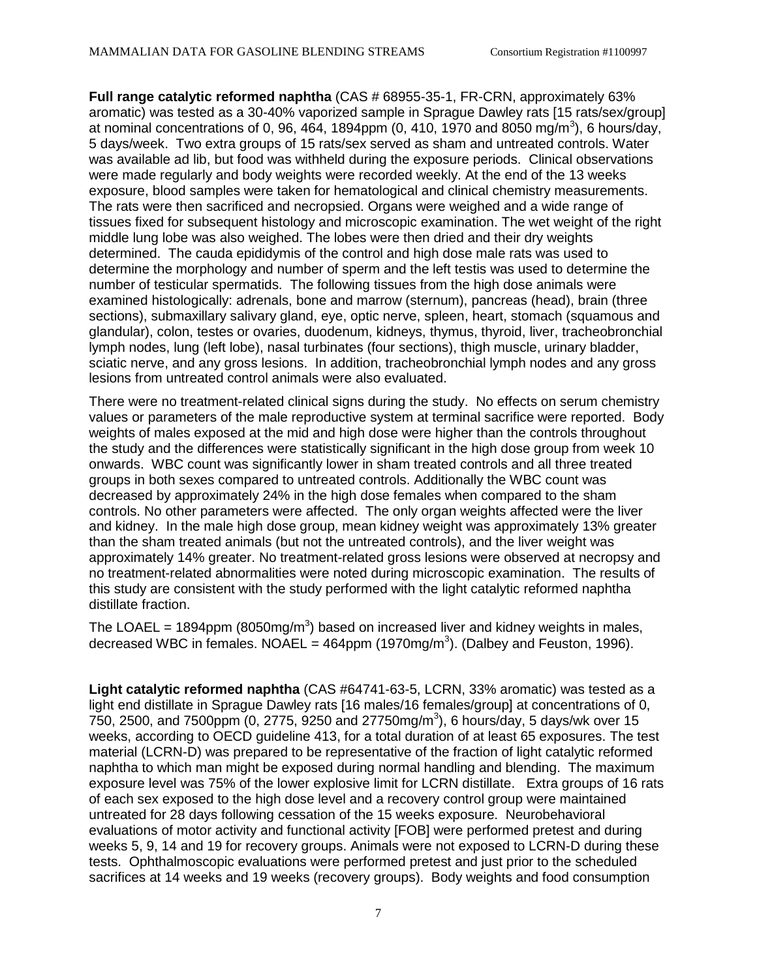**Full range catalytic reformed naphtha** (CAS # 68955-35-1, FR-CRN, approximately 63% aromatic) was tested as a 30-40% vaporized sample in Sprague Dawley rats [15 rats/sex/group] at nominal concentrations of 0, 96, 464, 1894ppm (0, 410, 1970 and 8050 mg/m<sup>3</sup>), 6 hours/day, 5 days/week. Two extra groups of 15 rats/sex served as sham and untreated controls. Water was available ad lib, but food was withheld during the exposure periods. Clinical observations were made regularly and body weights were recorded weekly. At the end of the 13 weeks exposure, blood samples were taken for hematological and clinical chemistry measurements. The rats were then sacrificed and necropsied. Organs were weighed and a wide range of tissues fixed for subsequent histology and microscopic examination. The wet weight of the right middle lung lobe was also weighed. The lobes were then dried and their dry weights determined. The cauda epididymis of the control and high dose male rats was used to determine the morphology and number of sperm and the left testis was used to determine the number of testicular spermatids. The following tissues from the high dose animals were examined histologically: adrenals, bone and marrow (sternum), pancreas (head), brain (three sections), submaxillary salivary gland, eye, optic nerve, spleen, heart, stomach (squamous and glandular), colon, testes or ovaries, duodenum, kidneys, thymus, thyroid, liver, tracheobronchial lymph nodes, lung (left lobe), nasal turbinates (four sections), thigh muscle, urinary bladder, sciatic nerve, and any gross lesions. In addition, tracheobronchial lymph nodes and any gross lesions from untreated control animals were also evaluated.

There were no treatment-related clinical signs during the study. No effects on serum chemistry values or parameters of the male reproductive system at terminal sacrifice were reported. Body weights of males exposed at the mid and high dose were higher than the controls throughout the study and the differences were statistically significant in the high dose group from week 10 onwards. WBC count was significantly lower in sham treated controls and all three treated groups in both sexes compared to untreated controls. Additionally the WBC count was decreased by approximately 24% in the high dose females when compared to the sham controls. No other parameters were affected. The only organ weights affected were the liver and kidney. In the male high dose group, mean kidney weight was approximately 13% greater than the sham treated animals (but not the untreated controls), and the liver weight was approximately 14% greater. No treatment-related gross lesions were observed at necropsy and no treatment-related abnormalities were noted during microscopic examination. The results of this study are consistent with the study performed with the light catalytic reformed naphtha distillate fraction.

The LOAEL = 1894ppm (8050mg/m<sup>3</sup>) based on increased liver and kidney weights in males, decreased WBC in females. NOAEL =  $464$ ppm (1970mg/m<sup>3</sup>). (Dalbey and Feuston, 1996).

**Light catalytic reformed naphtha** (CAS #64741-63-5, LCRN, 33% aromatic) was tested as a light end distillate in Sprague Dawley rats [16 males/16 females/group] at concentrations of 0,  $750$ , 2500, and 7500ppm (0, 2775, 9250 and 27750mg/m<sup>3</sup>), 6 hours/day, 5 days/wk over 15 weeks, according to OECD guideline 413, for a total duration of at least 65 exposures. The test material (LCRN-D) was prepared to be representative of the fraction of light catalytic reformed naphtha to which man might be exposed during normal handling and blending. The maximum exposure level was 75% of the lower explosive limit for LCRN distillate. Extra groups of 16 rats of each sex exposed to the high dose level and a recovery control group were maintained untreated for 28 days following cessation of the 15 weeks exposure. Neurobehavioral evaluations of motor activity and functional activity [FOB] were performed pretest and during weeks 5, 9, 14 and 19 for recovery groups. Animals were not exposed to LCRN-D during these tests. Ophthalmoscopic evaluations were performed pretest and just prior to the scheduled sacrifices at 14 weeks and 19 weeks (recovery groups). Body weights and food consumption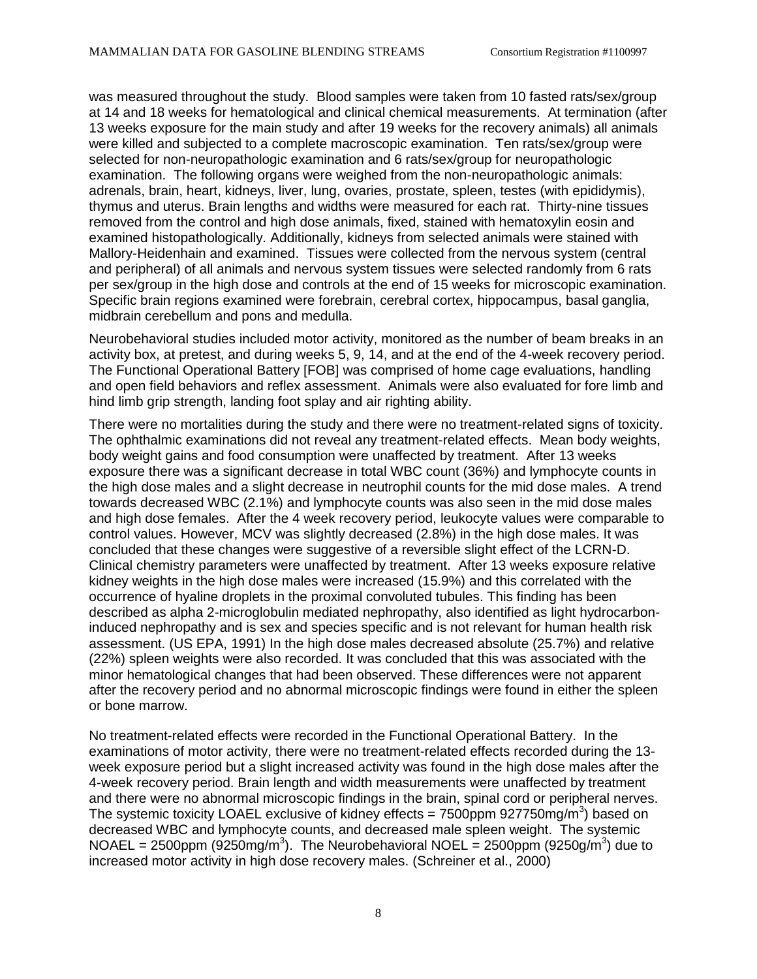was measured throughout the study. Blood samples were taken from 10 fasted rats/sex/group at 14 and 18 weeks for hematological and clinical chemical measurements. At termination (after 13 weeks exposure for the main study and after 19 weeks for the recovery animals) all animals were killed and subjected to a complete macroscopic examination. Ten rats/sex/group were selected for non-neuropathologic examination and 6 rats/sex/group for neuropathologic examination. The following organs were weighed from the non-neuropathologic animals: adrenals, brain, heart, kidneys, liver, lung, ovaries, prostate, spleen, testes (with epididymis), thymus and uterus. Brain lengths and widths were measured for each rat. Thirty-nine tissues removed from the control and high dose animals, fixed, stained with hematoxylin eosin and examined histopathologically. Additionally, kidneys from selected animals were stained with Mallory-Heidenhain and examined. Tissues were collected from the nervous system (central and peripheral) of all animals and nervous system tissues were selected randomly from 6 rats per sex/group in the high dose and controls at the end of 15 weeks for microscopic examination. Specific brain regions examined were forebrain, cerebral cortex, hippocampus, basal ganglia, midbrain cerebellum and pons and medulla.

Neurobehavioral studies included motor activity, monitored as the number of beam breaks in an activity box, at pretest, and during weeks 5, 9, 14, and at the end of the 4-week recovery period. The Functional Operational Battery [FOB] was comprised of home cage evaluations, handling and open field behaviors and reflex assessment. Animals were also evaluated for fore limb and hind limb grip strength, landing foot splay and air righting ability.

There were no mortalities during the study and there were no treatment-related signs of toxicity. The ophthalmic examinations did not reveal any treatment-related effects. Mean body weights, body weight gains and food consumption were unaffected by treatment. After 13 weeks exposure there was a significant decrease in total WBC count (36%) and lymphocyte counts in the high dose males and a slight decrease in neutrophil counts for the mid dose males. A trend towards decreased WBC (2.1%) and lymphocyte counts was also seen in the mid dose males and high dose females. After the 4 week recovery period, leukocyte values were comparable to control values. However, MCV was slightly decreased (2.8%) in the high dose males. It was concluded that these changes were suggestive of a reversible slight effect of the LCRN-D. Clinical chemistry parameters were unaffected by treatment. After 13 weeks exposure relative kidney weights in the high dose males were increased (15.9%) and this correlated with the occurrence of hyaline droplets in the proximal convoluted tubules. This finding has been described as alpha 2-microglobulin mediated nephropathy, also identified as light hydrocarboninduced nephropathy and is sex and species specific and is not relevant for human health risk assessment. (US EPA, 1991) In the high dose males decreased absolute (25.7%) and relative (22%) spleen weights were also recorded. It was concluded that this was associated with the minor hematological changes that had been observed. These differences were not apparent after the recovery period and no abnormal microscopic findings were found in either the spleen or bone marrow.

No treatment-related effects were recorded in the Functional Operational Battery. In the examinations of motor activity, there were no treatment-related effects recorded during the 13 week exposure period but a slight increased activity was found in the high dose males after the 4-week recovery period. Brain length and width measurements were unaffected by treatment and there were no abnormal microscopic findings in the brain, spinal cord or peripheral nerves. The systemic toxicity LOAEL exclusive of kidney effects = 7500ppm 927750mg/m<sup>3</sup>) based on decreased WBC and lymphocyte counts, and decreased male spleen weight. The systemic NOAEL = 2500ppm (9250mg/m<sup>3</sup>). The Neurobehavioral NOEL = 2500ppm (9250g/m<sup>3</sup>) due to increased motor activity in high dose recovery males. (Schreiner et al., 2000)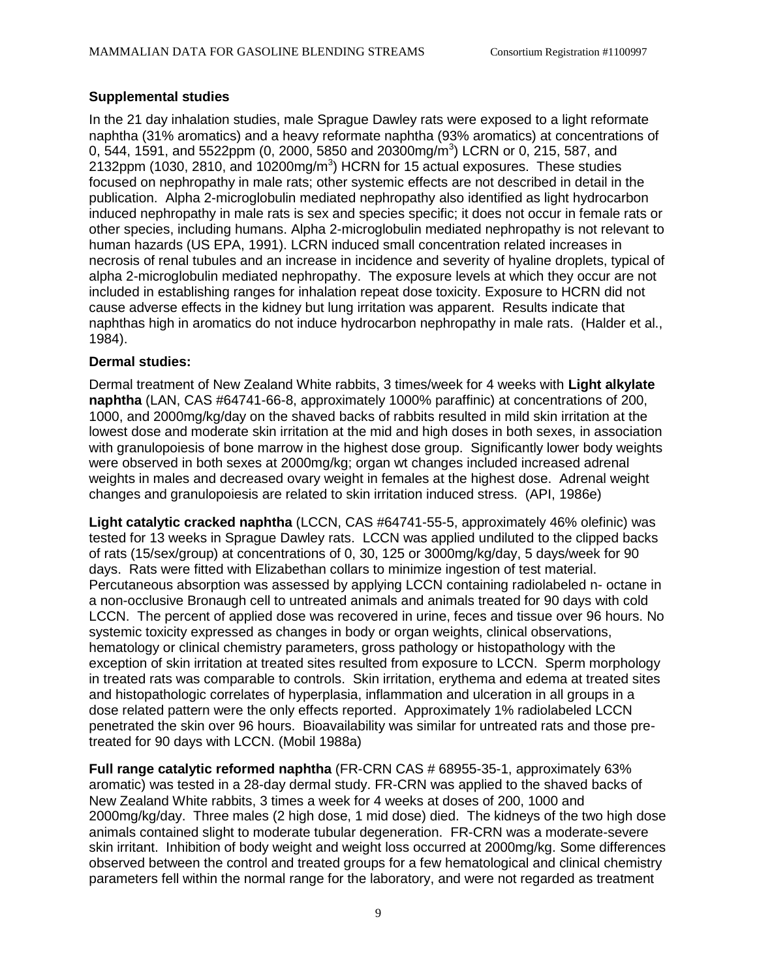#### **Supplemental studies**

In the 21 day inhalation studies, male Sprague Dawley rats were exposed to a light reformate naphtha (31% aromatics) and a heavy reformate naphtha (93% aromatics) at concentrations of 0, 544, 1591, and 5522ppm (0, 2000, 5850 and 20300mg/m<sup>3</sup>) LCRN or 0, 215, 587, and 2132ppm (1030, 2810, and 10200mg/m<sup>3</sup>) HCRN for 15 actual exposures. These studies focused on nephropathy in male rats; other systemic effects are not described in detail in the publication. Alpha 2-microglobulin mediated nephropathy also identified as light hydrocarbon induced nephropathy in male rats is sex and species specific; it does not occur in female rats or other species, including humans. Alpha 2-microglobulin mediated nephropathy is not relevant to human hazards (US EPA, 1991). LCRN induced small concentration related increases in necrosis of renal tubules and an increase in incidence and severity of hyaline droplets, typical of alpha 2-microglobulin mediated nephropathy. The exposure levels at which they occur are not included in establishing ranges for inhalation repeat dose toxicity. Exposure to HCRN did not cause adverse effects in the kidney but lung irritation was apparent. Results indicate that naphthas high in aromatics do not induce hydrocarbon nephropathy in male rats. (Halder et al., 1984).

#### **Dermal studies:**

Dermal treatment of New Zealand White rabbits, 3 times/week for 4 weeks with **Light alkylate naphtha** (LAN, CAS #64741-66-8, approximately 1000% paraffinic) at concentrations of 200, 1000, and 2000mg/kg/day on the shaved backs of rabbits resulted in mild skin irritation at the lowest dose and moderate skin irritation at the mid and high doses in both sexes, in association with granulopoiesis of bone marrow in the highest dose group. Significantly lower body weights were observed in both sexes at 2000mg/kg; organ wt changes included increased adrenal weights in males and decreased ovary weight in females at the highest dose. Adrenal weight changes and granulopoiesis are related to skin irritation induced stress. (API, 1986e)

**Light catalytic cracked naphtha** (LCCN, CAS #64741-55-5, approximately 46% olefinic) was tested for 13 weeks in Sprague Dawley rats. LCCN was applied undiluted to the clipped backs of rats (15/sex/group) at concentrations of 0, 30, 125 or 3000mg/kg/day, 5 days/week for 90 days. Rats were fitted with Elizabethan collars to minimize ingestion of test material. Percutaneous absorption was assessed by applying LCCN containing radiolabeled n- octane in a non-occlusive Bronaugh cell to untreated animals and animals treated for 90 days with cold LCCN. The percent of applied dose was recovered in urine, feces and tissue over 96 hours. No systemic toxicity expressed as changes in body or organ weights, clinical observations, hematology or clinical chemistry parameters, gross pathology or histopathology with the exception of skin irritation at treated sites resulted from exposure to LCCN. Sperm morphology in treated rats was comparable to controls. Skin irritation, erythema and edema at treated sites and histopathologic correlates of hyperplasia, inflammation and ulceration in all groups in a dose related pattern were the only effects reported. Approximately 1% radiolabeled LCCN penetrated the skin over 96 hours. Bioavailability was similar for untreated rats and those pretreated for 90 days with LCCN. (Mobil 1988a)

**Full range catalytic reformed naphtha** (FR-CRN CAS # 68955-35-1, approximately 63% aromatic) was tested in a 28-day dermal study. FR-CRN was applied to the shaved backs of New Zealand White rabbits, 3 times a week for 4 weeks at doses of 200, 1000 and 2000mg/kg/day. Three males (2 high dose, 1 mid dose) died. The kidneys of the two high dose animals contained slight to moderate tubular degeneration. FR-CRN was a moderate-severe skin irritant. Inhibition of body weight and weight loss occurred at 2000mg/kg. Some differences observed between the control and treated groups for a few hematological and clinical chemistry parameters fell within the normal range for the laboratory, and were not regarded as treatment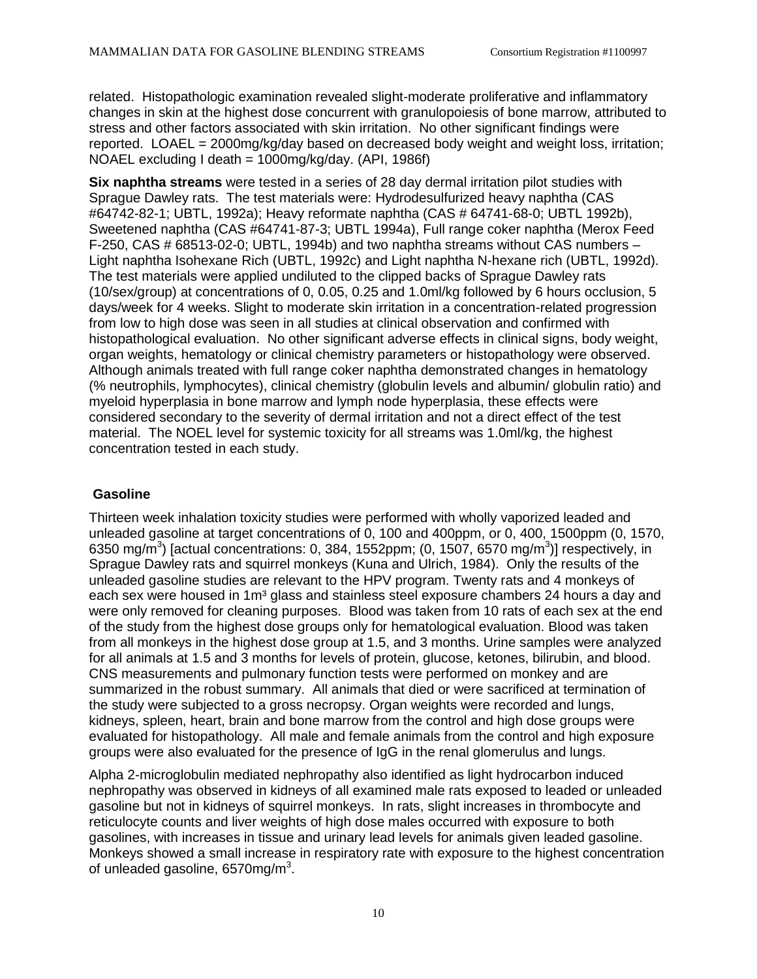related. Histopathologic examination revealed slight-moderate proliferative and inflammatory changes in skin at the highest dose concurrent with granulopoiesis of bone marrow, attributed to stress and other factors associated with skin irritation. No other significant findings were reported. LOAEL = 2000mg/kg/day based on decreased body weight and weight loss, irritation; NOAEL excluding I death = 1000mg/kg/day. (API, 1986f)

**Six naphtha streams** were tested in a series of 28 day dermal irritation pilot studies with Sprague Dawley rats. The test materials were: Hydrodesulfurized heavy naphtha (CAS #64742-82-1; UBTL, 1992a); Heavy reformate naphtha (CAS # 64741-68-0; UBTL 1992b), Sweetened naphtha (CAS #64741-87-3; UBTL 1994a), Full range coker naphtha (Merox Feed F-250, CAS # 68513-02-0; UBTL, 1994b) and two naphtha streams without CAS numbers – Light naphtha Isohexane Rich (UBTL, 1992c) and Light naphtha N-hexane rich (UBTL, 1992d). The test materials were applied undiluted to the clipped backs of Sprague Dawley rats (10/sex/group) at concentrations of 0, 0.05, 0.25 and 1.0ml/kg followed by 6 hours occlusion, 5 days/week for 4 weeks. Slight to moderate skin irritation in a concentration-related progression from low to high dose was seen in all studies at clinical observation and confirmed with histopathological evaluation. No other significant adverse effects in clinical signs, body weight, organ weights, hematology or clinical chemistry parameters or histopathology were observed. Although animals treated with full range coker naphtha demonstrated changes in hematology (% neutrophils, lymphocytes), clinical chemistry (globulin levels and albumin/ globulin ratio) and myeloid hyperplasia in bone marrow and lymph node hyperplasia, these effects were considered secondary to the severity of dermal irritation and not a direct effect of the test material. The NOEL level for systemic toxicity for all streams was 1.0ml/kg, the highest concentration tested in each study.

#### **Gasoline**

Thirteen week inhalation toxicity studies were performed with wholly vaporized leaded and unleaded gasoline at target concentrations of 0, 100 and 400ppm, or 0, 400, 1500ppm (0, 1570, 6350 mg/m<sup>3</sup>) [actual concentrations: 0, 384, 1552ppm; (0, 1507, 6570 mg/m<sup>3</sup>)] respectively, in Sprague Dawley rats and squirrel monkeys (Kuna and Ulrich, 1984). Only the results of the unleaded gasoline studies are relevant to the HPV program. Twenty rats and 4 monkeys of each sex were housed in 1m<sup>3</sup> glass and stainless steel exposure chambers 24 hours a day and were only removed for cleaning purposes. Blood was taken from 10 rats of each sex at the end of the study from the highest dose groups only for hematological evaluation. Blood was taken from all monkeys in the highest dose group at 1.5, and 3 months. Urine samples were analyzed for all animals at 1.5 and 3 months for levels of protein, glucose, ketones, bilirubin, and blood. CNS measurements and pulmonary function tests were performed on monkey and are summarized in the robust summary. All animals that died or were sacrificed at termination of the study were subjected to a gross necropsy. Organ weights were recorded and lungs, kidneys, spleen, heart, brain and bone marrow from the control and high dose groups were evaluated for histopathology. All male and female animals from the control and high exposure groups were also evaluated for the presence of IgG in the renal glomerulus and lungs.

Alpha 2-microglobulin mediated nephropathy also identified as light hydrocarbon induced nephropathy was observed in kidneys of all examined male rats exposed to leaded or unleaded gasoline but not in kidneys of squirrel monkeys. In rats, slight increases in thrombocyte and reticulocyte counts and liver weights of high dose males occurred with exposure to both gasolines, with increases in tissue and urinary lead levels for animals given leaded gasoline. Monkeys showed a small increase in respiratory rate with exposure to the highest concentration of unleaded gasoline, 6570mg/m $3$ .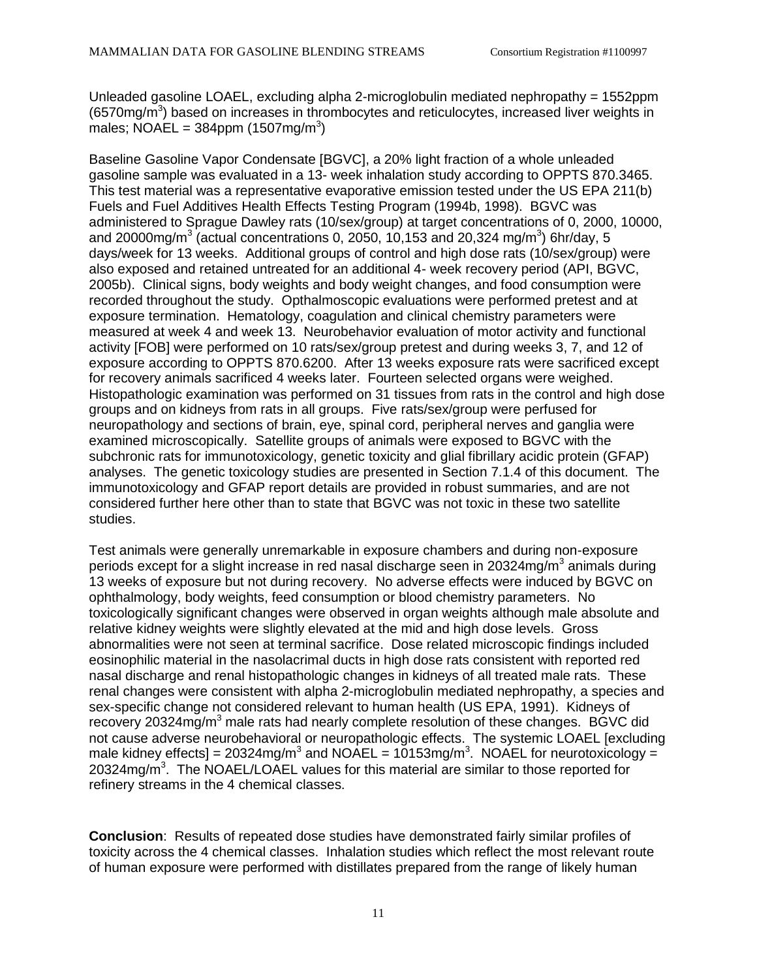Unleaded gasoline LOAEL, excluding alpha 2-microglobulin mediated nephropathy = 1552ppm (6570mg/m<sup>3</sup>) based on increases in thrombocytes and reticulocytes, increased liver weights in males; NOAEL =  $384$ ppm (1507mg/m<sup>3</sup>)

Baseline Gasoline Vapor Condensate [BGVC], a 20% light fraction of a whole unleaded gasoline sample was evaluated in a 13- week inhalation study according to OPPTS 870.3465. This test material was a representative evaporative emission tested under the US EPA 211(b) Fuels and Fuel Additives Health Effects Testing Program (1994b, 1998). BGVC was administered to Sprague Dawley rats (10/sex/group) at target concentrations of 0, 2000, 10000, and 20000mg/m<sup>3</sup> (actual concentrations 0, 2050, 10,153 and 20,324 mg/m<sup>3</sup>) 6hr/day, 5 days/week for 13 weeks. Additional groups of control and high dose rats (10/sex/group) were also exposed and retained untreated for an additional 4- week recovery period (API, BGVC, 2005b). Clinical signs, body weights and body weight changes, and food consumption were recorded throughout the study. Opthalmoscopic evaluations were performed pretest and at exposure termination. Hematology, coagulation and clinical chemistry parameters were measured at week 4 and week 13. Neurobehavior evaluation of motor activity and functional activity [FOB] were performed on 10 rats/sex/group pretest and during weeks 3, 7, and 12 of exposure according to OPPTS 870.6200. After 13 weeks exposure rats were sacrificed except for recovery animals sacrificed 4 weeks later. Fourteen selected organs were weighed. Histopathologic examination was performed on 31 tissues from rats in the control and high dose groups and on kidneys from rats in all groups. Five rats/sex/group were perfused for neuropathology and sections of brain, eye, spinal cord, peripheral nerves and ganglia were examined microscopically. Satellite groups of animals were exposed to BGVC with the subchronic rats for immunotoxicology, genetic toxicity and glial fibrillary acidic protein (GFAP) analyses. The genetic toxicology studies are presented in Section 7.1.4 of this document. The immunotoxicology and GFAP report details are provided in robust summaries, and are not considered further here other than to state that BGVC was not toxic in these two satellite studies.

Test animals were generally unremarkable in exposure chambers and during non-exposure periods except for a slight increase in red nasal discharge seen in 20324mg/m<sup>3</sup> animals during 13 weeks of exposure but not during recovery. No adverse effects were induced by BGVC on ophthalmology, body weights, feed consumption or blood chemistry parameters. No toxicologically significant changes were observed in organ weights although male absolute and relative kidney weights were slightly elevated at the mid and high dose levels. Gross abnormalities were not seen at terminal sacrifice. Dose related microscopic findings included eosinophilic material in the nasolacrimal ducts in high dose rats consistent with reported red nasal discharge and renal histopathologic changes in kidneys of all treated male rats. These renal changes were consistent with alpha 2-microglobulin mediated nephropathy, a species and sex-specific change not considered relevant to human health (US EPA, 1991). Kidneys of recovery 20324mg/m<sup>3</sup> male rats had nearly complete resolution of these changes. BGVC did not cause adverse neurobehavioral or neuropathologic effects. The systemic LOAEL [excluding male kidney effects] = 20324mg/m<sup>3</sup> and NOAEL = 10153mg/m<sup>3</sup>. NOAEL for neurotoxicology = 20324mg/m<sup>3</sup>. The NOAEL/LOAEL values for this material are similar to those reported for refinery streams in the 4 chemical classes.

**Conclusion**: Results of repeated dose studies have demonstrated fairly similar profiles of toxicity across the 4 chemical classes. Inhalation studies which reflect the most relevant route of human exposure were performed with distillates prepared from the range of likely human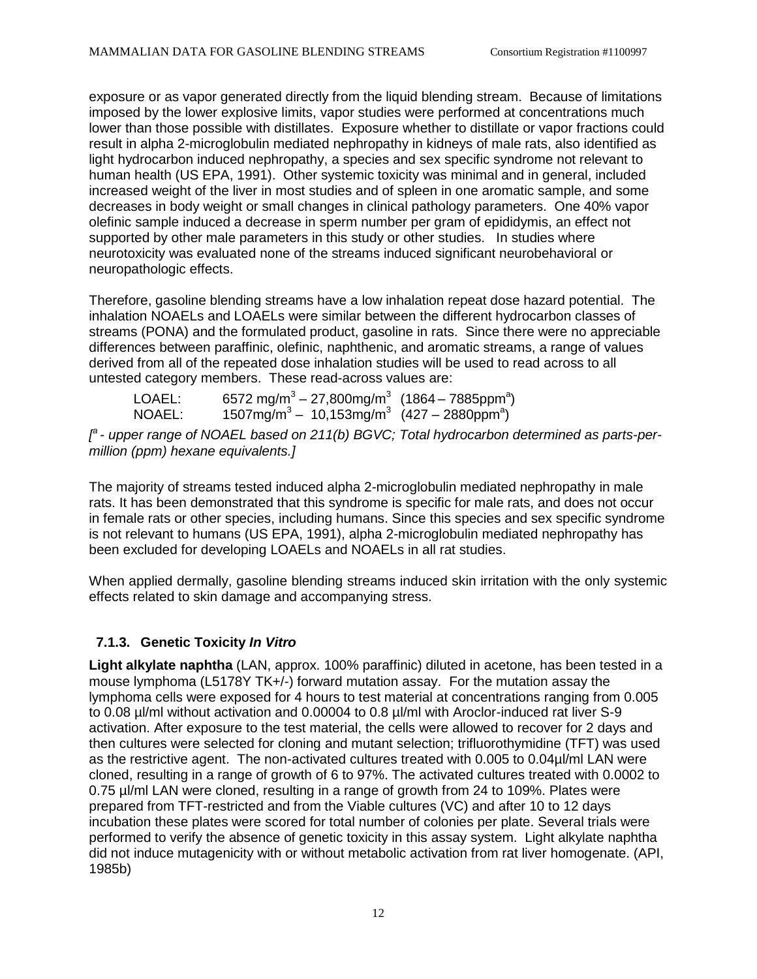exposure or as vapor generated directly from the liquid blending stream. Because of limitations imposed by the lower explosive limits, vapor studies were performed at concentrations much lower than those possible with distillates. Exposure whether to distillate or vapor fractions could result in alpha 2-microglobulin mediated nephropathy in kidneys of male rats, also identified as light hydrocarbon induced nephropathy, a species and sex specific syndrome not relevant to human health (US EPA, 1991). Other systemic toxicity was minimal and in general, included increased weight of the liver in most studies and of spleen in one aromatic sample, and some decreases in body weight or small changes in clinical pathology parameters. One 40% vapor olefinic sample induced a decrease in sperm number per gram of epididymis, an effect not supported by other male parameters in this study or other studies. In studies where neurotoxicity was evaluated none of the streams induced significant neurobehavioral or neuropathologic effects.

Therefore, gasoline blending streams have a low inhalation repeat dose hazard potential. The inhalation NOAELs and LOAELs were similar between the different hydrocarbon classes of streams (PONA) and the formulated product, gasoline in rats. Since there were no appreciable differences between paraffinic, olefinic, naphthenic, and aromatic streams, a range of values derived from all of the repeated dose inhalation studies will be used to read across to all untested category members. These read-across values are:

| LOAEL: | 6572 mg/m <sup>3</sup> – 27,800mg/m <sup>3</sup> (1864 – 7885ppm <sup>a</sup> ) |  |
|--------|---------------------------------------------------------------------------------|--|
| NOAEL: | $1507mg/m^3 - 10,153mg/m^3$ (427 – 2880ppm <sup>a</sup> )                       |  |

*[ a - upper range of NOAEL based on 211(b) BGVC; Total hydrocarbon determined as parts-permillion (ppm) hexane equivalents.]*

The majority of streams tested induced alpha 2-microglobulin mediated nephropathy in male rats. It has been demonstrated that this syndrome is specific for male rats, and does not occur in female rats or other species, including humans. Since this species and sex specific syndrome is not relevant to humans (US EPA, 1991), alpha 2-microglobulin mediated nephropathy has been excluded for developing LOAELs and NOAELs in all rat studies.

When applied dermally, gasoline blending streams induced skin irritation with the only systemic effects related to skin damage and accompanying stress.

# **7.1.3. Genetic Toxicity** *In Vitro*

**Light alkylate naphtha** (LAN, approx. 100% paraffinic) diluted in acetone, has been tested in a mouse lymphoma (L5178Y TK+/-) forward mutation assay. For the mutation assay the lymphoma cells were exposed for 4 hours to test material at concentrations ranging from 0.005 to 0.08 µl/ml without activation and 0.00004 to 0.8 µl/ml with Aroclor-induced rat liver S-9 activation. After exposure to the test material, the cells were allowed to recover for 2 days and then cultures were selected for cloning and mutant selection; trifluorothymidine (TFT) was used as the restrictive agent. The non-activated cultures treated with 0.005 to 0.04µl/ml LAN were cloned, resulting in a range of growth of 6 to 97%. The activated cultures treated with 0.0002 to 0.75 µl/ml LAN were cloned, resulting in a range of growth from 24 to 109%. Plates were prepared from TFT-restricted and from the Viable cultures (VC) and after 10 to 12 days incubation these plates were scored for total number of colonies per plate. Several trials were performed to verify the absence of genetic toxicity in this assay system. Light alkylate naphtha did not induce mutagenicity with or without metabolic activation from rat liver homogenate. (API, 1985b)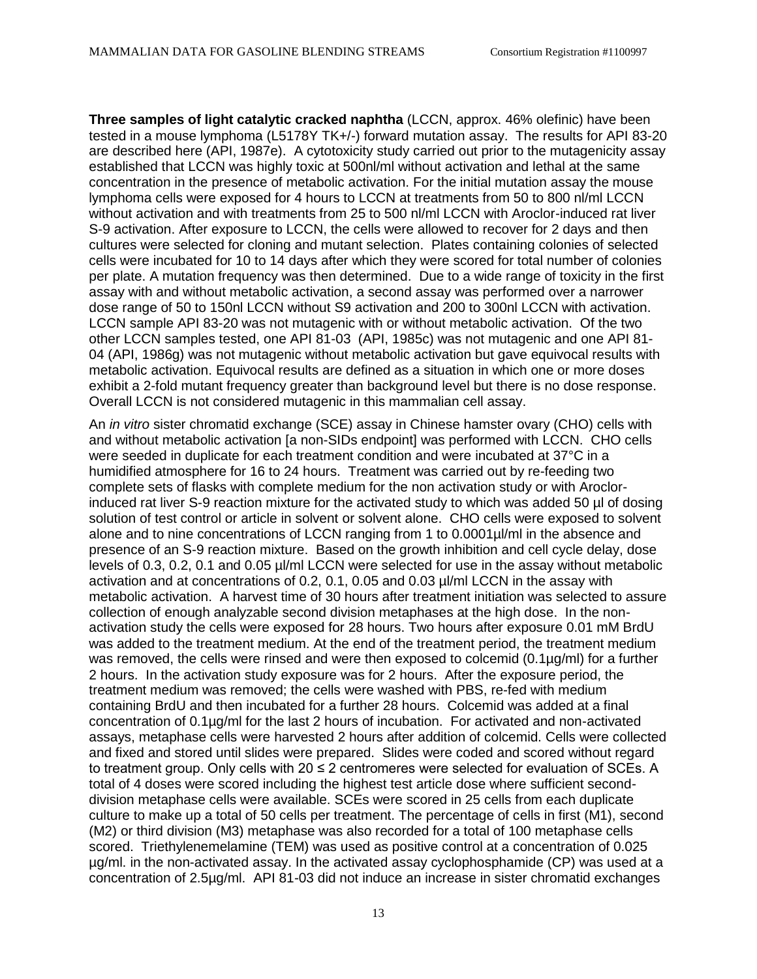**Three samples of light catalytic cracked naphtha** (LCCN, approx. 46% olefinic) have been tested in a mouse lymphoma (L5178Y TK+/-) forward mutation assay. The results for API 83-20 are described here (API, 1987e). A cytotoxicity study carried out prior to the mutagenicity assay established that LCCN was highly toxic at 500nl/ml without activation and lethal at the same concentration in the presence of metabolic activation. For the initial mutation assay the mouse lymphoma cells were exposed for 4 hours to LCCN at treatments from 50 to 800 nl/ml LCCN without activation and with treatments from 25 to 500 nl/ml LCCN with Aroclor-induced rat liver S-9 activation. After exposure to LCCN, the cells were allowed to recover for 2 days and then cultures were selected for cloning and mutant selection. Plates containing colonies of selected cells were incubated for 10 to 14 days after which they were scored for total number of colonies per plate. A mutation frequency was then determined. Due to a wide range of toxicity in the first assay with and without metabolic activation, a second assay was performed over a narrower dose range of 50 to 150nl LCCN without S9 activation and 200 to 300nl LCCN with activation. LCCN sample API 83-20 was not mutagenic with or without metabolic activation. Of the two other LCCN samples tested, one API 81-03 (API, 1985c) was not mutagenic and one API 81- 04 (API, 1986g) was not mutagenic without metabolic activation but gave equivocal results with metabolic activation. Equivocal results are defined as a situation in which one or more doses exhibit a 2-fold mutant frequency greater than background level but there is no dose response. Overall LCCN is not considered mutagenic in this mammalian cell assay.

An *in vitro* sister chromatid exchange (SCE) assay in Chinese hamster ovary (CHO) cells with and without metabolic activation [a non-SIDs endpoint] was performed with LCCN. CHO cells were seeded in duplicate for each treatment condition and were incubated at 37°C in a humidified atmosphere for 16 to 24 hours. Treatment was carried out by re-feeding two complete sets of flasks with complete medium for the non activation study or with Aroclorinduced rat liver S-9 reaction mixture for the activated study to which was added 50 µl of dosing solution of test control or article in solvent or solvent alone. CHO cells were exposed to solvent alone and to nine concentrations of LCCN ranging from 1 to 0.0001µl/ml in the absence and presence of an S-9 reaction mixture. Based on the growth inhibition and cell cycle delay, dose levels of 0.3, 0.2, 0.1 and 0.05 µl/ml LCCN were selected for use in the assay without metabolic activation and at concentrations of 0.2, 0.1, 0.05 and 0.03 µl/ml LCCN in the assay with metabolic activation. A harvest time of 30 hours after treatment initiation was selected to assure collection of enough analyzable second division metaphases at the high dose. In the nonactivation study the cells were exposed for 28 hours. Two hours after exposure 0.01 mM BrdU was added to the treatment medium. At the end of the treatment period, the treatment medium was removed, the cells were rinsed and were then exposed to colcemid (0.1µg/ml) for a further 2 hours. In the activation study exposure was for 2 hours. After the exposure period, the treatment medium was removed; the cells were washed with PBS, re-fed with medium containing BrdU and then incubated for a further 28 hours. Colcemid was added at a final concentration of 0.1µg/ml for the last 2 hours of incubation. For activated and non-activated assays, metaphase cells were harvested 2 hours after addition of colcemid. Cells were collected and fixed and stored until slides were prepared. Slides were coded and scored without regard to treatment group. Only cells with  $20 \le 2$  centromeres were selected for evaluation of SCEs. A total of 4 doses were scored including the highest test article dose where sufficient seconddivision metaphase cells were available. SCEs were scored in 25 cells from each duplicate culture to make up a total of 50 cells per treatment. The percentage of cells in first (M1), second (M2) or third division (M3) metaphase was also recorded for a total of 100 metaphase cells scored. Triethylenemelamine (TEM) was used as positive control at a concentration of 0.025 µg/ml. in the non-activated assay. In the activated assay cyclophosphamide (CP) was used at a concentration of 2.5µg/ml. API 81-03 did not induce an increase in sister chromatid exchanges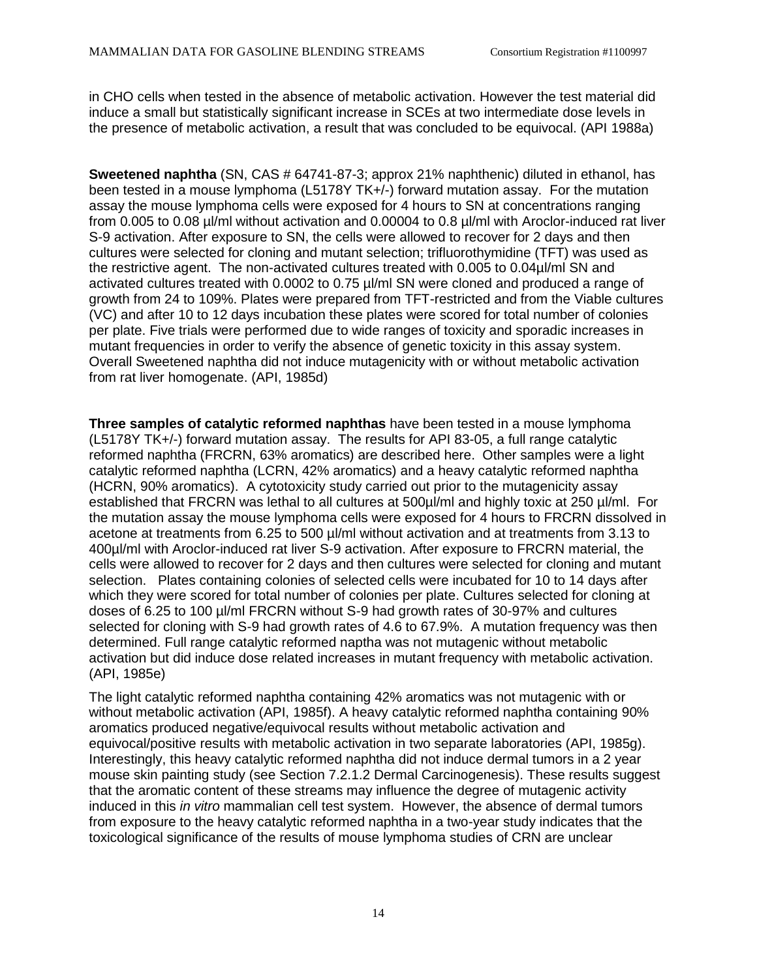in CHO cells when tested in the absence of metabolic activation. However the test material did induce a small but statistically significant increase in SCEs at two intermediate dose levels in the presence of metabolic activation, a result that was concluded to be equivocal. (API 1988a)

**Sweetened naphtha** (SN, CAS # 64741-87-3; approx 21% naphthenic) diluted in ethanol, has been tested in a mouse lymphoma (L5178Y TK+/-) forward mutation assay. For the mutation assay the mouse lymphoma cells were exposed for 4 hours to SN at concentrations ranging from 0.005 to 0.08 µl/ml without activation and 0.00004 to 0.8 µl/ml with Aroclor-induced rat liver S-9 activation. After exposure to SN, the cells were allowed to recover for 2 days and then cultures were selected for cloning and mutant selection; trifluorothymidine (TFT) was used as the restrictive agent. The non-activated cultures treated with 0.005 to 0.04µl/ml SN and activated cultures treated with 0.0002 to 0.75 µl/ml SN were cloned and produced a range of growth from 24 to 109%. Plates were prepared from TFT-restricted and from the Viable cultures (VC) and after 10 to 12 days incubation these plates were scored for total number of colonies per plate. Five trials were performed due to wide ranges of toxicity and sporadic increases in mutant frequencies in order to verify the absence of genetic toxicity in this assay system. Overall Sweetened naphtha did not induce mutagenicity with or without metabolic activation from rat liver homogenate. (API, 1985d)

**Three samples of catalytic reformed naphthas** have been tested in a mouse lymphoma (L5178Y TK+/-) forward mutation assay. The results for API 83-05, a full range catalytic reformed naphtha (FRCRN, 63% aromatics) are described here. Other samples were a light catalytic reformed naphtha (LCRN, 42% aromatics) and a heavy catalytic reformed naphtha (HCRN, 90% aromatics). A cytotoxicity study carried out prior to the mutagenicity assay established that FRCRN was lethal to all cultures at 500µl/ml and highly toxic at 250 µl/ml. For the mutation assay the mouse lymphoma cells were exposed for 4 hours to FRCRN dissolved in acetone at treatments from 6.25 to 500 µl/ml without activation and at treatments from 3.13 to 400µl/ml with Aroclor-induced rat liver S-9 activation. After exposure to FRCRN material, the cells were allowed to recover for 2 days and then cultures were selected for cloning and mutant selection. Plates containing colonies of selected cells were incubated for 10 to 14 days after which they were scored for total number of colonies per plate. Cultures selected for cloning at doses of 6.25 to 100 µl/ml FRCRN without S-9 had growth rates of 30-97% and cultures selected for cloning with S-9 had growth rates of 4.6 to 67.9%. A mutation frequency was then determined. Full range catalytic reformed naptha was not mutagenic without metabolic activation but did induce dose related increases in mutant frequency with metabolic activation. (API, 1985e)

The light catalytic reformed naphtha containing 42% aromatics was not mutagenic with or without metabolic activation (API, 1985f). A heavy catalytic reformed naphtha containing 90% aromatics produced negative/equivocal results without metabolic activation and equivocal/positive results with metabolic activation in two separate laboratories (API, 1985g). Interestingly, this heavy catalytic reformed naphtha did not induce dermal tumors in a 2 year mouse skin painting study (see Section 7.2.1.2 Dermal Carcinogenesis). These results suggest that the aromatic content of these streams may influence the degree of mutagenic activity induced in this *in vitro* mammalian cell test system. However, the absence of dermal tumors from exposure to the heavy catalytic reformed naphtha in a two-year study indicates that the toxicological significance of the results of mouse lymphoma studies of CRN are unclear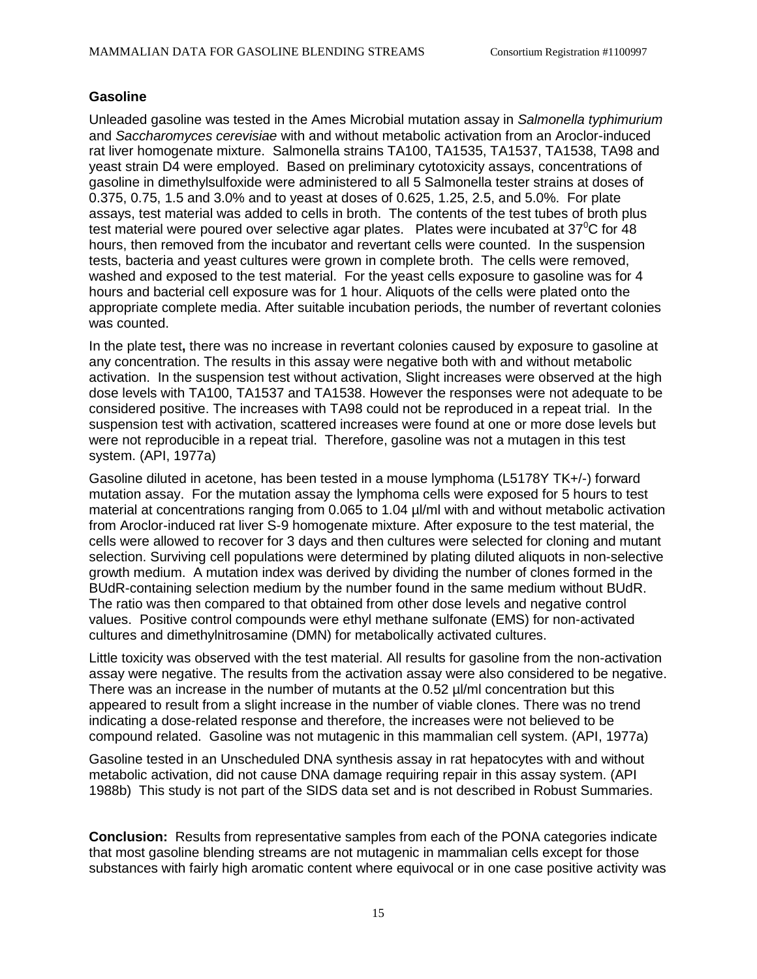#### **Gasoline**

Unleaded gasoline was tested in the Ames Microbial mutation assay in *Salmonella typhimurium* and *Saccharomyces cerevisiae* with and without metabolic activation from an Aroclor-induced rat liver homogenate mixture. Salmonella strains TA100, TA1535, TA1537, TA1538, TA98 and yeast strain D4 were employed. Based on preliminary cytotoxicity assays, concentrations of gasoline in dimethylsulfoxide were administered to all 5 Salmonella tester strains at doses of 0.375, 0.75, 1.5 and 3.0% and to yeast at doses of 0.625, 1.25, 2.5, and 5.0%. For plate assays, test material was added to cells in broth. The contents of the test tubes of broth plus test material were poured over selective agar plates. Plates were incubated at  $37^{\circ}$ C for 48 hours, then removed from the incubator and revertant cells were counted. In the suspension tests, bacteria and yeast cultures were grown in complete broth. The cells were removed, washed and exposed to the test material. For the yeast cells exposure to gasoline was for 4 hours and bacterial cell exposure was for 1 hour. Aliquots of the cells were plated onto the appropriate complete media. After suitable incubation periods, the number of revertant colonies was counted.

In the plate test**,** there was no increase in revertant colonies caused by exposure to gasoline at any concentration. The results in this assay were negative both with and without metabolic activation. In the suspension test without activation, Slight increases were observed at the high dose levels with TA100, TA1537 and TA1538. However the responses were not adequate to be considered positive. The increases with TA98 could not be reproduced in a repeat trial. In the suspension test with activation, scattered increases were found at one or more dose levels but were not reproducible in a repeat trial. Therefore, gasoline was not a mutagen in this test system. (API, 1977a)

Gasoline diluted in acetone, has been tested in a mouse lymphoma (L5178Y TK+/-) forward mutation assay. For the mutation assay the lymphoma cells were exposed for 5 hours to test material at concentrations ranging from 0.065 to 1.04 µl/ml with and without metabolic activation from Aroclor-induced rat liver S-9 homogenate mixture. After exposure to the test material, the cells were allowed to recover for 3 days and then cultures were selected for cloning and mutant selection. Surviving cell populations were determined by plating diluted aliquots in non-selective growth medium. A mutation index was derived by dividing the number of clones formed in the BUdR-containing selection medium by the number found in the same medium without BUdR. The ratio was then compared to that obtained from other dose levels and negative control values. Positive control compounds were ethyl methane sulfonate (EMS) for non-activated cultures and dimethylnitrosamine (DMN) for metabolically activated cultures.

Little toxicity was observed with the test material. All results for gasoline from the non-activation assay were negative. The results from the activation assay were also considered to be negative. There was an increase in the number of mutants at the  $0.52 \mu$ //ml concentration but this appeared to result from a slight increase in the number of viable clones. There was no trend indicating a dose-related response and therefore, the increases were not believed to be compound related. Gasoline was not mutagenic in this mammalian cell system. (API, 1977a)

Gasoline tested in an Unscheduled DNA synthesis assay in rat hepatocytes with and without metabolic activation, did not cause DNA damage requiring repair in this assay system. (API 1988b) This study is not part of the SIDS data set and is not described in Robust Summaries.

**Conclusion:** Results from representative samples from each of the PONA categories indicate that most gasoline blending streams are not mutagenic in mammalian cells except for those substances with fairly high aromatic content where equivocal or in one case positive activity was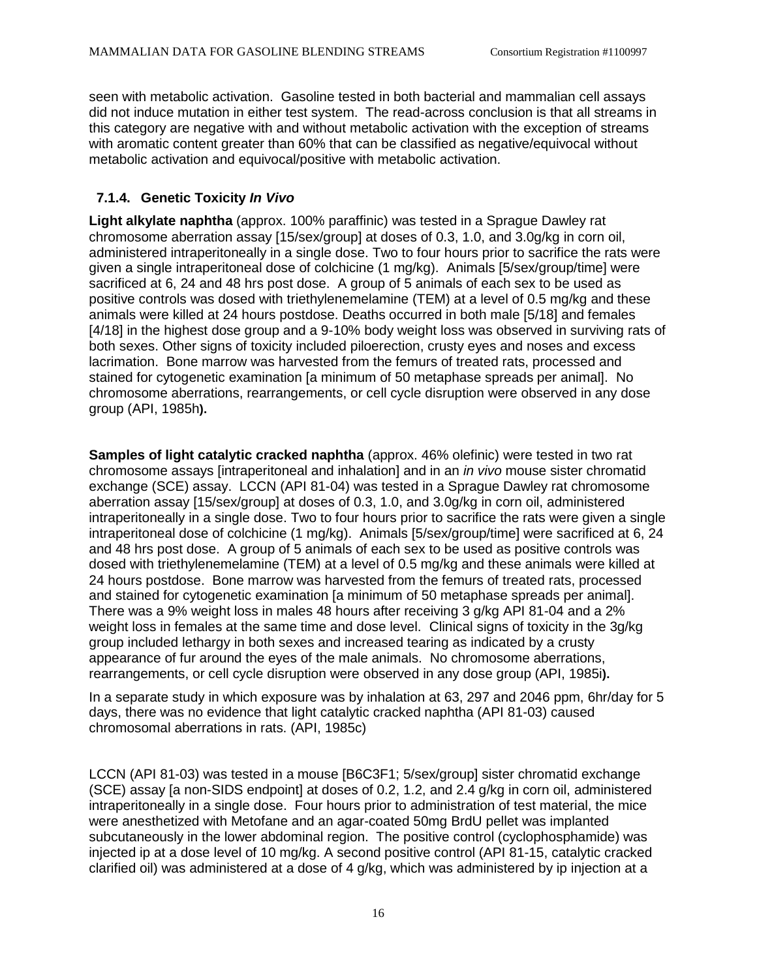seen with metabolic activation. Gasoline tested in both bacterial and mammalian cell assays did not induce mutation in either test system. The read-across conclusion is that all streams in this category are negative with and without metabolic activation with the exception of streams with aromatic content greater than 60% that can be classified as negative/equivocal without metabolic activation and equivocal/positive with metabolic activation.

### **7.1.4. Genetic Toxicity** *In Vivo*

**Light alkylate naphtha** (approx. 100% paraffinic) was tested in a Sprague Dawley rat chromosome aberration assay [15/sex/group] at doses of 0.3, 1.0, and 3.0g/kg in corn oil, administered intraperitoneally in a single dose. Two to four hours prior to sacrifice the rats were given a single intraperitoneal dose of colchicine (1 mg/kg). Animals [5/sex/group/time] were sacrificed at 6, 24 and 48 hrs post dose. A group of 5 animals of each sex to be used as positive controls was dosed with triethylenemelamine (TEM) at a level of 0.5 mg/kg and these animals were killed at 24 hours postdose. Deaths occurred in both male [5/18] and females [4/18] in the highest dose group and a 9-10% body weight loss was observed in surviving rats of both sexes. Other signs of toxicity included piloerection, crusty eyes and noses and excess lacrimation. Bone marrow was harvested from the femurs of treated rats, processed and stained for cytogenetic examination [a minimum of 50 metaphase spreads per animal]. No chromosome aberrations, rearrangements, or cell cycle disruption were observed in any dose group (API, 1985h**).**

**Samples of light catalytic cracked naphtha** (approx. 46% olefinic) were tested in two rat chromosome assays [intraperitoneal and inhalation] and in an *in vivo* mouse sister chromatid exchange (SCE) assay. LCCN (API 81-04) was tested in a Sprague Dawley rat chromosome aberration assay [15/sex/group] at doses of 0.3, 1.0, and 3.0g/kg in corn oil, administered intraperitoneally in a single dose. Two to four hours prior to sacrifice the rats were given a single intraperitoneal dose of colchicine (1 mg/kg). Animals [5/sex/group/time] were sacrificed at 6, 24 and 48 hrs post dose. A group of 5 animals of each sex to be used as positive controls was dosed with triethylenemelamine (TEM) at a level of 0.5 mg/kg and these animals were killed at 24 hours postdose. Bone marrow was harvested from the femurs of treated rats, processed and stained for cytogenetic examination [a minimum of 50 metaphase spreads per animal]. There was a 9% weight loss in males 48 hours after receiving 3 g/kg API 81-04 and a 2% weight loss in females at the same time and dose level. Clinical signs of toxicity in the 3g/kg group included lethargy in both sexes and increased tearing as indicated by a crusty appearance of fur around the eyes of the male animals. No chromosome aberrations, rearrangements, or cell cycle disruption were observed in any dose group (API, 1985i**).**

In a separate study in which exposure was by inhalation at 63, 297 and 2046 ppm, 6hr/day for 5 days, there was no evidence that light catalytic cracked naphtha (API 81-03) caused chromosomal aberrations in rats. (API, 1985c)

LCCN (API 81-03) was tested in a mouse [B6C3F1; 5/sex/group] sister chromatid exchange (SCE) assay [a non-SIDS endpoint] at doses of 0.2, 1.2, and 2.4 g/kg in corn oil, administered intraperitoneally in a single dose. Four hours prior to administration of test material, the mice were anesthetized with Metofane and an agar-coated 50mg BrdU pellet was implanted subcutaneously in the lower abdominal region. The positive control (cyclophosphamide) was injected ip at a dose level of 10 mg/kg. A second positive control (API 81-15, catalytic cracked clarified oil) was administered at a dose of 4 g/kg, which was administered by ip injection at a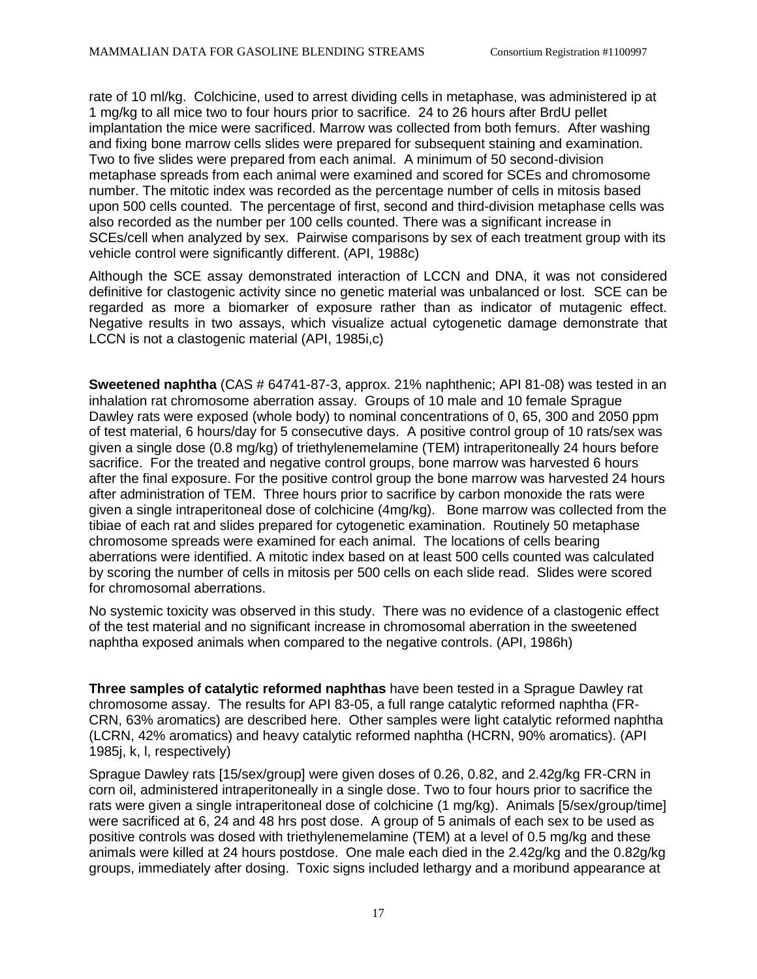rate of 10 ml/kg. Colchicine, used to arrest dividing cells in metaphase, was administered ip at 1 mg/kg to all mice two to four hours prior to sacrifice. 24 to 26 hours after BrdU pellet implantation the mice were sacrificed. Marrow was collected from both femurs. After washing and fixing bone marrow cells slides were prepared for subsequent staining and examination. Two to five slides were prepared from each animal. A minimum of 50 second-division metaphase spreads from each animal were examined and scored for SCEs and chromosome number. The mitotic index was recorded as the percentage number of cells in mitosis based upon 500 cells counted. The percentage of first, second and third-division metaphase cells was also recorded as the number per 100 cells counted. There was a significant increase in SCEs/cell when analyzed by sex. Pairwise comparisons by sex of each treatment group with its vehicle control were significantly different. (API, 1988c)

Although the SCE assay demonstrated interaction of LCCN and DNA, it was not considered definitive for clastogenic activity since no genetic material was unbalanced or lost. SCE can be regarded as more a biomarker of exposure rather than as indicator of mutagenic effect. Negative results in two assays, which visualize actual cytogenetic damage demonstrate that LCCN is not a clastogenic material (API, 1985i,c)

**Sweetened naphtha** (CAS # 64741-87-3, approx. 21% naphthenic; API 81-08) was tested in an inhalation rat chromosome aberration assay. Groups of 10 male and 10 female Sprague Dawley rats were exposed (whole body) to nominal concentrations of 0, 65, 300 and 2050 ppm of test material, 6 hours/day for 5 consecutive days. A positive control group of 10 rats/sex was given a single dose (0.8 mg/kg) of triethylenemelamine (TEM) intraperitoneally 24 hours before sacrifice. For the treated and negative control groups, bone marrow was harvested 6 hours after the final exposure. For the positive control group the bone marrow was harvested 24 hours after administration of TEM. Three hours prior to sacrifice by carbon monoxide the rats were given a single intraperitoneal dose of colchicine (4mg/kg). Bone marrow was collected from the tibiae of each rat and slides prepared for cytogenetic examination. Routinely 50 metaphase chromosome spreads were examined for each animal. The locations of cells bearing aberrations were identified. A mitotic index based on at least 500 cells counted was calculated by scoring the number of cells in mitosis per 500 cells on each slide read. Slides were scored for chromosomal aberrations.

No systemic toxicity was observed in this study. There was no evidence of a clastogenic effect of the test material and no significant increase in chromosomal aberration in the sweetened naphtha exposed animals when compared to the negative controls. (API, 1986h)

**Three samples of catalytic reformed naphthas** have been tested in a Sprague Dawley rat chromosome assay. The results for API 83-05, a full range catalytic reformed naphtha (FR-CRN, 63% aromatics) are described here. Other samples were light catalytic reformed naphtha (LCRN, 42% aromatics) and heavy catalytic reformed naphtha (HCRN, 90% aromatics). (API 1985j, k, l, respectively)

Sprague Dawley rats [15/sex/group] were given doses of 0.26, 0.82, and 2.42g/kg FR-CRN in corn oil, administered intraperitoneally in a single dose. Two to four hours prior to sacrifice the rats were given a single intraperitoneal dose of colchicine (1 mg/kg). Animals [5/sex/group/time] were sacrificed at 6, 24 and 48 hrs post dose. A group of 5 animals of each sex to be used as positive controls was dosed with triethylenemelamine (TEM) at a level of 0.5 mg/kg and these animals were killed at 24 hours postdose. One male each died in the 2.42g/kg and the 0.82g/kg groups, immediately after dosing. Toxic signs included lethargy and a moribund appearance at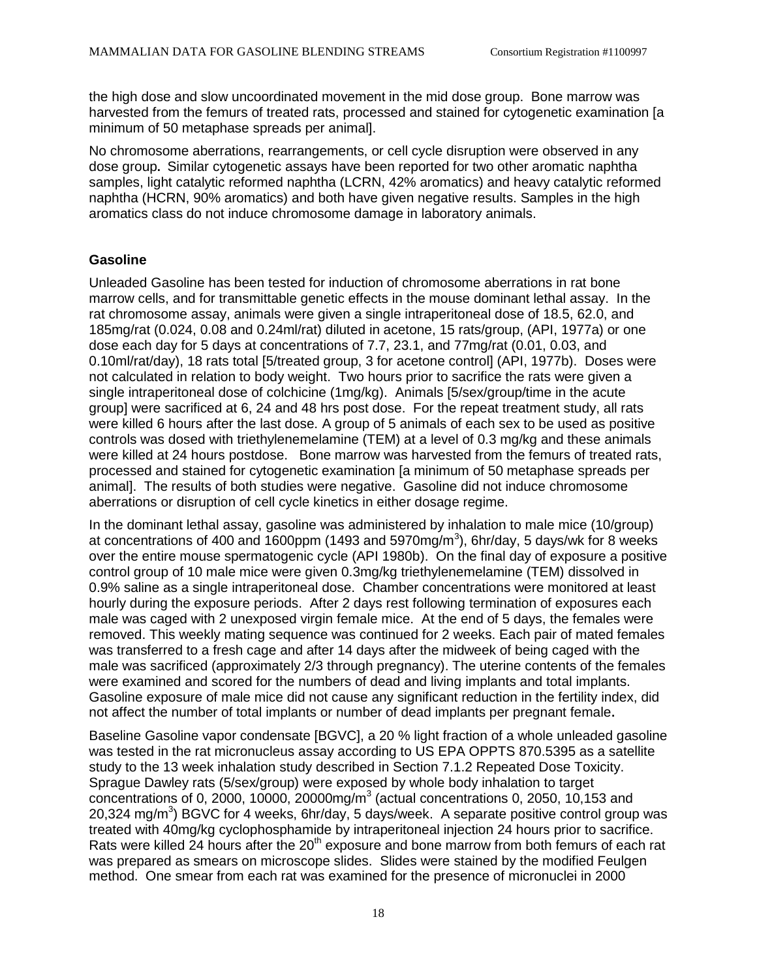the high dose and slow uncoordinated movement in the mid dose group. Bone marrow was harvested from the femurs of treated rats, processed and stained for cytogenetic examination [a minimum of 50 metaphase spreads per animal].

No chromosome aberrations, rearrangements, or cell cycle disruption were observed in any dose group**.** Similar cytogenetic assays have been reported for two other aromatic naphtha samples, light catalytic reformed naphtha (LCRN, 42% aromatics) and heavy catalytic reformed naphtha (HCRN, 90% aromatics) and both have given negative results. Samples in the high aromatics class do not induce chromosome damage in laboratory animals.

### **Gasoline**

Unleaded Gasoline has been tested for induction of chromosome aberrations in rat bone marrow cells, and for transmittable genetic effects in the mouse dominant lethal assay. In the rat chromosome assay, animals were given a single intraperitoneal dose of 18.5, 62.0, and 185mg/rat (0.024, 0.08 and 0.24ml/rat) diluted in acetone, 15 rats/group, (API, 1977a) or one dose each day for 5 days at concentrations of 7.7, 23.1, and 77mg/rat (0.01, 0.03, and 0.10ml/rat/day), 18 rats total [5/treated group, 3 for acetone control] (API, 1977b). Doses were not calculated in relation to body weight. Two hours prior to sacrifice the rats were given a single intraperitoneal dose of colchicine (1mg/kg). Animals [5/sex/group/time in the acute group] were sacrificed at 6, 24 and 48 hrs post dose. For the repeat treatment study, all rats were killed 6 hours after the last dose. A group of 5 animals of each sex to be used as positive controls was dosed with triethylenemelamine (TEM) at a level of 0.3 mg/kg and these animals were killed at 24 hours postdose. Bone marrow was harvested from the femurs of treated rats, processed and stained for cytogenetic examination [a minimum of 50 metaphase spreads per animal]. The results of both studies were negative. Gasoline did not induce chromosome aberrations or disruption of cell cycle kinetics in either dosage regime.

In the dominant lethal assay, gasoline was administered by inhalation to male mice (10/group) at concentrations of 400 and 1600ppm (1493 and 5970mg/m<sup>3</sup>), 6hr/day, 5 days/wk for 8 weeks over the entire mouse spermatogenic cycle (API 1980b). On the final day of exposure a positive control group of 10 male mice were given 0.3mg/kg triethylenemelamine (TEM) dissolved in 0.9% saline as a single intraperitoneal dose. Chamber concentrations were monitored at least hourly during the exposure periods. After 2 days rest following termination of exposures each male was caged with 2 unexposed virgin female mice. At the end of 5 days, the females were removed. This weekly mating sequence was continued for 2 weeks. Each pair of mated females was transferred to a fresh cage and after 14 days after the midweek of being caged with the male was sacrificed (approximately 2/3 through pregnancy). The uterine contents of the females were examined and scored for the numbers of dead and living implants and total implants. Gasoline exposure of male mice did not cause any significant reduction in the fertility index, did not affect the number of total implants or number of dead implants per pregnant female**.** 

Baseline Gasoline vapor condensate [BGVC], a 20 % light fraction of a whole unleaded gasoline was tested in the rat micronucleus assay according to US EPA OPPTS 870.5395 as a satellite study to the 13 week inhalation study described in Section 7.1.2 Repeated Dose Toxicity. Sprague Dawley rats (5/sex/group) were exposed by whole body inhalation to target concentrations of 0, 2000, 10000, 20000mg/ $m<sup>3</sup>$  (actual concentrations 0, 2050, 10,153 and 20,324 mg/m<sup>3</sup>) BGVC for 4 weeks, 6hr/day, 5 days/week. A separate positive control group was treated with 40mg/kg cyclophosphamide by intraperitoneal injection 24 hours prior to sacrifice. Rats were killed 24 hours after the  $20<sup>th</sup>$  exposure and bone marrow from both femurs of each rat was prepared as smears on microscope slides. Slides were stained by the modified Feulgen method. One smear from each rat was examined for the presence of micronuclei in 2000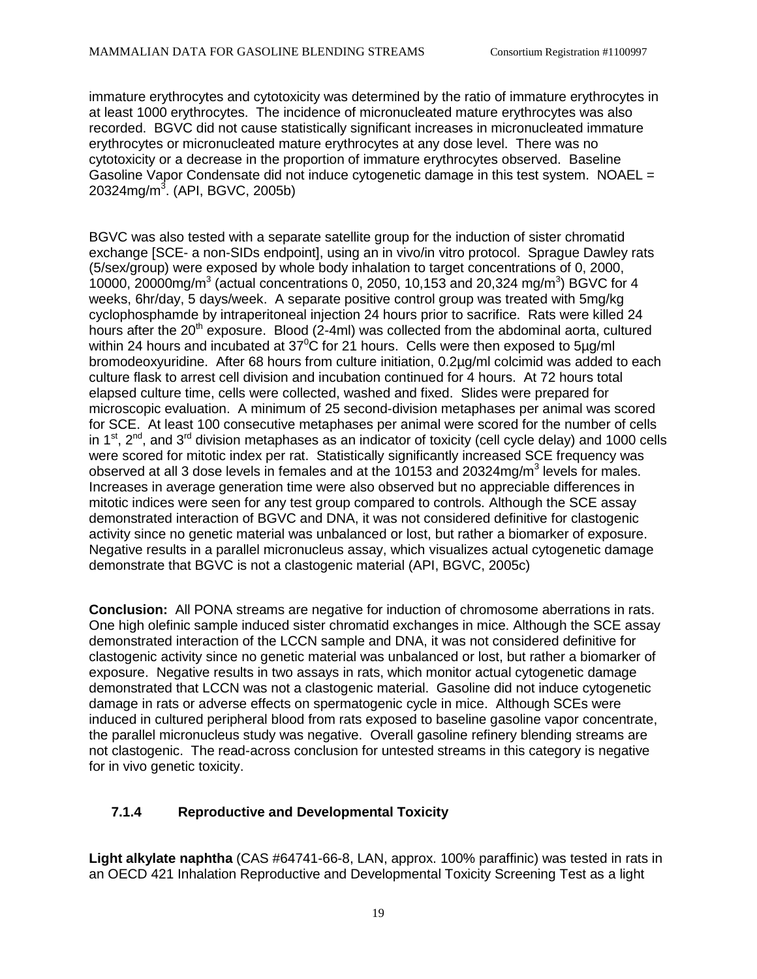immature erythrocytes and cytotoxicity was determined by the ratio of immature erythrocytes in at least 1000 erythrocytes. The incidence of micronucleated mature erythrocytes was also recorded. BGVC did not cause statistically significant increases in micronucleated immature erythrocytes or micronucleated mature erythrocytes at any dose level. There was no cytotoxicity or a decrease in the proportion of immature erythrocytes observed. Baseline Gasoline Vapor Condensate did not induce cytogenetic damage in this test system. NOAEL = 20324mg/m<sup>3</sup>. (API, BGVC, 2005b)

BGVC was also tested with a separate satellite group for the induction of sister chromatid exchange [SCE- a non-SIDs endpoint], using an in vivo/in vitro protocol. Sprague Dawley rats (5/sex/group) were exposed by whole body inhalation to target concentrations of 0, 2000, 10000, 20000mg/m<sup>3</sup> (actual concentrations 0, 2050, 10,153 and 20,324 mg/m<sup>3</sup>) BGVC for 4 weeks, 6hr/day, 5 days/week. A separate positive control group was treated with 5mg/kg cyclophosphamde by intraperitoneal injection 24 hours prior to sacrifice. Rats were killed 24 hours after the  $20<sup>th</sup>$  exposure. Blood (2-4ml) was collected from the abdominal aorta, cultured within 24 hours and incubated at  $37^{\circ}$ C for 21 hours. Cells were then exposed to 5µg/ml bromodeoxyuridine. After 68 hours from culture initiation, 0.2µg/ml colcimid was added to each culture flask to arrest cell division and incubation continued for 4 hours. At 72 hours total elapsed culture time, cells were collected, washed and fixed. Slides were prepared for microscopic evaluation. A minimum of 25 second-division metaphases per animal was scored for SCE. At least 100 consecutive metaphases per animal were scored for the number of cells in  $1^{st}$ ,  $2^{nd}$ , and  $3^{rd}$  division metaphases as an indicator of toxicity (cell cycle delay) and 1000 cells were scored for mitotic index per rat. Statistically significantly increased SCE frequency was observed at all 3 dose levels in females and at the 10153 and 20324mg/m<sup>3</sup> levels for males. Increases in average generation time were also observed but no appreciable differences in mitotic indices were seen for any test group compared to controls. Although the SCE assay demonstrated interaction of BGVC and DNA, it was not considered definitive for clastogenic activity since no genetic material was unbalanced or lost, but rather a biomarker of exposure. Negative results in a parallel micronucleus assay, which visualizes actual cytogenetic damage demonstrate that BGVC is not a clastogenic material (API, BGVC, 2005c)

**Conclusion:** All PONA streams are negative for induction of chromosome aberrations in rats. One high olefinic sample induced sister chromatid exchanges in mice. Although the SCE assay demonstrated interaction of the LCCN sample and DNA, it was not considered definitive for clastogenic activity since no genetic material was unbalanced or lost, but rather a biomarker of exposure. Negative results in two assays in rats, which monitor actual cytogenetic damage demonstrated that LCCN was not a clastogenic material. Gasoline did not induce cytogenetic damage in rats or adverse effects on spermatogenic cycle in mice. Although SCEs were induced in cultured peripheral blood from rats exposed to baseline gasoline vapor concentrate, the parallel micronucleus study was negative. Overall gasoline refinery blending streams are not clastogenic. The read-across conclusion for untested streams in this category is negative for in vivo genetic toxicity.

## **7.1.4 Reproductive and Developmental Toxicity**

**Light alkylate naphtha** (CAS #64741-66-8, LAN, approx. 100% paraffinic) was tested in rats in an OECD 421 Inhalation Reproductive and Developmental Toxicity Screening Test as a light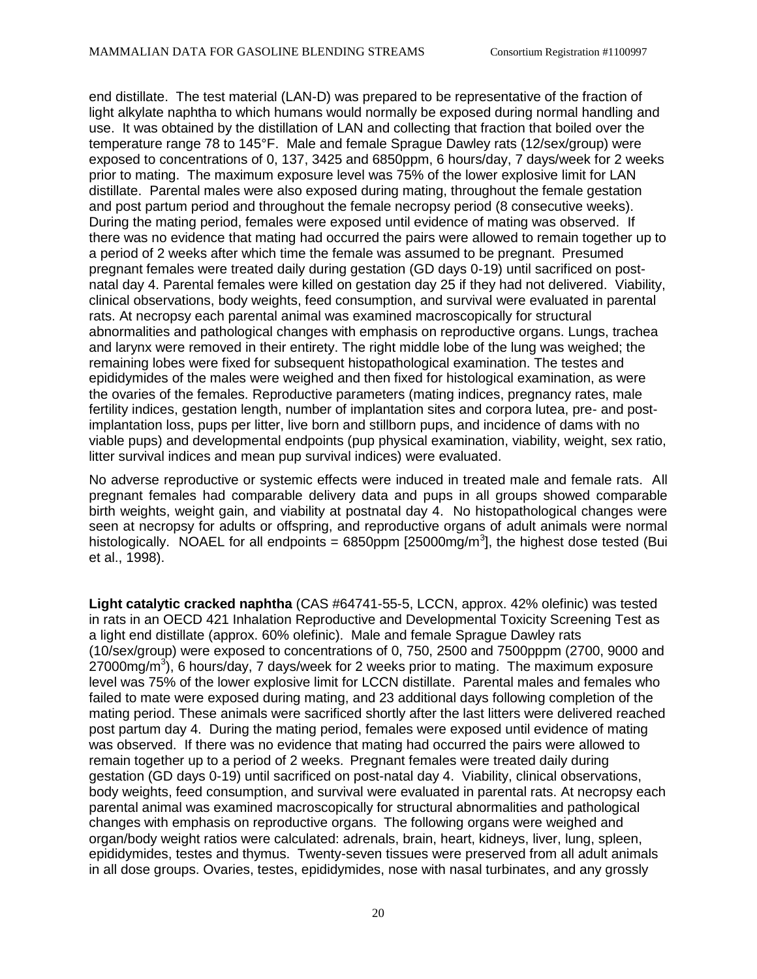end distillate. The test material (LAN-D) was prepared to be representative of the fraction of light alkylate naphtha to which humans would normally be exposed during normal handling and use. It was obtained by the distillation of LAN and collecting that fraction that boiled over the temperature range 78 to 145°F. Male and female Sprague Dawley rats (12/sex/group) were exposed to concentrations of 0, 137, 3425 and 6850ppm, 6 hours/day, 7 days/week for 2 weeks prior to mating. The maximum exposure level was 75% of the lower explosive limit for LAN distillate. Parental males were also exposed during mating, throughout the female gestation and post partum period and throughout the female necropsy period (8 consecutive weeks). During the mating period, females were exposed until evidence of mating was observed. If there was no evidence that mating had occurred the pairs were allowed to remain together up to a period of 2 weeks after which time the female was assumed to be pregnant. Presumed pregnant females were treated daily during gestation (GD days 0-19) until sacrificed on postnatal day 4. Parental females were killed on gestation day 25 if they had not delivered. Viability, clinical observations, body weights, feed consumption, and survival were evaluated in parental rats. At necropsy each parental animal was examined macroscopically for structural abnormalities and pathological changes with emphasis on reproductive organs. Lungs, trachea and larynx were removed in their entirety. The right middle lobe of the lung was weighed; the remaining lobes were fixed for subsequent histopathological examination. The testes and epididymides of the males were weighed and then fixed for histological examination, as were the ovaries of the females. Reproductive parameters (mating indices, pregnancy rates, male fertility indices, gestation length, number of implantation sites and corpora lutea, pre- and postimplantation loss, pups per litter, live born and stillborn pups, and incidence of dams with no viable pups) and developmental endpoints (pup physical examination, viability, weight, sex ratio, litter survival indices and mean pup survival indices) were evaluated.

No adverse reproductive or systemic effects were induced in treated male and female rats. All pregnant females had comparable delivery data and pups in all groups showed comparable birth weights, weight gain, and viability at postnatal day 4. No histopathological changes were seen at necropsy for adults or offspring, and reproductive organs of adult animals were normal histologically. NOAEL for all endpoints = 6850ppm [25000mg/m<sup>3</sup>], the highest dose tested (Bui et al., 1998).

**Light catalytic cracked naphtha** (CAS #64741-55-5, LCCN, approx. 42% olefinic) was tested in rats in an OECD 421 Inhalation Reproductive and Developmental Toxicity Screening Test as a light end distillate (approx. 60% olefinic). Male and female Sprague Dawley rats (10/sex/group) were exposed to concentrations of 0, 750, 2500 and 7500pppm (2700, 9000 and 27000mg/m<sup>3</sup>), 6 hours/day, 7 days/week for 2 weeks prior to mating. The maximum exposure level was 75% of the lower explosive limit for LCCN distillate. Parental males and females who failed to mate were exposed during mating, and 23 additional days following completion of the mating period. These animals were sacrificed shortly after the last litters were delivered reached post partum day 4. During the mating period, females were exposed until evidence of mating was observed. If there was no evidence that mating had occurred the pairs were allowed to remain together up to a period of 2 weeks. Pregnant females were treated daily during gestation (GD days 0-19) until sacrificed on post-natal day 4. Viability, clinical observations, body weights, feed consumption, and survival were evaluated in parental rats. At necropsy each parental animal was examined macroscopically for structural abnormalities and pathological changes with emphasis on reproductive organs. The following organs were weighed and organ/body weight ratios were calculated: adrenals, brain, heart, kidneys, liver, lung, spleen, epididymides, testes and thymus. Twenty-seven tissues were preserved from all adult animals in all dose groups. Ovaries, testes, epididymides, nose with nasal turbinates, and any grossly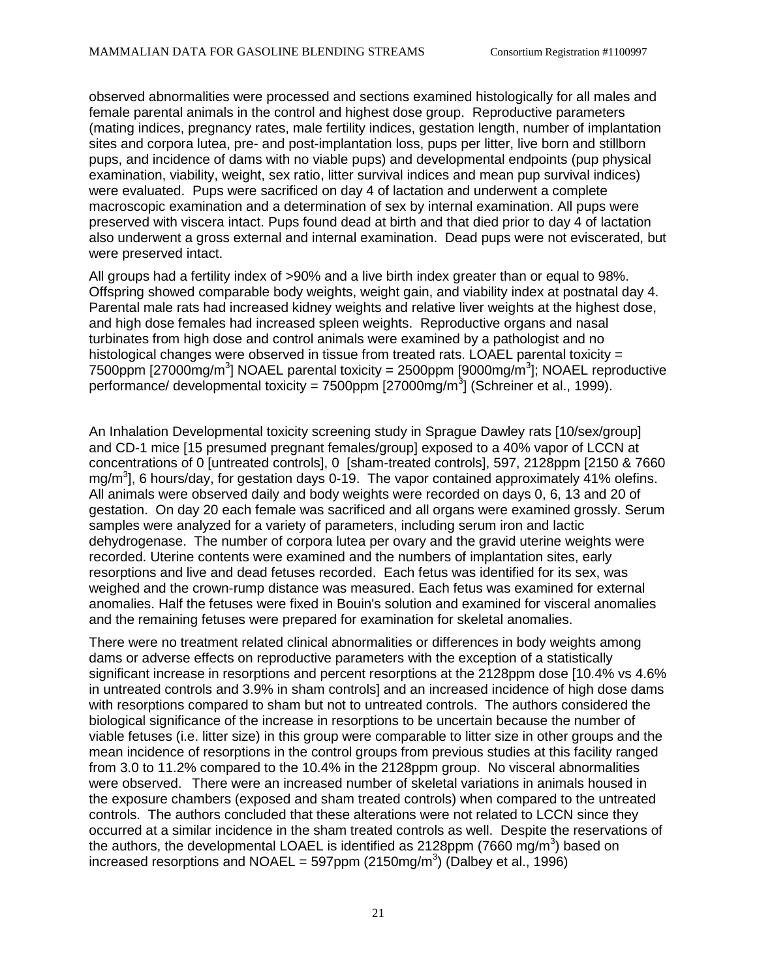observed abnormalities were processed and sections examined histologically for all males and female parental animals in the control and highest dose group. Reproductive parameters (mating indices, pregnancy rates, male fertility indices, gestation length, number of implantation sites and corpora lutea, pre- and post-implantation loss, pups per litter, live born and stillborn pups, and incidence of dams with no viable pups) and developmental endpoints (pup physical examination, viability, weight, sex ratio, litter survival indices and mean pup survival indices) were evaluated. Pups were sacrificed on day 4 of lactation and underwent a complete macroscopic examination and a determination of sex by internal examination. All pups were preserved with viscera intact. Pups found dead at birth and that died prior to day 4 of lactation also underwent a gross external and internal examination. Dead pups were not eviscerated, but were preserved intact.

All groups had a fertility index of >90% and a live birth index greater than or equal to 98%. Offspring showed comparable body weights, weight gain, and viability index at postnatal day 4. Parental male rats had increased kidney weights and relative liver weights at the highest dose, and high dose females had increased spleen weights. Reproductive organs and nasal turbinates from high dose and control animals were examined by a pathologist and no histological changes were observed in tissue from treated rats. LOAEL parental toxicity  $=$ 7500ppm [27000mg/m<sup>3</sup>] NOAEL parental toxicity = 2500ppm [9000mg/m<sup>3</sup>]; NOAEL reproductive performance/ developmental toxicity = 7500ppm [27000mg/m $3$ ] (Schreiner et al., 1999).

An Inhalation Developmental toxicity screening study in Sprague Dawley rats [10/sex/group] and CD-1 mice [15 presumed pregnant females/group] exposed to a 40% vapor of LCCN at concentrations of 0 [untreated controls], 0 [sham-treated controls], 597, 2128ppm [2150 & 7660 mg/m<sup>3</sup>], 6 hours/day, for gestation days 0-19. The vapor contained approximately 41% olefins. All animals were observed daily and body weights were recorded on days 0, 6, 13 and 20 of gestation. On day 20 each female was sacrificed and all organs were examined grossly. Serum samples were analyzed for a variety of parameters, including serum iron and lactic dehydrogenase. The number of corpora lutea per ovary and the gravid uterine weights were recorded. Uterine contents were examined and the numbers of implantation sites, early resorptions and live and dead fetuses recorded. Each fetus was identified for its sex, was weighed and the crown-rump distance was measured. Each fetus was examined for external anomalies. Half the fetuses were fixed in Bouin's solution and examined for visceral anomalies and the remaining fetuses were prepared for examination for skeletal anomalies.

There were no treatment related clinical abnormalities or differences in body weights among dams or adverse effects on reproductive parameters with the exception of a statistically significant increase in resorptions and percent resorptions at the 2128ppm dose [10.4% vs 4.6% in untreated controls and 3.9% in sham controls] and an increased incidence of high dose dams with resorptions compared to sham but not to untreated controls. The authors considered the biological significance of the increase in resorptions to be uncertain because the number of viable fetuses (i.e. litter size) in this group were comparable to litter size in other groups and the mean incidence of resorptions in the control groups from previous studies at this facility ranged from 3.0 to 11.2% compared to the 10.4% in the 2128ppm group. No visceral abnormalities were observed. There were an increased number of skeletal variations in animals housed in the exposure chambers (exposed and sham treated controls) when compared to the untreated controls. The authors concluded that these alterations were not related to LCCN since they occurred at a similar incidence in the sham treated controls as well. Despite the reservations of the authors, the developmental LOAEL is identified as 2128ppm (7660 mg/m<sup>3</sup>) based on increased resorptions and NOAEL = 597ppm (2150mg/m<sup>3</sup>) (Dalbey et al., 1996)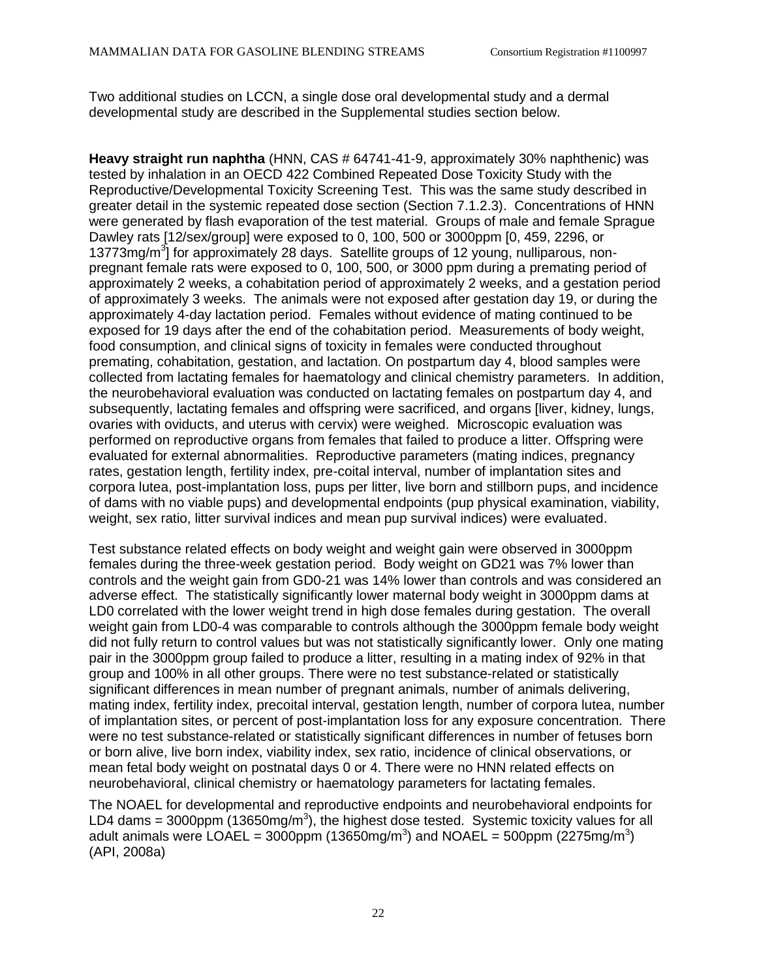Two additional studies on LCCN, a single dose oral developmental study and a dermal developmental study are described in the Supplemental studies section below.

**Heavy straight run naphtha** (HNN, CAS # 64741-41-9, approximately 30% naphthenic) was tested by inhalation in an OECD 422 Combined Repeated Dose Toxicity Study with the Reproductive/Developmental Toxicity Screening Test. This was the same study described in greater detail in the systemic repeated dose section (Section 7.1.2.3). Concentrations of HNN were generated by flash evaporation of the test material. Groups of male and female Sprague Dawley rats [12/sex/group] were exposed to 0, 100, 500 or 3000ppm [0, 459, 2296, or 13773mg/m<sup>3</sup>] for approximately 28 days. Satellite groups of 12 young, nulliparous, nonpregnant female rats were exposed to 0, 100, 500, or 3000 ppm during a premating period of approximately 2 weeks, a cohabitation period of approximately 2 weeks, and a gestation period of approximately 3 weeks. The animals were not exposed after gestation day 19, or during the approximately 4-day lactation period. Females without evidence of mating continued to be exposed for 19 days after the end of the cohabitation period. Measurements of body weight, food consumption, and clinical signs of toxicity in females were conducted throughout premating, cohabitation, gestation, and lactation. On postpartum day 4, blood samples were collected from lactating females for haematology and clinical chemistry parameters. In addition, the neurobehavioral evaluation was conducted on lactating females on postpartum day 4, and subsequently, lactating females and offspring were sacrificed, and organs [liver, kidney, lungs, ovaries with oviducts, and uterus with cervix) were weighed. Microscopic evaluation was performed on reproductive organs from females that failed to produce a litter. Offspring were evaluated for external abnormalities. Reproductive parameters (mating indices, pregnancy rates, gestation length, fertility index, pre-coital interval, number of implantation sites and corpora lutea, post-implantation loss, pups per litter, live born and stillborn pups, and incidence of dams with no viable pups) and developmental endpoints (pup physical examination, viability, weight, sex ratio, litter survival indices and mean pup survival indices) were evaluated.

Test substance related effects on body weight and weight gain were observed in 3000ppm females during the three-week gestation period. Body weight on GD21 was 7% lower than controls and the weight gain from GD0-21 was 14% lower than controls and was considered an adverse effect. The statistically significantly lower maternal body weight in 3000ppm dams at LD0 correlated with the lower weight trend in high dose females during gestation. The overall weight gain from LD0-4 was comparable to controls although the 3000ppm female body weight did not fully return to control values but was not statistically significantly lower. Only one mating pair in the 3000ppm group failed to produce a litter, resulting in a mating index of 92% in that group and 100% in all other groups. There were no test substance-related or statistically significant differences in mean number of pregnant animals, number of animals delivering, mating index, fertility index, precoital interval, gestation length, number of corpora lutea, number of implantation sites, or percent of post-implantation loss for any exposure concentration. There were no test substance-related or statistically significant differences in number of fetuses born or born alive, live born index, viability index, sex ratio, incidence of clinical observations, or mean fetal body weight on postnatal days 0 or 4. There were no HNN related effects on neurobehavioral, clinical chemistry or haematology parameters for lactating females.

The NOAEL for developmental and reproductive endpoints and neurobehavioral endpoints for LD4 dams = 3000ppm (13650mg/m<sup>3</sup>), the highest dose tested. Systemic toxicity values for all adult animals were LOAEL = 3000ppm (13650mg/m<sup>3</sup>) and NOAEL = 500ppm (2275mg/m<sup>3</sup>) (API, 2008a)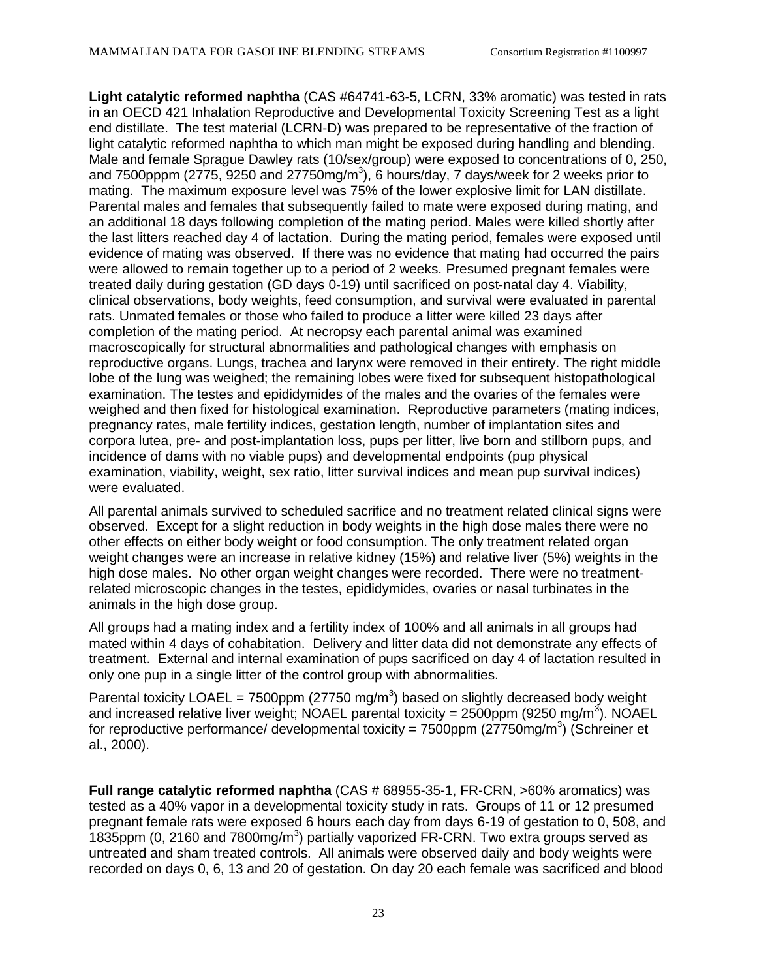**Light catalytic reformed naphtha** (CAS #64741-63-5, LCRN, 33% aromatic) was tested in rats in an OECD 421 Inhalation Reproductive and Developmental Toxicity Screening Test as a light end distillate. The test material (LCRN-D) was prepared to be representative of the fraction of light catalytic reformed naphtha to which man might be exposed during handling and blending. Male and female Sprague Dawley rats (10/sex/group) were exposed to concentrations of 0, 250, and 7500pppm (2775, 9250 and 27750mg/m<sup>3</sup>), 6 hours/day, 7 days/week for 2 weeks prior to mating. The maximum exposure level was 75% of the lower explosive limit for LAN distillate. Parental males and females that subsequently failed to mate were exposed during mating, and an additional 18 days following completion of the mating period. Males were killed shortly after the last litters reached day 4 of lactation. During the mating period, females were exposed until evidence of mating was observed. If there was no evidence that mating had occurred the pairs were allowed to remain together up to a period of 2 weeks. Presumed pregnant females were treated daily during gestation (GD days 0-19) until sacrificed on post-natal day 4. Viability, clinical observations, body weights, feed consumption, and survival were evaluated in parental rats. Unmated females or those who failed to produce a litter were killed 23 days after completion of the mating period. At necropsy each parental animal was examined macroscopically for structural abnormalities and pathological changes with emphasis on reproductive organs. Lungs, trachea and larynx were removed in their entirety. The right middle lobe of the lung was weighed; the remaining lobes were fixed for subsequent histopathological examination. The testes and epididymides of the males and the ovaries of the females were weighed and then fixed for histological examination. Reproductive parameters (mating indices, pregnancy rates, male fertility indices, gestation length, number of implantation sites and corpora lutea, pre- and post-implantation loss, pups per litter, live born and stillborn pups, and incidence of dams with no viable pups) and developmental endpoints (pup physical examination, viability, weight, sex ratio, litter survival indices and mean pup survival indices) were evaluated.

All parental animals survived to scheduled sacrifice and no treatment related clinical signs were observed. Except for a slight reduction in body weights in the high dose males there were no other effects on either body weight or food consumption. The only treatment related organ weight changes were an increase in relative kidney (15%) and relative liver (5%) weights in the high dose males. No other organ weight changes were recorded. There were no treatmentrelated microscopic changes in the testes, epididymides, ovaries or nasal turbinates in the animals in the high dose group.

All groups had a mating index and a fertility index of 100% and all animals in all groups had mated within 4 days of cohabitation. Delivery and litter data did not demonstrate any effects of treatment. External and internal examination of pups sacrificed on day 4 of lactation resulted in only one pup in a single litter of the control group with abnormalities.

Parental toxicity LOAEL = 7500ppm (27750 mg/m<sup>3</sup>) based on slightly decreased body weight and increased relative liver weight; NOAEL parental toxicity = 2500ppm (9250 mg/m<sup>3</sup>). NOAEL for reproductive performance/ developmental toxicity = 7500ppm (27750mg/m<sup>3</sup>) (Schreiner et al., 2000).

**Full range catalytic reformed naphtha** (CAS # 68955-35-1, FR-CRN, >60% aromatics) was tested as a 40% vapor in a developmental toxicity study in rats. Groups of 11 or 12 presumed pregnant female rats were exposed 6 hours each day from days 6-19 of gestation to 0, 508, and 1835ppm (0, 2160 and 7800mg/m<sup>3</sup>) partially vaporized FR-CRN. Two extra groups served as untreated and sham treated controls. All animals were observed daily and body weights were recorded on days 0, 6, 13 and 20 of gestation. On day 20 each female was sacrificed and blood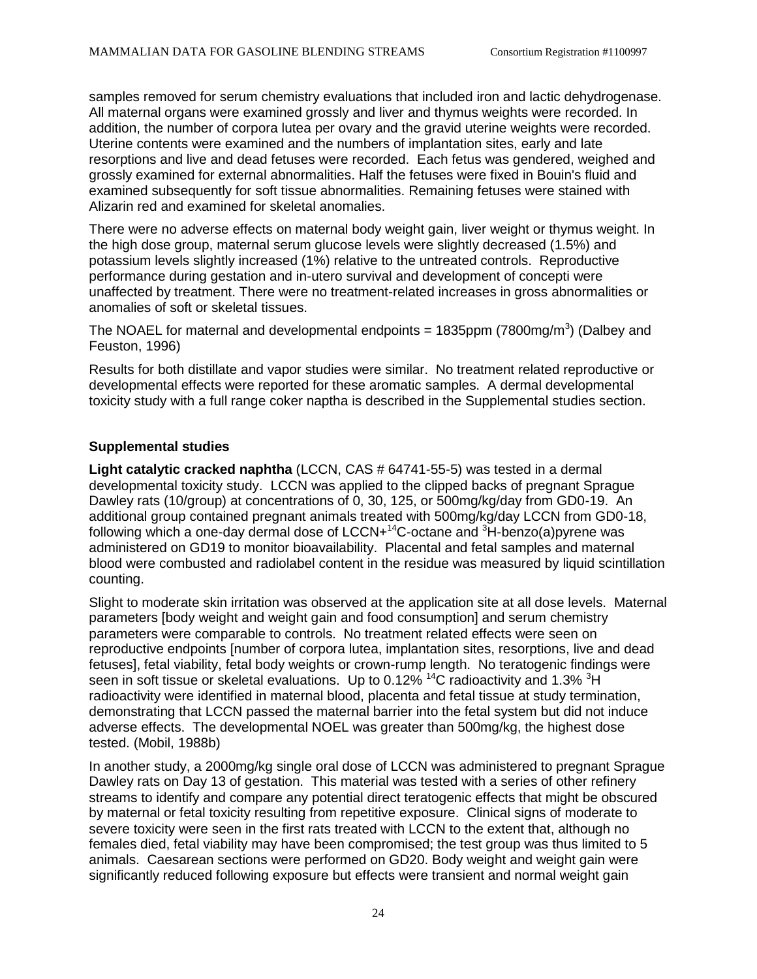samples removed for serum chemistry evaluations that included iron and lactic dehydrogenase. All maternal organs were examined grossly and liver and thymus weights were recorded. In addition, the number of corpora lutea per ovary and the gravid uterine weights were recorded. Uterine contents were examined and the numbers of implantation sites, early and late resorptions and live and dead fetuses were recorded. Each fetus was gendered, weighed and grossly examined for external abnormalities. Half the fetuses were fixed in Bouin's fluid and examined subsequently for soft tissue abnormalities. Remaining fetuses were stained with Alizarin red and examined for skeletal anomalies.

There were no adverse effects on maternal body weight gain, liver weight or thymus weight. In the high dose group, maternal serum glucose levels were slightly decreased (1.5%) and potassium levels slightly increased (1%) relative to the untreated controls. Reproductive performance during gestation and in-utero survival and development of concepti were unaffected by treatment. There were no treatment-related increases in gross abnormalities or anomalies of soft or skeletal tissues.

The NOAEL for maternal and developmental endpoints = 1835ppm (7800mg/m<sup>3</sup>) (Dalbey and Feuston, 1996)

Results for both distillate and vapor studies were similar. No treatment related reproductive or developmental effects were reported for these aromatic samples. A dermal developmental toxicity study with a full range coker naptha is described in the Supplemental studies section.

### **Supplemental studies**

**Light catalytic cracked naphtha** (LCCN, CAS # 64741-55-5) was tested in a dermal developmental toxicity study. LCCN was applied to the clipped backs of pregnant Sprague Dawley rats (10/group) at concentrations of 0, 30, 125, or 500mg/kg/day from GD0-19. An additional group contained pregnant animals treated with 500mg/kg/day LCCN from GD0-18, following which a one-day dermal dose of LCCN+ $14$ C-octane and  $3$ H-benzo(a)pyrene was administered on GD19 to monitor bioavailability. Placental and fetal samples and maternal blood were combusted and radiolabel content in the residue was measured by liquid scintillation counting.

Slight to moderate skin irritation was observed at the application site at all dose levels. Maternal parameters [body weight and weight gain and food consumption] and serum chemistry parameters were comparable to controls. No treatment related effects were seen on reproductive endpoints [number of corpora lutea, implantation sites, resorptions, live and dead fetuses], fetal viability, fetal body weights or crown-rump length. No teratogenic findings were seen in soft tissue or skeletal evaluations. Up to 0.12% <sup>14</sup>C radioactivity and 1.3% <sup>3</sup>H radioactivity were identified in maternal blood, placenta and fetal tissue at study termination, demonstrating that LCCN passed the maternal barrier into the fetal system but did not induce adverse effects. The developmental NOEL was greater than 500mg/kg, the highest dose tested. (Mobil, 1988b)

In another study, a 2000mg/kg single oral dose of LCCN was administered to pregnant Sprague Dawley rats on Day 13 of gestation. This material was tested with a series of other refinery streams to identify and compare any potential direct teratogenic effects that might be obscured by maternal or fetal toxicity resulting from repetitive exposure. Clinical signs of moderate to severe toxicity were seen in the first rats treated with LCCN to the extent that, although no females died, fetal viability may have been compromised; the test group was thus limited to 5 animals. Caesarean sections were performed on GD20. Body weight and weight gain were significantly reduced following exposure but effects were transient and normal weight gain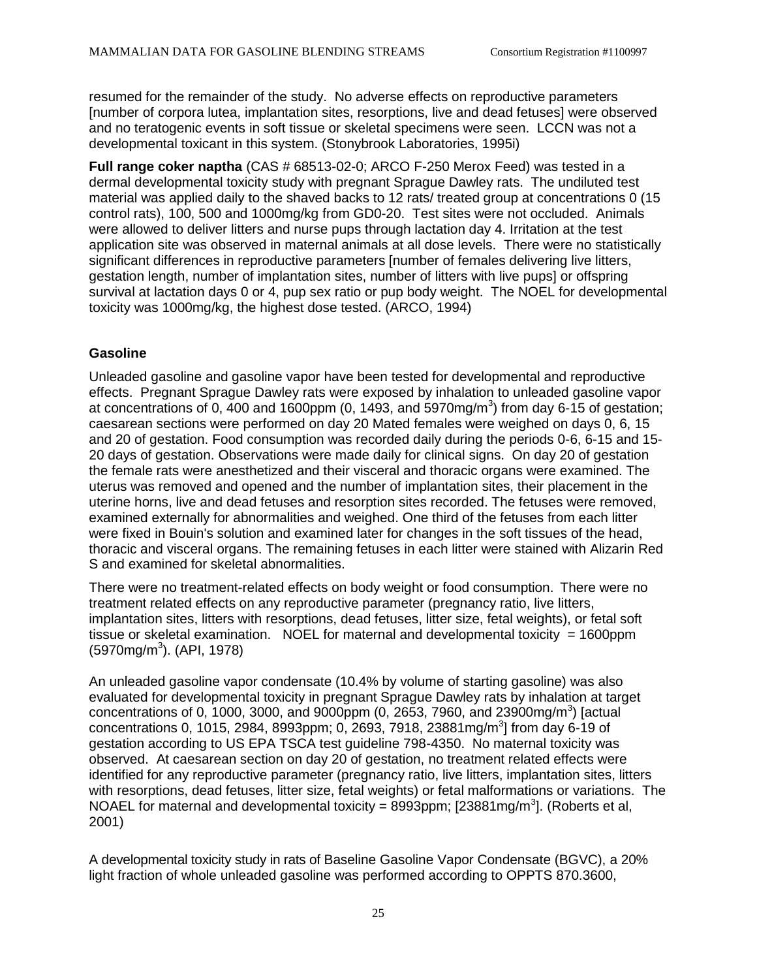resumed for the remainder of the study. No adverse effects on reproductive parameters [number of corpora lutea, implantation sites, resorptions, live and dead fetuses] were observed and no teratogenic events in soft tissue or skeletal specimens were seen. LCCN was not a developmental toxicant in this system. (Stonybrook Laboratories, 1995i)

**Full range coker naptha** (CAS # 68513-02-0; ARCO F-250 Merox Feed) was tested in a dermal developmental toxicity study with pregnant Sprague Dawley rats. The undiluted test material was applied daily to the shaved backs to 12 rats/ treated group at concentrations 0 (15 control rats), 100, 500 and 1000mg/kg from GD0-20. Test sites were not occluded. Animals were allowed to deliver litters and nurse pups through lactation day 4. Irritation at the test application site was observed in maternal animals at all dose levels. There were no statistically significant differences in reproductive parameters [number of females delivering live litters, gestation length, number of implantation sites, number of litters with live pups] or offspring survival at lactation days 0 or 4, pup sex ratio or pup body weight. The NOEL for developmental toxicity was 1000mg/kg, the highest dose tested. (ARCO, 1994)

### **Gasoline**

Unleaded gasoline and gasoline vapor have been tested for developmental and reproductive effects. Pregnant Sprague Dawley rats were exposed by inhalation to unleaded gasoline vapor at concentrations of 0, 400 and 1600ppm (0, 1493, and 5970mg/m<sup>3</sup>) from day 6-15 of gestation; caesarean sections were performed on day 20 Mated females were weighed on days 0, 6, 15 and 20 of gestation. Food consumption was recorded daily during the periods 0-6, 6-15 and 15- 20 days of gestation. Observations were made daily for clinical signs. On day 20 of gestation the female rats were anesthetized and their visceral and thoracic organs were examined. The uterus was removed and opened and the number of implantation sites, their placement in the uterine horns, live and dead fetuses and resorption sites recorded. The fetuses were removed, examined externally for abnormalities and weighed. One third of the fetuses from each litter were fixed in Bouin's solution and examined later for changes in the soft tissues of the head, thoracic and visceral organs. The remaining fetuses in each litter were stained with Alizarin Red S and examined for skeletal abnormalities.

There were no treatment-related effects on body weight or food consumption. There were no treatment related effects on any reproductive parameter (pregnancy ratio, live litters, implantation sites, litters with resorptions, dead fetuses, litter size, fetal weights), or fetal soft tissue or skeletal examination. NOEL for maternal and developmental toxicity = 1600ppm (5970mg/m<sup>3</sup>). (API, 1978)

An unleaded gasoline vapor condensate (10.4% by volume of starting gasoline) was also evaluated for developmental toxicity in pregnant Sprague Dawley rats by inhalation at target concentrations of 0, 1000, 3000, and 9000ppm (0, 2653, 7960, and 23900mg/m<sup>3</sup>) [actual concentrations 0, 1015, 2984, 8993ppm; 0, 2693, 7918, 23881mg/m<sup>3</sup>] from day 6-19 of gestation according to US EPA TSCA test guideline 798-4350. No maternal toxicity was observed. At caesarean section on day 20 of gestation, no treatment related effects were identified for any reproductive parameter (pregnancy ratio, live litters, implantation sites, litters with resorptions, dead fetuses, litter size, fetal weights) or fetal malformations or variations. The NOAEL for maternal and developmental toxicity =  $8993$ ppm; [23881mg/m<sup>3</sup>]. (Roberts et al, 2001)

A developmental toxicity study in rats of Baseline Gasoline Vapor Condensate (BGVC), a 20% light fraction of whole unleaded gasoline was performed according to OPPTS 870.3600,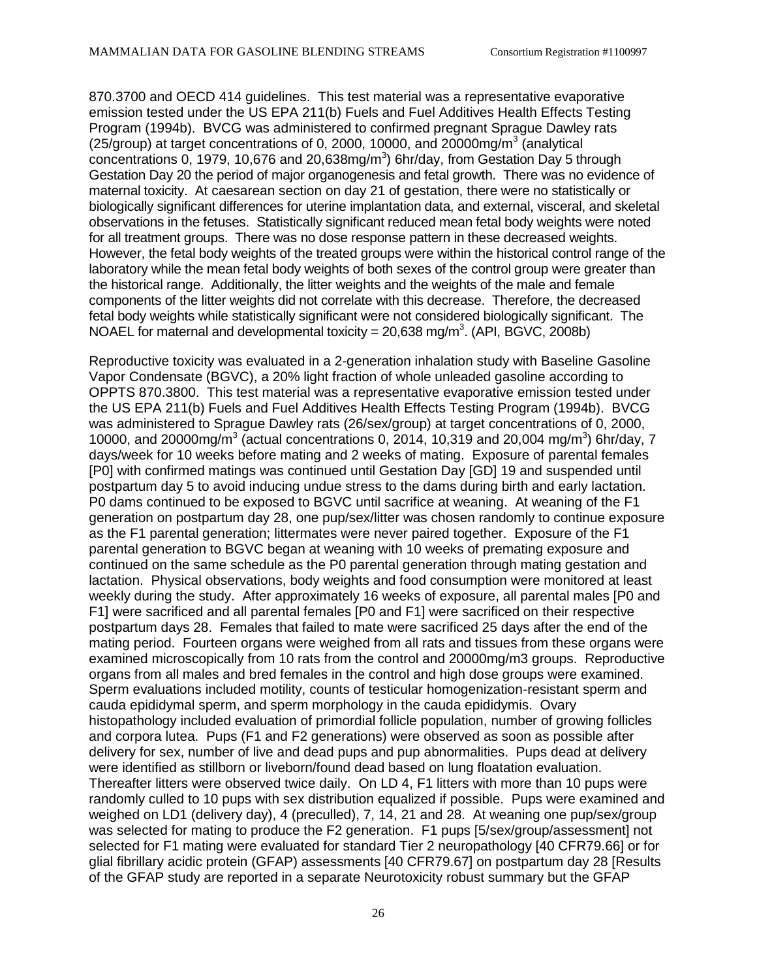870.3700 and OECD 414 guidelines. This test material was a representative evaporative emission tested under the US EPA 211(b) Fuels and Fuel Additives Health Effects Testing Program (1994b). BVCG was administered to confirmed pregnant Sprague Dawley rats (25/group) at target concentrations of 0, 2000, 10000, and 20000mg/m<sup>3</sup> (analytical concentrations 0, 1979, 10,676 and 20,638mg/ $m<sup>3</sup>$ ) 6hr/day, from Gestation Day 5 through Gestation Day 20 the period of major organogenesis and fetal growth. There was no evidence of maternal toxicity. At caesarean section on day 21 of gestation, there were no statistically or biologically significant differences for uterine implantation data, and external, visceral, and skeletal observations in the fetuses. Statistically significant reduced mean fetal body weights were noted for all treatment groups. There was no dose response pattern in these decreased weights. However, the fetal body weights of the treated groups were within the historical control range of the laboratory while the mean fetal body weights of both sexes of the control group were greater than the historical range. Additionally, the litter weights and the weights of the male and female components of the litter weights did not correlate with this decrease. Therefore, the decreased fetal body weights while statistically significant were not considered biologically significant. The NOAEL for maternal and developmental toxicity =  $20,638$  mg/m<sup>3</sup>. (API, BGVC, 2008b)

Reproductive toxicity was evaluated in a 2-generation inhalation study with Baseline Gasoline Vapor Condensate (BGVC), a 20% light fraction of whole unleaded gasoline according to OPPTS 870.3800. This test material was a representative evaporative emission tested under the US EPA 211(b) Fuels and Fuel Additives Health Effects Testing Program (1994b). BVCG was administered to Sprague Dawley rats (26/sex/group) at target concentrations of 0, 2000, 10000, and 20000mg/m<sup>3</sup> (actual concentrations 0, 2014, 10,319 and 20,004 mg/m<sup>3</sup>) 6hr/day, 7 days/week for 10 weeks before mating and 2 weeks of mating. Exposure of parental females [P0] with confirmed matings was continued until Gestation Day [GD] 19 and suspended until postpartum day 5 to avoid inducing undue stress to the dams during birth and early lactation. P0 dams continued to be exposed to BGVC until sacrifice at weaning. At weaning of the F1 generation on postpartum day 28, one pup/sex/litter was chosen randomly to continue exposure as the F1 parental generation; littermates were never paired together. Exposure of the F1 parental generation to BGVC began at weaning with 10 weeks of premating exposure and continued on the same schedule as the P0 parental generation through mating gestation and lactation. Physical observations, body weights and food consumption were monitored at least weekly during the study. After approximately 16 weeks of exposure, all parental males [P0 and F1] were sacrificed and all parental females [P0 and F1] were sacrificed on their respective postpartum days 28. Females that failed to mate were sacrificed 25 days after the end of the mating period. Fourteen organs were weighed from all rats and tissues from these organs were examined microscopically from 10 rats from the control and 20000mg/m3 groups. Reproductive organs from all males and bred females in the control and high dose groups were examined. Sperm evaluations included motility, counts of testicular homogenization-resistant sperm and cauda epididymal sperm, and sperm morphology in the cauda epididymis. Ovary histopathology included evaluation of primordial follicle population, number of growing follicles and corpora lutea. Pups (F1 and F2 generations) were observed as soon as possible after delivery for sex, number of live and dead pups and pup abnormalities. Pups dead at delivery were identified as stillborn or liveborn/found dead based on lung floatation evaluation. Thereafter litters were observed twice daily. On LD 4, F1 litters with more than 10 pups were randomly culled to 10 pups with sex distribution equalized if possible. Pups were examined and weighed on LD1 (delivery day), 4 (preculled), 7, 14, 21 and 28. At weaning one pup/sex/group was selected for mating to produce the F2 generation. F1 pups [5/sex/group/assessment] not selected for F1 mating were evaluated for standard Tier 2 neuropathology [40 CFR79.66] or for glial fibrillary acidic protein (GFAP) assessments [40 CFR79.67] on postpartum day 28 [Results of the GFAP study are reported in a separate Neurotoxicity robust summary but the GFAP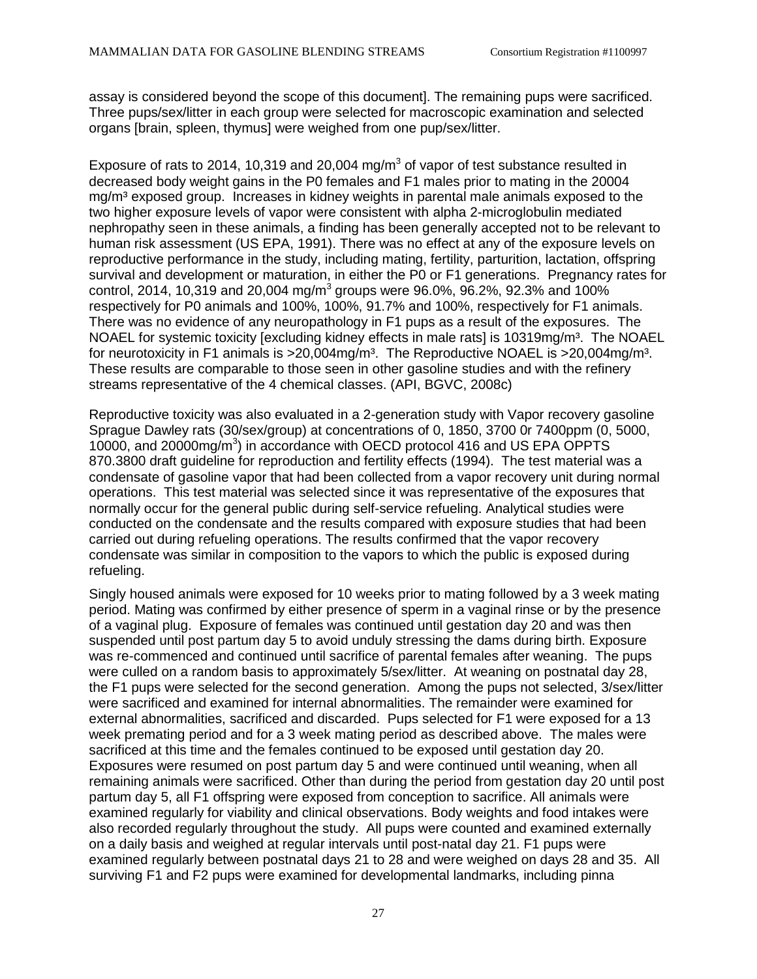assay is considered beyond the scope of this document]. The remaining pups were sacrificed. Three pups/sex/litter in each group were selected for macroscopic examination and selected organs [brain, spleen, thymus] were weighed from one pup/sex/litter.

Exposure of rats to 2014, 10,319 and 20,004 mg/m<sup>3</sup> of vapor of test substance resulted in decreased body weight gains in the P0 females and F1 males prior to mating in the 20004 mg/m<sup>3</sup> exposed group. Increases in kidney weights in parental male animals exposed to the two higher exposure levels of vapor were consistent with alpha 2-microglobulin mediated nephropathy seen in these animals, a finding has been generally accepted not to be relevant to human risk assessment (US EPA, 1991). There was no effect at any of the exposure levels on reproductive performance in the study, including mating, fertility, parturition, lactation, offspring survival and development or maturation, in either the P0 or F1 generations. Pregnancy rates for control, 2014, 10,319 and 20,004 mg/m<sup>3</sup> groups were 96.0%, 96.2%, 92.3% and 100% respectively for P0 animals and 100%, 100%, 91.7% and 100%, respectively for F1 animals. There was no evidence of any neuropathology in F1 pups as a result of the exposures. The NOAEL for systemic toxicity [excluding kidney effects in male rats] is 10319mg/m<sup>3</sup>. The NOAEL for neurotoxicity in F1 animals is  $>20,004$ mg/m<sup>3</sup>. The Reproductive NOAEL is  $>20,004$ mg/m<sup>3</sup>. These results are comparable to those seen in other gasoline studies and with the refinery streams representative of the 4 chemical classes. (API, BGVC, 2008c)

Reproductive toxicity was also evaluated in a 2-generation study with Vapor recovery gasoline Sprague Dawley rats (30/sex/group) at concentrations of 0, 1850, 3700 0r 7400ppm (0, 5000, 10000, and 20000mg/m<sup>3</sup>) in accordance with OECD protocol 416 and US EPA OPPTS 870.3800 draft guideline for reproduction and fertility effects (1994). The test material was a condensate of gasoline vapor that had been collected from a vapor recovery unit during normal operations. This test material was selected since it was representative of the exposures that normally occur for the general public during self-service refueling. Analytical studies were conducted on the condensate and the results compared with exposure studies that had been carried out during refueling operations. The results confirmed that the vapor recovery condensate was similar in composition to the vapors to which the public is exposed during refueling.

Singly housed animals were exposed for 10 weeks prior to mating followed by a 3 week mating period. Mating was confirmed by either presence of sperm in a vaginal rinse or by the presence of a vaginal plug. Exposure of females was continued until gestation day 20 and was then suspended until post partum day 5 to avoid unduly stressing the dams during birth. Exposure was re-commenced and continued until sacrifice of parental females after weaning. The pups were culled on a random basis to approximately 5/sex/litter. At weaning on postnatal day 28, the F1 pups were selected for the second generation. Among the pups not selected, 3/sex/litter were sacrificed and examined for internal abnormalities. The remainder were examined for external abnormalities, sacrificed and discarded. Pups selected for F1 were exposed for a 13 week premating period and for a 3 week mating period as described above. The males were sacrificed at this time and the females continued to be exposed until gestation day 20. Exposures were resumed on post partum day 5 and were continued until weaning, when all remaining animals were sacrificed. Other than during the period from gestation day 20 until post partum day 5, all F1 offspring were exposed from conception to sacrifice. All animals were examined regularly for viability and clinical observations. Body weights and food intakes were also recorded regularly throughout the study. All pups were counted and examined externally on a daily basis and weighed at regular intervals until post-natal day 21. F1 pups were examined regularly between postnatal days 21 to 28 and were weighed on days 28 and 35. All surviving F1 and F2 pups were examined for developmental landmarks, including pinna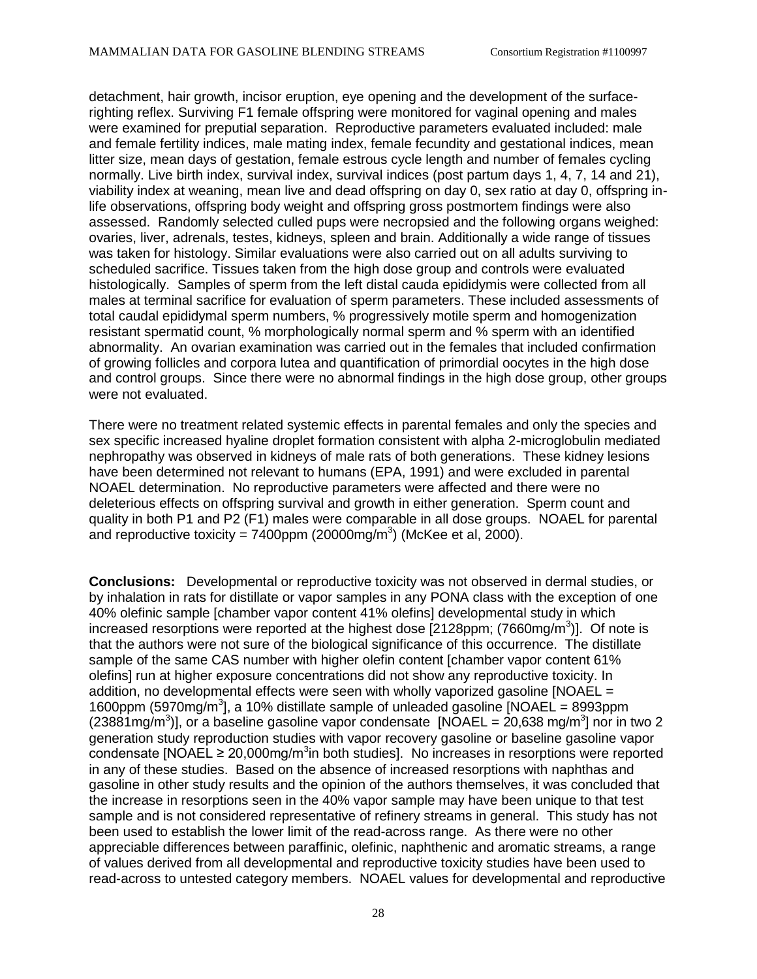detachment, hair growth, incisor eruption, eye opening and the development of the surfacerighting reflex. Surviving F1 female offspring were monitored for vaginal opening and males were examined for preputial separation. Reproductive parameters evaluated included: male and female fertility indices, male mating index, female fecundity and gestational indices, mean litter size, mean days of gestation, female estrous cycle length and number of females cycling normally. Live birth index, survival index, survival indices (post partum days 1, 4, 7, 14 and 21), viability index at weaning, mean live and dead offspring on day 0, sex ratio at day 0, offspring inlife observations, offspring body weight and offspring gross postmortem findings were also assessed. Randomly selected culled pups were necropsied and the following organs weighed: ovaries, liver, adrenals, testes, kidneys, spleen and brain. Additionally a wide range of tissues was taken for histology. Similar evaluations were also carried out on all adults surviving to scheduled sacrifice. Tissues taken from the high dose group and controls were evaluated histologically. Samples of sperm from the left distal cauda epididymis were collected from all males at terminal sacrifice for evaluation of sperm parameters. These included assessments of total caudal epididymal sperm numbers, % progressively motile sperm and homogenization resistant spermatid count, % morphologically normal sperm and % sperm with an identified abnormality. An ovarian examination was carried out in the females that included confirmation of growing follicles and corpora lutea and quantification of primordial oocytes in the high dose and control groups. Since there were no abnormal findings in the high dose group, other groups were not evaluated.

There were no treatment related systemic effects in parental females and only the species and sex specific increased hyaline droplet formation consistent with alpha 2-microglobulin mediated nephropathy was observed in kidneys of male rats of both generations. These kidney lesions have been determined not relevant to humans (EPA, 1991) and were excluded in parental NOAEL determination. No reproductive parameters were affected and there were no deleterious effects on offspring survival and growth in either generation. Sperm count and quality in both P1 and P2 (F1) males were comparable in all dose groups. NOAEL for parental and reproductive toxicity = 7400ppm (20000mg/m<sup>3</sup>) (McKee et al, 2000).

**Conclusions:** Developmental or reproductive toxicity was not observed in dermal studies, or by inhalation in rats for distillate or vapor samples in any PONA class with the exception of one 40% olefinic sample [chamber vapor content 41% olefins] developmental study in which increased resorptions were reported at the highest dose [2128ppm; (7660mg/m<sup>3</sup>)]. Of note is that the authors were not sure of the biological significance of this occurrence. The distillate sample of the same CAS number with higher olefin content [chamber vapor content 61% olefins] run at higher exposure concentrations did not show any reproductive toxicity. In addition, no developmental effects were seen with wholly vaporized gasoline  $[NOAEL =$ 1600ppm (5970mg/m<sup>3</sup>], a 10% distillate sample of unleaded gasoline [NOAEL = 8993ppm (23881mg/m<sup>3</sup>)], or a baseline gasoline vapor condensate [NOAEL = 20,638 mg/m<sup>3</sup>] nor in two 2 generation study reproduction studies with vapor recovery gasoline or baseline gasoline vapor condensate [NOAEL  $\geq 20,000$ mg/m<sup>3</sup>in both studies]. No increases in resorptions were reported in any of these studies. Based on the absence of increased resorptions with naphthas and gasoline in other study results and the opinion of the authors themselves, it was concluded that the increase in resorptions seen in the 40% vapor sample may have been unique to that test sample and is not considered representative of refinery streams in general. This study has not been used to establish the lower limit of the read-across range. As there were no other appreciable differences between paraffinic, olefinic, naphthenic and aromatic streams, a range of values derived from all developmental and reproductive toxicity studies have been used to read-across to untested category members. NOAEL values for developmental and reproductive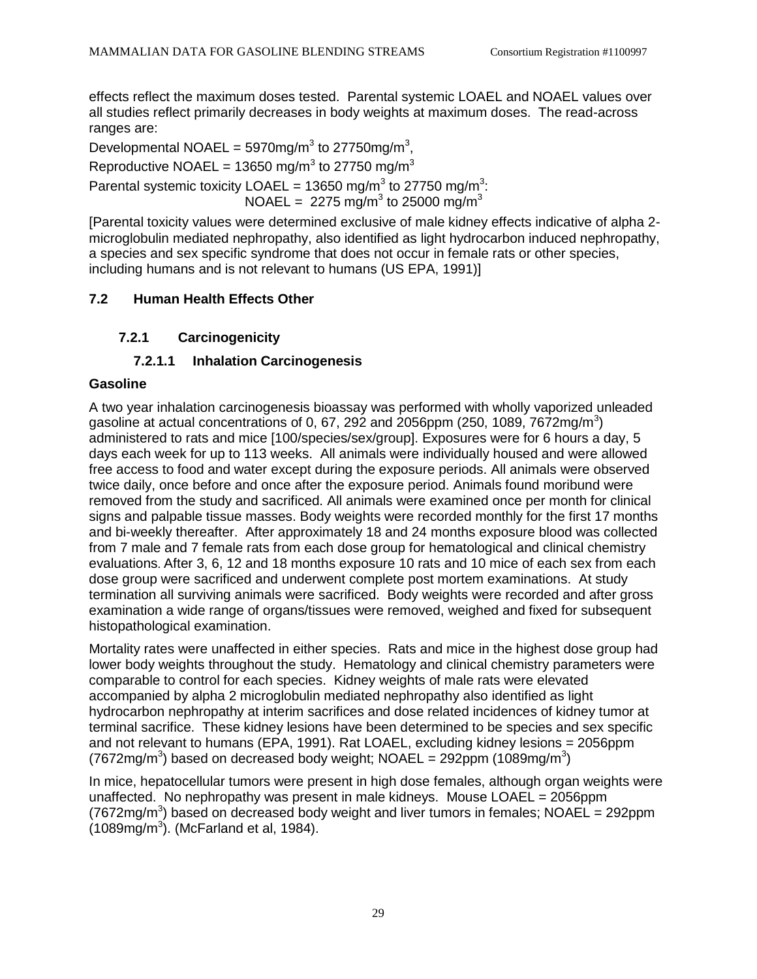effects reflect the maximum doses tested. Parental systemic LOAEL and NOAEL values over all studies reflect primarily decreases in body weights at maximum doses. The read-across ranges are:

Developmental NOAEL = 5970mg/m<sup>3</sup> to 27750mg/m<sup>3</sup>, Reproductive NOAEL = 13650 mg/m<sup>3</sup> to 27750 mg/m<sup>3</sup> Parental systemic toxicity LOAEL = 13650 mg/m<sup>3</sup> to 27750 mg/m<sup>3</sup>: NOAEL = 2275 mg/m<sup>3</sup> to 25000 mg/m<sup>3</sup>

[Parental toxicity values were determined exclusive of male kidney effects indicative of alpha 2 microglobulin mediated nephropathy, also identified as light hydrocarbon induced nephropathy, a species and sex specific syndrome that does not occur in female rats or other species, including humans and is not relevant to humans (US EPA, 1991)]

# **7.2 Human Health Effects Other**

## **7.2.1 Carcinogenicity**

## **7.2.1.1 Inhalation Carcinogenesis**

### **Gasoline**

A two year inhalation carcinogenesis bioassay was performed with wholly vaporized unleaded gasoline at actual concentrations of 0, 67, 292 and 2056ppm (250, 1089, 7672mg/m<sup>3</sup>) administered to rats and mice [100/species/sex/group]. Exposures were for 6 hours a day, 5 days each week for up to 113 weeks. All animals were individually housed and were allowed free access to food and water except during the exposure periods. All animals were observed twice daily, once before and once after the exposure period. Animals found moribund were removed from the study and sacrificed. All animals were examined once per month for clinical signs and palpable tissue masses. Body weights were recorded monthly for the first 17 months and bi-weekly thereafter. After approximately 18 and 24 months exposure blood was collected from 7 male and 7 female rats from each dose group for hematological and clinical chemistry evaluations. After 3, 6, 12 and 18 months exposure 10 rats and 10 mice of each sex from each dose group were sacrificed and underwent complete post mortem examinations. At study termination all surviving animals were sacrificed. Body weights were recorded and after gross examination a wide range of organs/tissues were removed, weighed and fixed for subsequent histopathological examination.

Mortality rates were unaffected in either species. Rats and mice in the highest dose group had lower body weights throughout the study. Hematology and clinical chemistry parameters were comparable to control for each species. Kidney weights of male rats were elevated accompanied by alpha 2 microglobulin mediated nephropathy also identified as light hydrocarbon nephropathy at interim sacrifices and dose related incidences of kidney tumor at terminal sacrifice. These kidney lesions have been determined to be species and sex specific and not relevant to humans (EPA, 1991). Rat LOAEL, excluding kidney lesions = 2056ppm (7672mg/m<sup>3</sup>) based on decreased body weight; NOAEL = 292ppm (1089mg/m<sup>3</sup>)

In mice, hepatocellular tumors were present in high dose females, although organ weights were unaffected. No nephropathy was present in male kidneys. Mouse LOAEL = 2056ppm (7672mg/m<sup>3</sup>) based on decreased body weight and liver tumors in females; NOAEL = 292ppm  $(1089mg/m<sup>3</sup>)$ . (McFarland et al, 1984).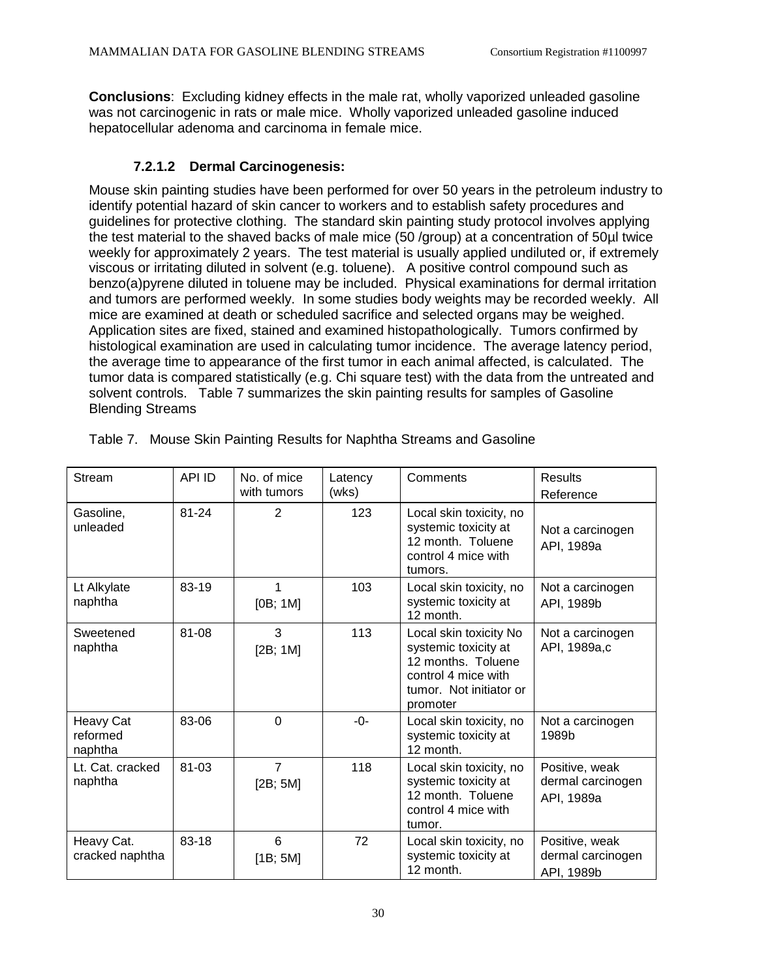**Conclusions**: Excluding kidney effects in the male rat, wholly vaporized unleaded gasoline was not carcinogenic in rats or male mice. Wholly vaporized unleaded gasoline induced hepatocellular adenoma and carcinoma in female mice.

## **7.2.1.2 Dermal Carcinogenesis:**

Mouse skin painting studies have been performed for over 50 years in the petroleum industry to identify potential hazard of skin cancer to workers and to establish safety procedures and guidelines for protective clothing. The standard skin painting study protocol involves applying the test material to the shaved backs of male mice (50 /group) at a concentration of 50µl twice weekly for approximately 2 years. The test material is usually applied undiluted or, if extremely viscous or irritating diluted in solvent (e.g. toluene). A positive control compound such as benzo(a)pyrene diluted in toluene may be included. Physical examinations for dermal irritation and tumors are performed weekly. In some studies body weights may be recorded weekly. All mice are examined at death or scheduled sacrifice and selected organs may be weighed. Application sites are fixed, stained and examined histopathologically. Tumors confirmed by histological examination are used in calculating tumor incidence. The average latency period, the average time to appearance of the first tumor in each animal affected, is calculated. The tumor data is compared statistically (e.g. Chi square test) with the data from the untreated and solvent controls. Table 7 summarizes the skin painting results for samples of Gasoline Blending Streams

| Stream                           | <b>API ID</b> | No. of mice<br>with tumors | Latency<br>(wks) | Comments                                                                                                                           | Results<br>Reference                              |
|----------------------------------|---------------|----------------------------|------------------|------------------------------------------------------------------------------------------------------------------------------------|---------------------------------------------------|
| Gasoline,<br>unleaded            | $81 - 24$     | 2                          | 123              | Local skin toxicity, no<br>systemic toxicity at<br>12 month. Toluene<br>control 4 mice with<br>tumors.                             | Not a carcinogen<br>API, 1989a                    |
| Lt Alkylate<br>naphtha           | 83-19         | 1<br>[OB; 1M]              | 103              | Local skin toxicity, no<br>systemic toxicity at<br>12 month.                                                                       | Not a carcinogen<br>API, 1989b                    |
| Sweetened<br>naphtha             | 81-08         | 3<br>[2B; 1M]              | 113              | Local skin toxicity No<br>systemic toxicity at<br>12 months. Toluene<br>control 4 mice with<br>tumor. Not initiator or<br>promoter | Not a carcinogen<br>API, 1989a,c                  |
| Heavy Cat<br>reformed<br>naphtha | 83-06         | $\Omega$                   | $-0-$            | Local skin toxicity, no<br>systemic toxicity at<br>12 month.                                                                       | Not a carcinogen<br>1989b                         |
| Lt. Cat. cracked<br>naphtha      | 81-03         | $\overline{7}$<br>[2B; 5M] | 118              | Local skin toxicity, no<br>systemic toxicity at<br>12 month. Toluene<br>control 4 mice with<br>tumor.                              | Positive, weak<br>dermal carcinogen<br>API, 1989a |
| Heavy Cat.<br>cracked naphtha    | 83-18         | 6<br>[1B; 5M]              | 72               | Local skin toxicity, no<br>systemic toxicity at<br>12 month.                                                                       | Positive, weak<br>dermal carcinogen<br>API, 1989b |

Table 7. Mouse Skin Painting Results for Naphtha Streams and Gasoline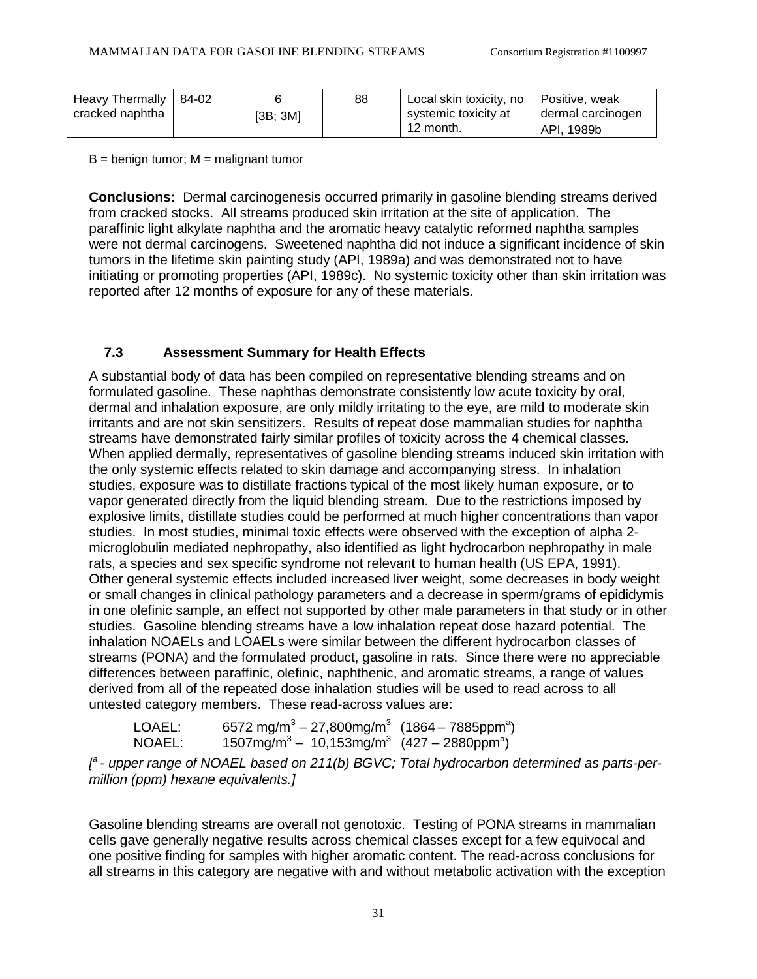| Heavy Thermally   84-02 |          | 88 | Local skin toxicity, no | Positive, weak    |
|-------------------------|----------|----|-------------------------|-------------------|
| cracked naphtha         | [3B; 3M] |    | systemic toxicity at    | dermal carcinogen |
|                         |          |    | 12 month.               | API. 1989b        |

 $B =$  benign tumor;  $M =$  malignant tumor

**Conclusions:** Dermal carcinogenesis occurred primarily in gasoline blending streams derived from cracked stocks. All streams produced skin irritation at the site of application. The paraffinic light alkylate naphtha and the aromatic heavy catalytic reformed naphtha samples were not dermal carcinogens. Sweetened naphtha did not induce a significant incidence of skin tumors in the lifetime skin painting study (API, 1989a) and was demonstrated not to have initiating or promoting properties (API, 1989c). No systemic toxicity other than skin irritation was reported after 12 months of exposure for any of these materials.

## **7.3 Assessment Summary for Health Effects**

A substantial body of data has been compiled on representative blending streams and on formulated gasoline. These naphthas demonstrate consistently low acute toxicity by oral, dermal and inhalation exposure, are only mildly irritating to the eye, are mild to moderate skin irritants and are not skin sensitizers. Results of repeat dose mammalian studies for naphtha streams have demonstrated fairly similar profiles of toxicity across the 4 chemical classes. When applied dermally, representatives of gasoline blending streams induced skin irritation with the only systemic effects related to skin damage and accompanying stress. In inhalation studies, exposure was to distillate fractions typical of the most likely human exposure, or to vapor generated directly from the liquid blending stream. Due to the restrictions imposed by explosive limits, distillate studies could be performed at much higher concentrations than vapor studies. In most studies, minimal toxic effects were observed with the exception of alpha 2 microglobulin mediated nephropathy, also identified as light hydrocarbon nephropathy in male rats, a species and sex specific syndrome not relevant to human health (US EPA, 1991). Other general systemic effects included increased liver weight, some decreases in body weight or small changes in clinical pathology parameters and a decrease in sperm/grams of epididymis in one olefinic sample, an effect not supported by other male parameters in that study or in other studies. Gasoline blending streams have a low inhalation repeat dose hazard potential. The inhalation NOAELs and LOAELs were similar between the different hydrocarbon classes of streams (PONA) and the formulated product, gasoline in rats. Since there were no appreciable differences between paraffinic, olefinic, naphthenic, and aromatic streams, a range of values derived from all of the repeated dose inhalation studies will be used to read across to all untested category members. These read-across values are:

| LOAEL: | 6572 mg/m <sup>3</sup> – 27,800mg/m <sup>3</sup> (1864 – 7885ppm <sup>a</sup> ) |  |
|--------|---------------------------------------------------------------------------------|--|
| NOAEL: | $1507mg/m3 - 10,153mg/m3$ (427 – 2880ppm <sup>a</sup> )                         |  |

*[ a - upper range of NOAEL based on 211(b) BGVC; Total hydrocarbon determined as parts-permillion (ppm) hexane equivalents.]*

Gasoline blending streams are overall not genotoxic. Testing of PONA streams in mammalian cells gave generally negative results across chemical classes except for a few equivocal and one positive finding for samples with higher aromatic content. The read-across conclusions for all streams in this category are negative with and without metabolic activation with the exception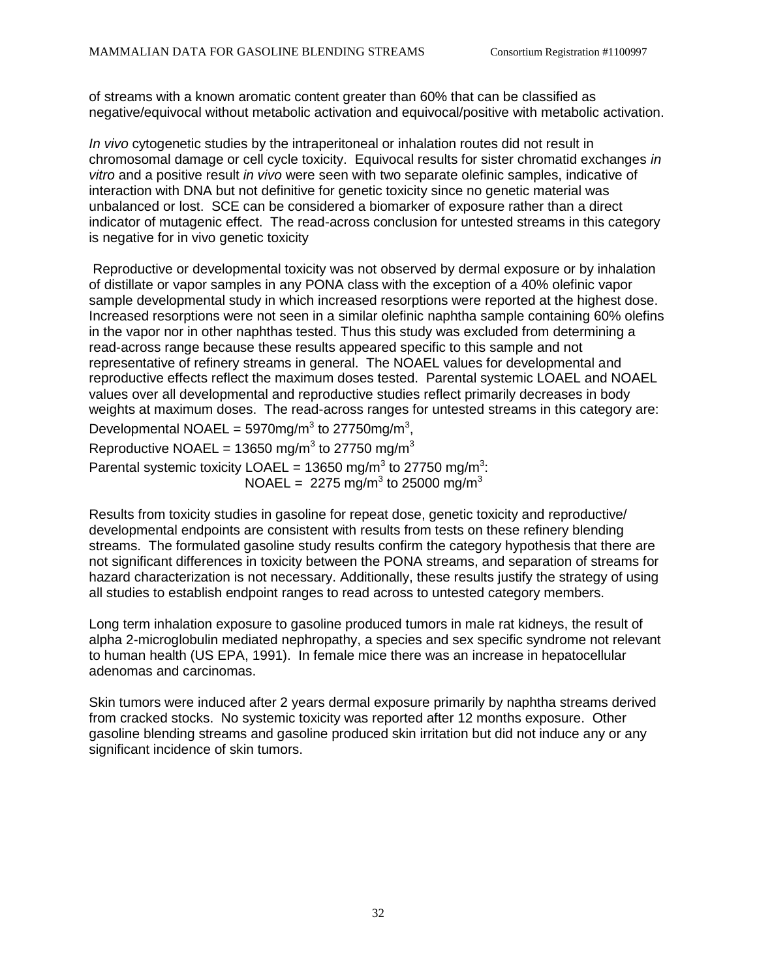of streams with a known aromatic content greater than 60% that can be classified as negative/equivocal without metabolic activation and equivocal/positive with metabolic activation.

*In vivo* cytogenetic studies by the intraperitoneal or inhalation routes did not result in chromosomal damage or cell cycle toxicity. Equivocal results for sister chromatid exchanges *in vitro* and a positive result *in vivo* were seen with two separate olefinic samples, indicative of interaction with DNA but not definitive for genetic toxicity since no genetic material was unbalanced or lost. SCE can be considered a biomarker of exposure rather than a direct indicator of mutagenic effect. The read-across conclusion for untested streams in this category is negative for in vivo genetic toxicity

Reproductive or developmental toxicity was not observed by dermal exposure or by inhalation of distillate or vapor samples in any PONA class with the exception of a 40% olefinic vapor sample developmental study in which increased resorptions were reported at the highest dose. Increased resorptions were not seen in a similar olefinic naphtha sample containing 60% olefins in the vapor nor in other naphthas tested. Thus this study was excluded from determining a read-across range because these results appeared specific to this sample and not representative of refinery streams in general. The NOAEL values for developmental and reproductive effects reflect the maximum doses tested. Parental systemic LOAEL and NOAEL values over all developmental and reproductive studies reflect primarily decreases in body weights at maximum doses. The read-across ranges for untested streams in this category are:

Developmental NOAEL = 5970mg/m<sup>3</sup> to 27750mg/m<sup>3</sup>,

Reproductive NOAEL = 13650 mg/m<sup>3</sup> to 27750 mg/m<sup>3</sup>

Parental systemic toxicity LOAEL = 13650 mg/m<sup>3</sup> to 27750 mg/m<sup>3</sup>: NOAEL = 2275 mg/m<sup>3</sup> to 25000 mg/m<sup>3</sup>

Results from toxicity studies in gasoline for repeat dose, genetic toxicity and reproductive/ developmental endpoints are consistent with results from tests on these refinery blending streams. The formulated gasoline study results confirm the category hypothesis that there are not significant differences in toxicity between the PONA streams, and separation of streams for hazard characterization is not necessary. Additionally, these results justify the strategy of using all studies to establish endpoint ranges to read across to untested category members.

Long term inhalation exposure to gasoline produced tumors in male rat kidneys, the result of alpha 2-microglobulin mediated nephropathy, a species and sex specific syndrome not relevant to human health (US EPA, 1991). In female mice there was an increase in hepatocellular adenomas and carcinomas.

Skin tumors were induced after 2 years dermal exposure primarily by naphtha streams derived from cracked stocks. No systemic toxicity was reported after 12 months exposure. Other gasoline blending streams and gasoline produced skin irritation but did not induce any or any significant incidence of skin tumors.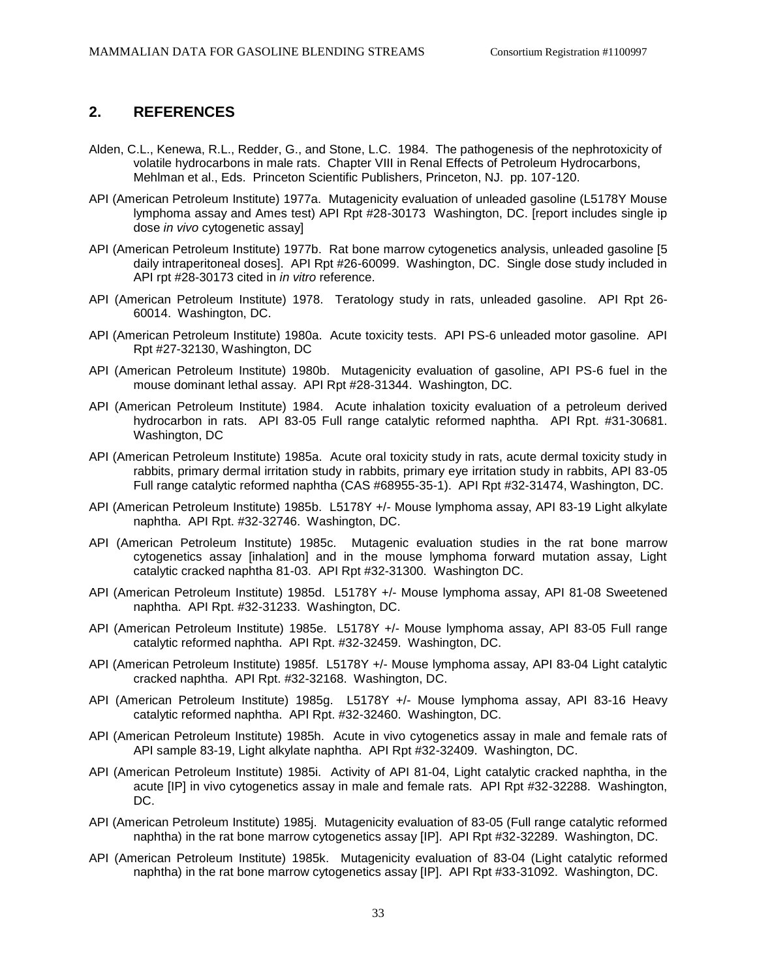#### **2. REFERENCES**

- Alden, C.L., Kenewa, R.L., Redder, G., and Stone, L.C. 1984. The pathogenesis of the nephrotoxicity of volatile hydrocarbons in male rats. Chapter VIII in Renal Effects of Petroleum Hydrocarbons, Mehlman et al., Eds. Princeton Scientific Publishers, Princeton, NJ. pp. 107-120.
- API (American Petroleum Institute) 1977a. Mutagenicity evaluation of unleaded gasoline (L5178Y Mouse lymphoma assay and Ames test) API Rpt #28-30173 Washington, DC. [report includes single ip dose *in vivo* cytogenetic assay]
- API (American Petroleum Institute) 1977b. Rat bone marrow cytogenetics analysis, unleaded gasoline [5 daily intraperitoneal doses]. API Rpt #26-60099. Washington, DC. Single dose study included in API rpt #28-30173 cited in *in vitro* reference.
- API (American Petroleum Institute) 1978. Teratology study in rats, unleaded gasoline. API Rpt 26- 60014. Washington, DC.
- API (American Petroleum Institute) 1980a. Acute toxicity tests. API PS-6 unleaded motor gasoline. API Rpt #27-32130, Washington, DC
- API (American Petroleum Institute) 1980b. Mutagenicity evaluation of gasoline, API PS-6 fuel in the mouse dominant lethal assay. API Rpt #28-31344. Washington, DC.
- API (American Petroleum Institute) 1984. Acute inhalation toxicity evaluation of a petroleum derived hydrocarbon in rats. API 83-05 Full range catalytic reformed naphtha. API Rpt. #31-30681. Washington, DC
- API (American Petroleum Institute) 1985a. Acute oral toxicity study in rats, acute dermal toxicity study in rabbits, primary dermal irritation study in rabbits, primary eye irritation study in rabbits, API 83-05 Full range catalytic reformed naphtha (CAS #68955-35-1). API Rpt #32-31474, Washington, DC.
- API (American Petroleum Institute) 1985b. L5178Y +/- Mouse lymphoma assay, API 83-19 Light alkylate naphtha. API Rpt. #32-32746. Washington, DC.
- API (American Petroleum Institute) 1985c. Mutagenic evaluation studies in the rat bone marrow cytogenetics assay [inhalation] and in the mouse lymphoma forward mutation assay, Light catalytic cracked naphtha 81-03. API Rpt #32-31300. Washington DC.
- API (American Petroleum Institute) 1985d. L5178Y +/- Mouse lymphoma assay, API 81-08 Sweetened naphtha. API Rpt. #32-31233. Washington, DC.
- API (American Petroleum Institute) 1985e. L5178Y +/- Mouse lymphoma assay, API 83-05 Full range catalytic reformed naphtha. API Rpt. #32-32459. Washington, DC.
- API (American Petroleum Institute) 1985f. L5178Y +/- Mouse lymphoma assay, API 83-04 Light catalytic cracked naphtha. API Rpt. #32-32168. Washington, DC.
- API (American Petroleum Institute) 1985g. L5178Y +/- Mouse lymphoma assay, API 83-16 Heavy catalytic reformed naphtha. API Rpt. #32-32460. Washington, DC.
- API (American Petroleum Institute) 1985h. Acute in vivo cytogenetics assay in male and female rats of API sample 83-19, Light alkylate naphtha. API Rpt #32-32409. Washington, DC.
- API (American Petroleum Institute) 1985i. Activity of API 81-04, Light catalytic cracked naphtha, in the acute [IP] in vivo cytogenetics assay in male and female rats. API Rpt #32-32288. Washington, DC.
- API (American Petroleum Institute) 1985j. Mutagenicity evaluation of 83-05 (Full range catalytic reformed naphtha) in the rat bone marrow cytogenetics assay [IP]. API Rpt #32-32289. Washington, DC.
- API (American Petroleum Institute) 1985k. Mutagenicity evaluation of 83-04 (Light catalytic reformed naphtha) in the rat bone marrow cytogenetics assay [IP]. API Rpt #33-31092. Washington, DC.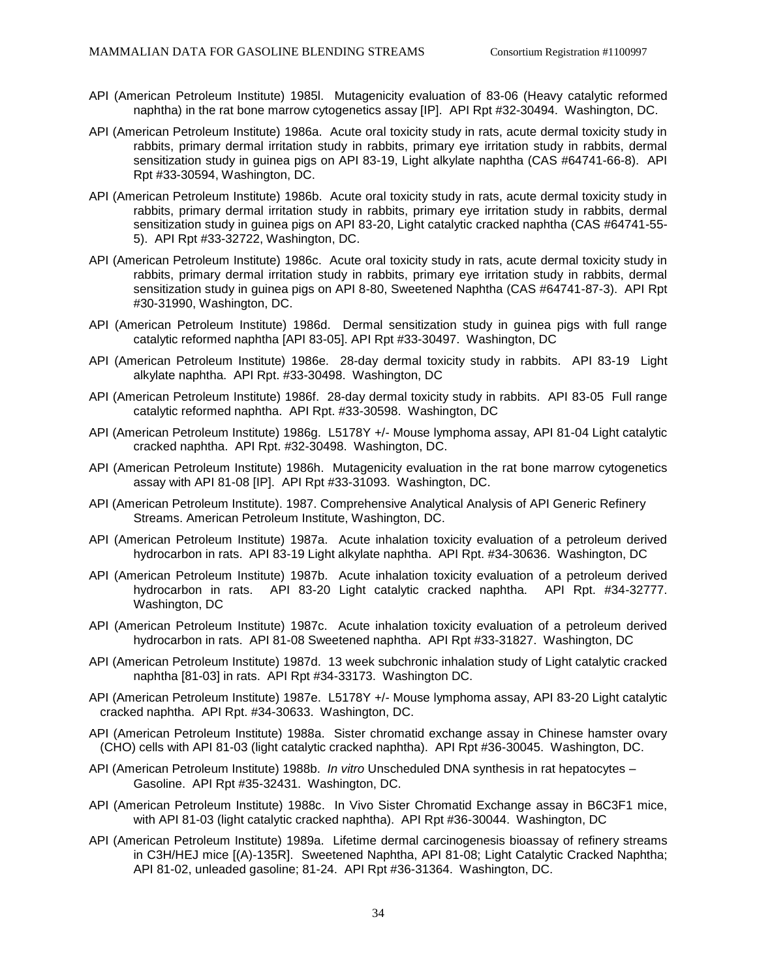- API (American Petroleum Institute) 1985l. Mutagenicity evaluation of 83-06 (Heavy catalytic reformed naphtha) in the rat bone marrow cytogenetics assay [IP]. API Rpt #32-30494. Washington, DC.
- API (American Petroleum Institute) 1986a. Acute oral toxicity study in rats, acute dermal toxicity study in rabbits, primary dermal irritation study in rabbits, primary eye irritation study in rabbits, dermal sensitization study in guinea pigs on API 83-19, Light alkylate naphtha (CAS #64741-66-8). API Rpt #33-30594, Washington, DC.
- API (American Petroleum Institute) 1986b. Acute oral toxicity study in rats, acute dermal toxicity study in rabbits, primary dermal irritation study in rabbits, primary eye irritation study in rabbits, dermal sensitization study in guinea pigs on API 83-20, Light catalytic cracked naphtha (CAS #64741-55- 5). API Rpt #33-32722, Washington, DC.
- API (American Petroleum Institute) 1986c. Acute oral toxicity study in rats, acute dermal toxicity study in rabbits, primary dermal irritation study in rabbits, primary eye irritation study in rabbits, dermal sensitization study in guinea pigs on API 8-80, Sweetened Naphtha (CAS #64741-87-3). API Rpt #30-31990, Washington, DC.
- API (American Petroleum Institute) 1986d. Dermal sensitization study in guinea pigs with full range catalytic reformed naphtha [API 83-05]. API Rpt #33-30497. Washington, DC
- API (American Petroleum Institute) 1986e. 28-day dermal toxicity study in rabbits. API 83-19 Light alkylate naphtha. API Rpt. #33-30498. Washington, DC
- API (American Petroleum Institute) 1986f. 28-day dermal toxicity study in rabbits. API 83-05 Full range catalytic reformed naphtha. API Rpt. #33-30598. Washington, DC
- API (American Petroleum Institute) 1986g. L5178Y +/- Mouse lymphoma assay, API 81-04 Light catalytic cracked naphtha. API Rpt. #32-30498. Washington, DC.
- API (American Petroleum Institute) 1986h. Mutagenicity evaluation in the rat bone marrow cytogenetics assay with API 81-08 [IP]. API Rpt #33-31093. Washington, DC.
- API (American Petroleum Institute). 1987. Comprehensive Analytical Analysis of API Generic Refinery Streams. American Petroleum Institute, Washington, DC.
- API (American Petroleum Institute) 1987a. Acute inhalation toxicity evaluation of a petroleum derived hydrocarbon in rats. API 83-19 Light alkylate naphtha. API Rpt. #34-30636. Washington, DC
- API (American Petroleum Institute) 1987b. Acute inhalation toxicity evaluation of a petroleum derived hydrocarbon in rats. API 83-20 Light catalytic cracked naphtha. API Rpt. #34-32777. Washington, DC
- API (American Petroleum Institute) 1987c. Acute inhalation toxicity evaluation of a petroleum derived hydrocarbon in rats. API 81-08 Sweetened naphtha. API Rpt #33-31827. Washington, DC
- API (American Petroleum Institute) 1987d. 13 week subchronic inhalation study of Light catalytic cracked naphtha [81-03] in rats. API Rpt #34-33173. Washington DC.
- API (American Petroleum Institute) 1987e. L5178Y +/- Mouse lymphoma assay, API 83-20 Light catalytic cracked naphtha. API Rpt. #34-30633. Washington, DC.
- API (American Petroleum Institute) 1988a. Sister chromatid exchange assay in Chinese hamster ovary (CHO) cells with API 81-03 (light catalytic cracked naphtha). API Rpt #36-30045. Washington, DC.
- API (American Petroleum Institute) 1988b. *In vitro* Unscheduled DNA synthesis in rat hepatocytes Gasoline. API Rpt #35-32431. Washington, DC.
- API (American Petroleum Institute) 1988c. In Vivo Sister Chromatid Exchange assay in B6C3F1 mice, with API 81-03 (light catalytic cracked naphtha). API Rpt #36-30044. Washington, DC
- API (American Petroleum Institute) 1989a. Lifetime dermal carcinogenesis bioassay of refinery streams in C3H/HEJ mice [(A)-135R]. Sweetened Naphtha, API 81-08; Light Catalytic Cracked Naphtha; API 81-02, unleaded gasoline; 81-24. API Rpt #36-31364. Washington, DC.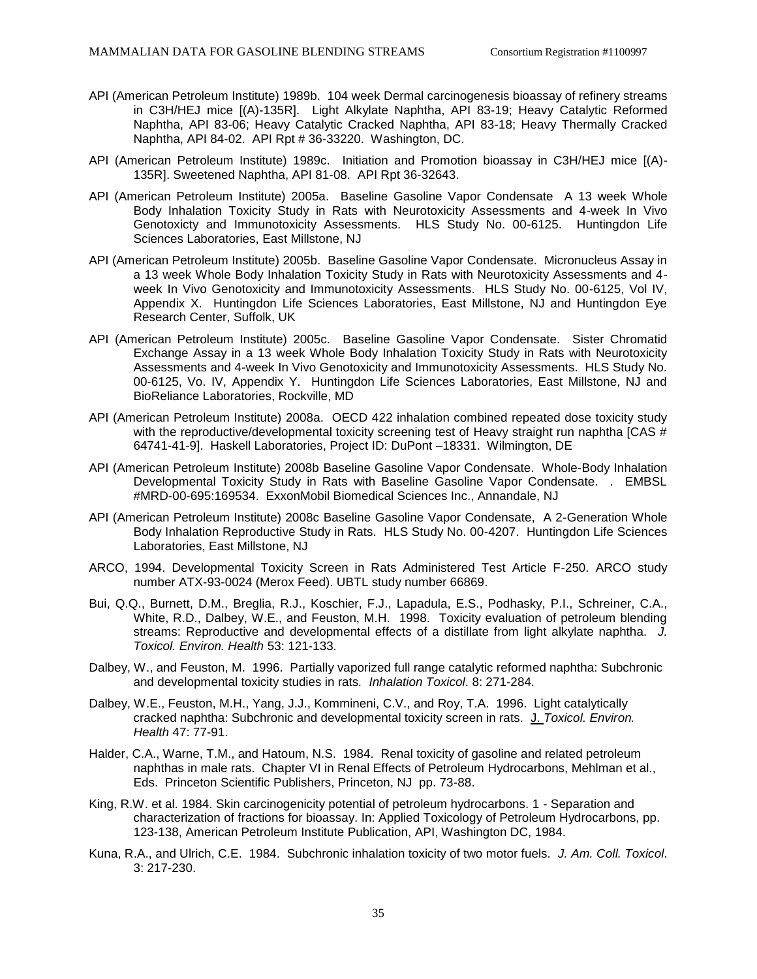- API (American Petroleum Institute) 1989b. 104 week Dermal carcinogenesis bioassay of refinery streams in C3H/HEJ mice [(A)-135R]. Light Alkylate Naphtha, API 83-19; Heavy Catalytic Reformed Naphtha, API 83-06; Heavy Catalytic Cracked Naphtha, API 83-18; Heavy Thermally Cracked Naphtha, API 84-02. API Rpt # 36-33220. Washington, DC.
- API (American Petroleum Institute) 1989c. Initiation and Promotion bioassay in C3H/HEJ mice [(A)- 135R]. Sweetened Naphtha, API 81-08. API Rpt 36-32643.
- API (American Petroleum Institute) 2005a. Baseline Gasoline Vapor Condensate A 13 week Whole Body Inhalation Toxicity Study in Rats with Neurotoxicity Assessments and 4-week In Vivo Genotoxicty and Immunotoxicity Assessments. HLS Study No. 00-6125. Huntingdon Life Sciences Laboratories, East Millstone, NJ
- API (American Petroleum Institute) 2005b. Baseline Gasoline Vapor Condensate. Micronucleus Assay in a 13 week Whole Body Inhalation Toxicity Study in Rats with Neurotoxicity Assessments and 4 week In Vivo Genotoxicity and Immunotoxicity Assessments. HLS Study No. 00-6125, Vol IV, Appendix X. Huntingdon Life Sciences Laboratories, East Millstone, NJ and Huntingdon Eye Research Center, Suffolk, UK
- API (American Petroleum Institute) 2005c. Baseline Gasoline Vapor Condensate. Sister Chromatid Exchange Assay in a 13 week Whole Body Inhalation Toxicity Study in Rats with Neurotoxicity Assessments and 4-week In Vivo Genotoxicity and Immunotoxicity Assessments. HLS Study No. 00-6125, Vo. IV, Appendix Y. Huntingdon Life Sciences Laboratories, East Millstone, NJ and BioReliance Laboratories, Rockville, MD
- API (American Petroleum Institute) 2008a. OECD 422 inhalation combined repeated dose toxicity study with the reproductive/developmental toxicity screening test of Heavy straight run naphtha [CAS # 64741-41-9]. Haskell Laboratories, Project ID: DuPont –18331. Wilmington, DE
- API (American Petroleum Institute) 2008b Baseline Gasoline Vapor Condensate. Whole-Body Inhalation Developmental Toxicity Study in Rats with Baseline Gasoline Vapor Condensate. . EMBSL #MRD-00-695:169534. ExxonMobil Biomedical Sciences Inc., Annandale, NJ
- API (American Petroleum Institute) 2008c Baseline Gasoline Vapor Condensate, A 2-Generation Whole Body Inhalation Reproductive Study in Rats. HLS Study No. 00-4207. Huntingdon Life Sciences Laboratories, East Millstone, NJ
- ARCO, 1994. Developmental Toxicity Screen in Rats Administered Test Article F-250. ARCO study number ATX-93-0024 (Merox Feed). UBTL study number 66869.
- Bui, Q.Q., Burnett, D.M., Breglia, R.J., Koschier, F.J., Lapadula, E.S., Podhasky, P.I., Schreiner, C.A., White, R.D., Dalbey, W.E., and Feuston, M.H. 1998. Toxicity evaluation of petroleum blending streams: Reproductive and developmental effects of a distillate from light alkylate naphtha. *J. Toxicol. Environ. Health* 53: 121-133.
- Dalbey, W., and Feuston, M. 1996. Partially vaporized full range catalytic reformed naphtha: Subchronic and developmental toxicity studies in rats*. Inhalation Toxicol*. 8: 271-284.
- Dalbey, W.E., Feuston, M.H., Yang, J.J., Kommineni, C.V., and Roy, T.A. 1996. Light catalytically cracked naphtha: Subchronic and developmental toxicity screen in rats. J. *Toxicol. Environ. Health* 47: 77-91.
- Halder, C.A., Warne, T.M., and Hatoum, N.S. 1984. Renal toxicity of gasoline and related petroleum naphthas in male rats. Chapter VI in Renal Effects of Petroleum Hydrocarbons, Mehlman et al., Eds. Princeton Scientific Publishers, Princeton, NJ pp. 73-88.
- King, R.W. et al. 1984. Skin carcinogenicity potential of petroleum hydrocarbons. 1 Separation and characterization of fractions for bioassay. In: Applied Toxicology of Petroleum Hydrocarbons, pp. 123-138, American Petroleum Institute Publication, API, Washington DC, 1984.
- Kuna, R.A., and Ulrich, C.E. 1984. Subchronic inhalation toxicity of two motor fuels. *J. Am. Coll. Toxicol*. 3: 217-230.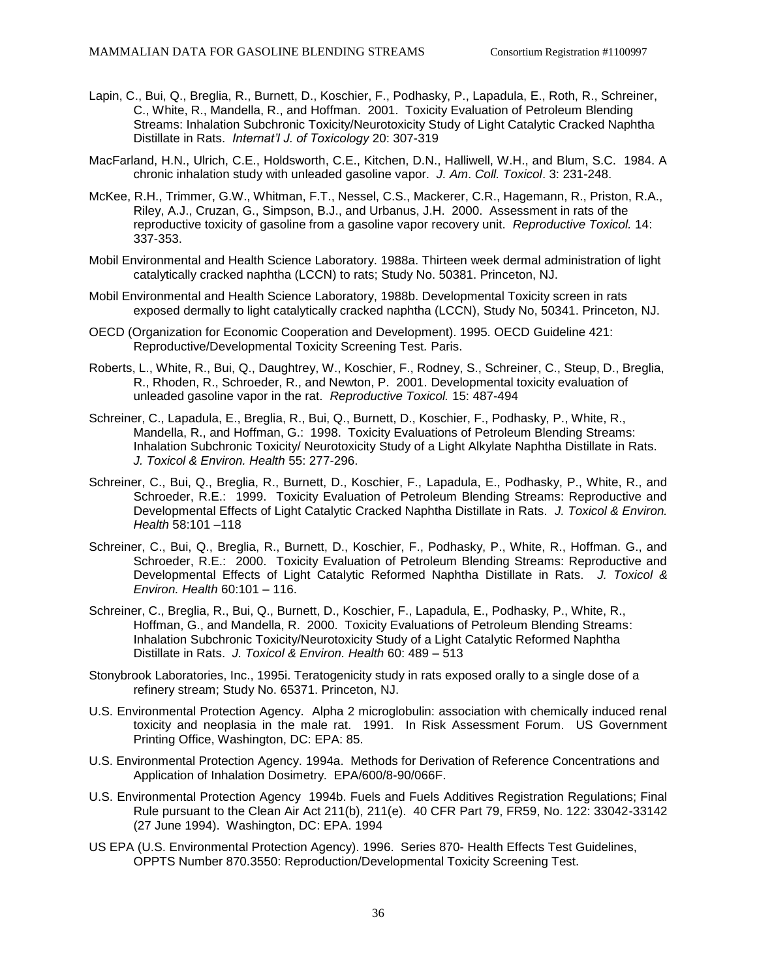- Lapin, C., Bui, Q., Breglia, R., Burnett, D., Koschier, F., Podhasky, P., Lapadula, E., Roth, R., Schreiner, C., White, R., Mandella, R., and Hoffman. 2001. Toxicity Evaluation of Petroleum Blending Streams: Inhalation Subchronic Toxicity/Neurotoxicity Study of Light Catalytic Cracked Naphtha Distillate in Rats. *Internat'l J. of Toxicology* 20: 307-319
- MacFarland, H.N., Ulrich, C.E., Holdsworth, C.E., Kitchen, D.N., Halliwell, W.H., and Blum, S.C. 1984. A chronic inhalation study with unleaded gasoline vapor. *J. Am*. *Coll. Toxicol*. 3: 231-248.
- McKee, R.H., Trimmer, G.W., Whitman, F.T., Nessel, C.S., Mackerer, C.R., Hagemann, R., Priston, R.A., Riley, A.J., Cruzan, G., Simpson, B.J., and Urbanus, J.H. 2000. Assessment in rats of the reproductive toxicity of gasoline from a gasoline vapor recovery unit. *Reproductive Toxicol.* 14: 337-353.
- Mobil Environmental and Health Science Laboratory. 1988a. Thirteen week dermal administration of light catalytically cracked naphtha (LCCN) to rats; Study No. 50381. Princeton, NJ.
- Mobil Environmental and Health Science Laboratory, 1988b. Developmental Toxicity screen in rats exposed dermally to light catalytically cracked naphtha (LCCN), Study No, 50341. Princeton, NJ.
- OECD (Organization for Economic Cooperation and Development). 1995. OECD Guideline 421: Reproductive/Developmental Toxicity Screening Test*.* Paris.
- Roberts, L., White, R., Bui, Q., Daughtrey, W., Koschier, F., Rodney, S., Schreiner, C., Steup, D., Breglia, R., Rhoden, R., Schroeder, R., and Newton, P. 2001. Developmental toxicity evaluation of unleaded gasoline vapor in the rat. *Reproductive Toxicol.* 15: 487-494
- Schreiner, C., Lapadula, E., Breglia, R., Bui, Q., Burnett, D., Koschier, F., Podhasky, P., White, R., Mandella, R., and Hoffman, G.: 1998. Toxicity Evaluations of Petroleum Blending Streams: Inhalation Subchronic Toxicity/ Neurotoxicity Study of a Light Alkylate Naphtha Distillate in Rats. *J. Toxicol & Environ. Health* 55: 277-296.
- Schreiner, C., Bui, Q., Breglia, R., Burnett, D., Koschier, F., Lapadula, E., Podhasky, P., White, R., and Schroeder, R.E.: 1999. Toxicity Evaluation of Petroleum Blending Streams: Reproductive and Developmental Effects of Light Catalytic Cracked Naphtha Distillate in Rats. *J. Toxicol & Environ. Health* 58:101 –118
- Schreiner, C., Bui, Q., Breglia, R., Burnett, D., Koschier, F., Podhasky, P., White, R., Hoffman. G., and Schroeder, R.E.: 2000. Toxicity Evaluation of Petroleum Blending Streams: Reproductive and Developmental Effects of Light Catalytic Reformed Naphtha Distillate in Rats. *J. Toxicol & Environ. Health* 60:101 – 116.
- Schreiner, C., Breglia, R., Bui, Q., Burnett, D., Koschier, F., Lapadula, E., Podhasky, P., White, R., Hoffman, G., and Mandella, R. 2000. Toxicity Evaluations of Petroleum Blending Streams: Inhalation Subchronic Toxicity/Neurotoxicity Study of a Light Catalytic Reformed Naphtha Distillate in Rats. *J. Toxicol & Environ. Health* 60: 489 – 513
- Stonybrook Laboratories, Inc., 1995i. Teratogenicity study in rats exposed orally to a single dose of a refinery stream; Study No. 65371. Princeton, NJ.
- U.S. Environmental Protection Agency. Alpha 2 microglobulin: association with chemically induced renal toxicity and neoplasia in the male rat. 1991. In Risk Assessment Forum. US Government Printing Office, Washington, DC: EPA: 85.
- U.S. Environmental Protection Agency. 1994a. Methods for Derivation of Reference Concentrations and Application of Inhalation Dosimetry. EPA/600/8-90/066F.
- U.S. Environmental Protection Agency 1994b. Fuels and Fuels Additives Registration Regulations; Final Rule pursuant to the Clean Air Act 211(b), 211(e). 40 CFR Part 79, FR59, No. 122: 33042-33142 (27 June 1994). Washington, DC: EPA. 1994
- US EPA (U.S. Environmental Protection Agency). 1996. Series 870- Health Effects Test Guidelines, OPPTS Number 870.3550: Reproduction/Developmental Toxicity Screening Test.